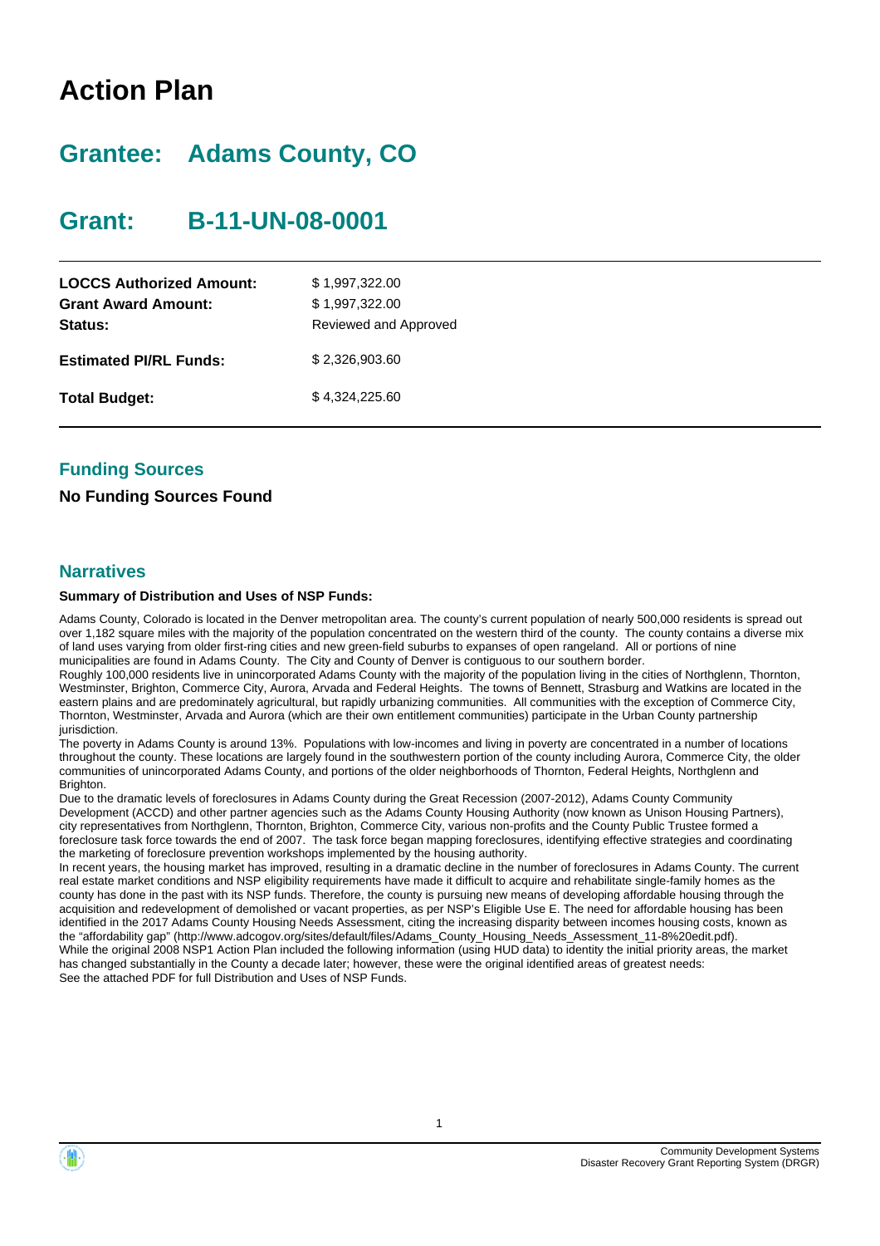## **Action Plan**

## **Grantee: Adams County, CO**

## **Grant: B-11-UN-08-0001**

| <b>LOCCS Authorized Amount:</b><br><b>Grant Award Amount:</b><br><b>Status:</b> | \$1,997,322.00<br>\$1,997,322.00<br>Reviewed and Approved |
|---------------------------------------------------------------------------------|-----------------------------------------------------------|
| <b>Estimated PI/RL Funds:</b>                                                   | \$2.326,903.60                                            |
| <b>Total Budget:</b>                                                            | \$4,324,225.60                                            |

### **Funding Sources**

### **No Funding Sources Found**

### **Narratives**

### **Summary of Distribution and Uses of NSP Funds:**

Adams County, Colorado is located in the Denver metropolitan area. The county's current population of nearly 500,000 residents is spread out over 1,182 square miles with the majority of the population concentrated on the western third of the county. The county contains a diverse mix of land uses varying from older first-ring cities and new green-field suburbs to expanses of open rangeland. All or portions of nine municipalities are found in Adams County. The City and County of Denver is contiguous to our southern border.

Roughly 100,000 residents live in unincorporated Adams County with the majority of the population living in the cities of Northglenn, Thornton, Westminster, Brighton, Commerce City, Aurora, Arvada and Federal Heights. The towns of Bennett, Strasburg and Watkins are located in the eastern plains and are predominately agricultural, but rapidly urbanizing communities. All communities with the exception of Commerce City, Thornton, Westminster, Arvada and Aurora (which are their own entitlement communities) participate in the Urban County partnership jurisdiction.

The poverty in Adams County is around 13%. Populations with low-incomes and living in poverty are concentrated in a number of locations throughout the county. These locations are largely found in the southwestern portion of the county including Aurora, Commerce City, the older communities of unincorporated Adams County, and portions of the older neighborhoods of Thornton, Federal Heights, Northglenn and Brighton.

Due to the dramatic levels of foreclosures in Adams County during the Great Recession (2007-2012), Adams County Community Development (ACCD) and other partner agencies such as the Adams County Housing Authority (now known as Unison Housing Partners), city representatives from Northglenn, Thornton, Brighton, Commerce City, various non-profits and the County Public Trustee formed a foreclosure task force towards the end of 2007. The task force began mapping foreclosures, identifying effective strategies and coordinating the marketing of foreclosure prevention workshops implemented by the housing authority.

In recent years, the housing market has improved, resulting in a dramatic decline in the number of foreclosures in Adams County. The current real estate market conditions and NSP eligibility requirements have made it difficult to acquire and rehabilitate single-family homes as the county has done in the past with its NSP funds. Therefore, the county is pursuing new means of developing affordable housing through the acquisition and redevelopment of demolished or vacant properties, as per NSP's Eligible Use E. The need for affordable housing has been identified in the 2017 Adams County Housing Needs Assessment, citing the increasing disparity between incomes housing costs, known as the "affordability gap" (http://www.adcogov.org/sites/default/files/Adams\_County\_Housing\_Needs\_Assessment\_11-8%20edit.pdf). While the original 2008 NSP1 Action Plan included the following information (using HUD data) to identity the initial priority areas, the market has changed substantially in the County a decade later; however, these were the original identified areas of greatest needs: See the attached PDF for full Distribution and Uses of NSP Funds.



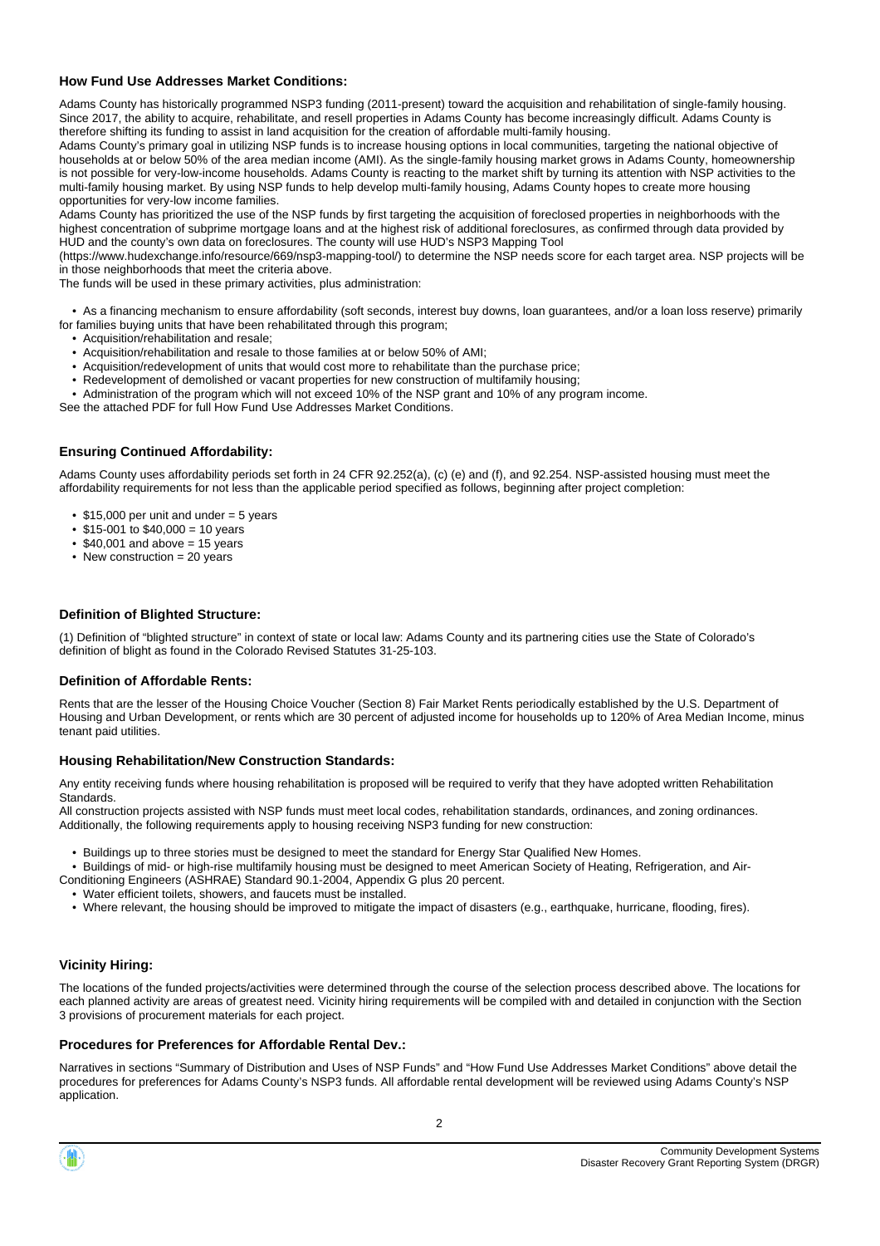### **How Fund Use Addresses Market Conditions:**

Adams County has historically programmed NSP3 funding (2011-present) toward the acquisition and rehabilitation of single-family housing. Since 2017, the ability to acquire, rehabilitate, and resell properties in Adams County has become increasingly difficult. Adams County is therefore shifting its funding to assist in land acquisition for the creation of affordable multi-family housing.

Adams County's primary goal in utilizing NSP funds is to increase housing options in local communities, targeting the national objective of households at or below 50% of the area median income (AMI). As the single-family housing market grows in Adams County, homeownership is not possible for very-low-income households. Adams County is reacting to the market shift by turning its attention with NSP activities to the multi-family housing market. By using NSP funds to help develop multi-family housing, Adams County hopes to create more housing opportunities for very-low income families.

Adams County has prioritized the use of the NSP funds by first targeting the acquisition of foreclosed properties in neighborhoods with the highest concentration of subprime mortgage loans and at the highest risk of additional foreclosures, as confirmed through data provided by HUD and the county's own data on foreclosures. The county will use HUD's NSP3 Mapping Tool

(https://www.hudexchange.info/resource/669/nsp3-mapping-tool/) to determine the NSP needs score for each target area. NSP projects will be in those neighborhoods that meet the criteria above.

The funds will be used in these primary activities, plus administration:

• As a financing mechanism to ensure affordability (soft seconds, interest buy downs, loan guarantees, and/or a loan loss reserve) primarily

- for families buying units that have been rehabilitated through this program;
	- Acquisition/rehabilitation and resale;
	- Acquisition/rehabilitation and resale to those families at or below 50% of AMI;
	- Acquisition/redevelopment of units that would cost more to rehabilitate than the purchase price; • Redevelopment of demolished or vacant properties for new construction of multifamily housing;
	- Administration of the program which will not exceed 10% of the NSP grant and 10% of any program income.
- See the attached PDF for full How Fund Use Addresses Market Conditions.

### **Ensuring Continued Affordability:**

Adams County uses affordability periods set forth in 24 CFR 92.252(a), (c) (e) and (f), and 92.254. NSP-assisted housing must meet the affordability requirements for not less than the applicable period specified as follows, beginning after project completion:

- $$15,000$  per unit and under = 5 years
- $$15-001$  to  $$40,000 = 10$  years
- $\cdot$  \$40,001 and above = 15 years
- New construction  $= 20$  years

### **Definition of Blighted Structure:**

(1) Definition of "blighted structure" in context of state or local law: Adams County and its partnering cities use the State of Colorado's definition of blight as found in the Colorado Revised Statutes 31-25-103.

### **Definition of Affordable Rents:**

Rents that are the lesser of the Housing Choice Voucher (Section 8) Fair Market Rents periodically established by the U.S. Department of Housing and Urban Development, or rents which are 30 percent of adjusted income for households up to 120% of Area Median Income, minus tenant paid utilities.

### **Housing Rehabilitation/New Construction Standards:**

Any entity receiving funds where housing rehabilitation is proposed will be required to verify that they have adopted written Rehabilitation Standards.

All construction projects assisted with NSP funds must meet local codes, rehabilitation standards, ordinances, and zoning ordinances. Additionally, the following requirements apply to housing receiving NSP3 funding for new construction:

- Buildings up to three stories must be designed to meet the standard for Energy Star Qualified New Homes.
- Buildings of mid- or high-rise multifamily housing must be designed to meet American Society of Heating, Refrigeration, and Air-Conditioning Engineers (ASHRAE) Standard 90.1-2004, Appendix G plus 20 percent.

• Water efficient toilets, showers, and faucets must be installed.

• Where relevant, the housing should be improved to mitigate the impact of disasters (e.g., earthquake, hurricane, flooding, fires).

### **Vicinity Hiring:**

The locations of the funded projects/activities were determined through the course of the selection process described above. The locations for each planned activity are areas of greatest need. Vicinity hiring requirements will be compiled with and detailed in conjunction with the Section 3 provisions of procurement materials for each project.

### **Procedures for Preferences for Affordable Rental Dev.:**

Narratives in sections "Summary of Distribution and Uses of NSP Funds" and "How Fund Use Addresses Market Conditions" above detail the procedures for preferences for Adams County's NSP3 funds. All affordable rental development will be reviewed using Adams County's NSP application.

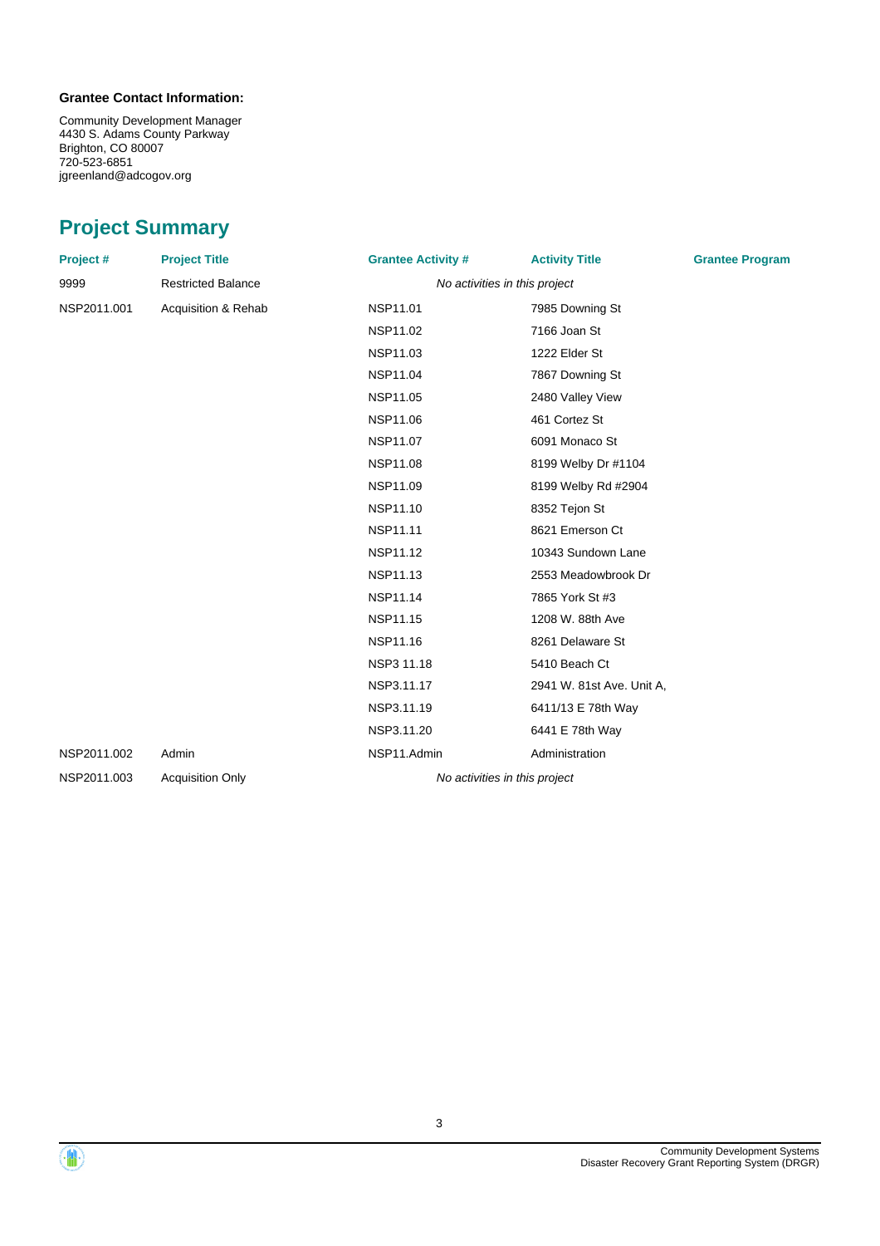### **Grantee Contact Information:**

Community Development Manager 4430 S. Adams County Parkway Brighton, CO 80007 720-523-6851 jgreenland@adcogov.org

## **Project Summary**

| Project #   | <b>Project Title</b>      | <b>Grantee Activity #</b>     | <b>Activity Title</b>         | <b>Grantee Program</b> |
|-------------|---------------------------|-------------------------------|-------------------------------|------------------------|
| 9999        | <b>Restricted Balance</b> | No activities in this project |                               |                        |
| NSP2011.001 | Acquisition & Rehab       | NSP11.01                      | 7985 Downing St               |                        |
|             |                           | NSP11.02                      | 7166 Joan St                  |                        |
|             |                           | NSP11.03                      | 1222 Elder St                 |                        |
|             |                           | <b>NSP11.04</b>               | 7867 Downing St               |                        |
|             |                           | NSP11.05                      | 2480 Valley View              |                        |
|             |                           | NSP11.06                      | 461 Cortez St                 |                        |
|             |                           | NSP11.07                      | 6091 Monaco St                |                        |
|             |                           | <b>NSP11.08</b>               | 8199 Welby Dr #1104           |                        |
|             |                           | NSP11.09                      | 8199 Welby Rd #2904           |                        |
|             |                           | NSP11.10                      | 8352 Tejon St                 |                        |
|             |                           | NSP11.11                      | 8621 Emerson Ct               |                        |
|             |                           | NSP11.12                      | 10343 Sundown Lane            |                        |
|             |                           | NSP11.13                      | 2553 Meadowbrook Dr           |                        |
|             |                           | NSP11.14                      | 7865 York St #3               |                        |
|             |                           | <b>NSP11.15</b>               | 1208 W. 88th Ave              |                        |
|             |                           | <b>NSP11.16</b>               | 8261 Delaware St              |                        |
|             |                           | NSP3 11.18                    | 5410 Beach Ct                 |                        |
|             |                           | NSP3.11.17                    | 2941 W. 81st Ave. Unit A,     |                        |
|             |                           | NSP3.11.19                    | 6411/13 E 78th Way            |                        |
|             |                           | NSP3.11.20                    | 6441 E 78th Way               |                        |
| NSP2011.002 | Admin                     | NSP11.Admin                   | Administration                |                        |
| NSP2011.003 | <b>Acquisition Only</b>   |                               | No activities in this project |                        |
|             |                           |                               |                               |                        |



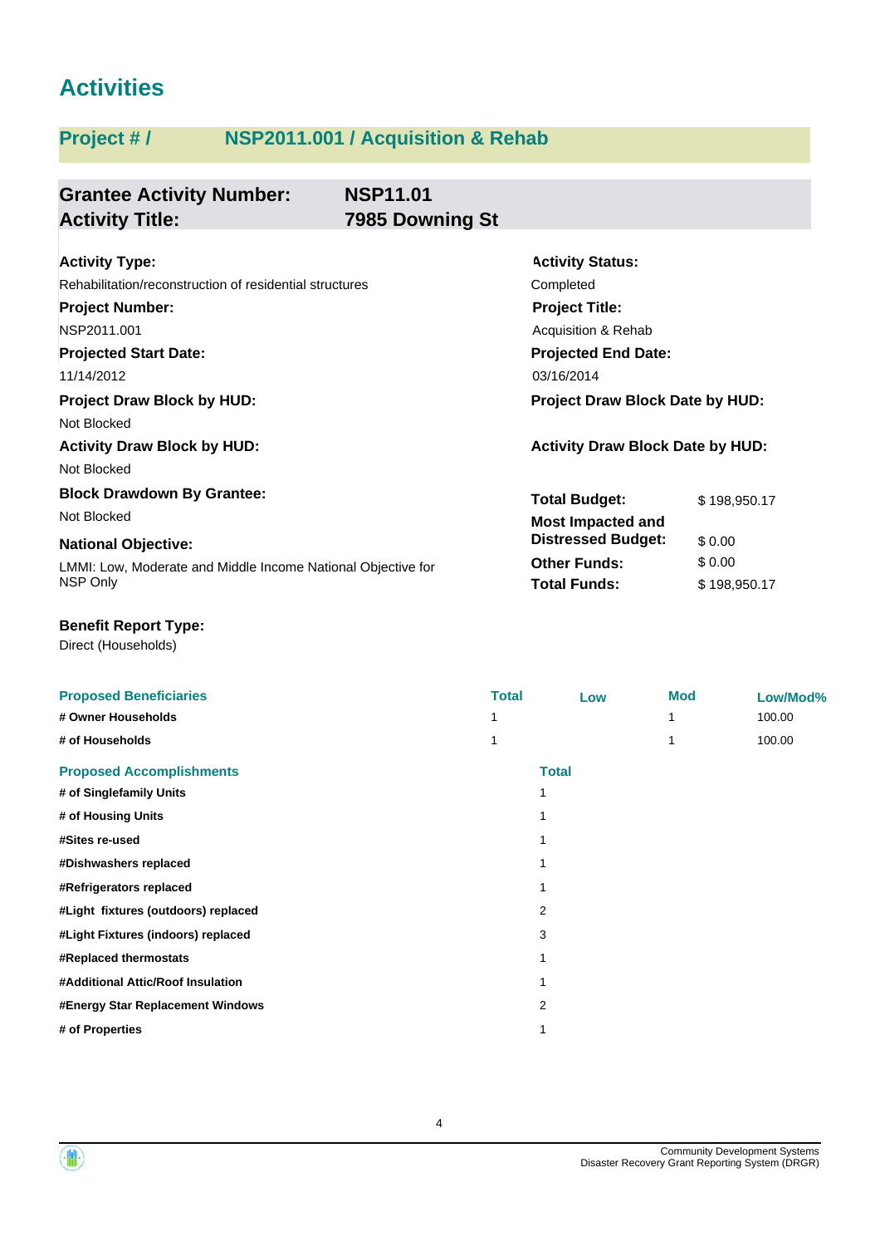## **Activities**

## **Project # / NSP2011.001 / Acquisition & Rehab**

| <b>Grantee Activity Number:</b><br><b>Activity Title:</b>    | <b>NSP11.01</b><br>7985 Downing St |                                         |              |  |
|--------------------------------------------------------------|------------------------------------|-----------------------------------------|--------------|--|
|                                                              |                                    |                                         |              |  |
| <b>Activity Type:</b>                                        |                                    | <b>Activity Status:</b>                 |              |  |
| Rehabilitation/reconstruction of residential structures      |                                    | Completed                               |              |  |
| <b>Project Number:</b>                                       |                                    | <b>Project Title:</b>                   |              |  |
| NSP2011.001                                                  |                                    | Acquisition & Rehab                     |              |  |
| <b>Projected Start Date:</b>                                 |                                    | <b>Projected End Date:</b>              |              |  |
| 11/14/2012                                                   |                                    | 03/16/2014                              |              |  |
| <b>Project Draw Block by HUD:</b>                            |                                    | Project Draw Block Date by HUD:         |              |  |
| Not Blocked                                                  |                                    |                                         |              |  |
| <b>Activity Draw Block by HUD:</b>                           |                                    | <b>Activity Draw Block Date by HUD:</b> |              |  |
| Not Blocked                                                  |                                    |                                         |              |  |
| <b>Block Drawdown By Grantee:</b>                            |                                    | <b>Total Budget:</b>                    | \$198,950.17 |  |
| Not Blocked                                                  |                                    | <b>Most Impacted and</b>                |              |  |
| <b>National Objective:</b>                                   |                                    | <b>Distressed Budget:</b>               | \$0.00       |  |
| LMMI: Low, Moderate and Middle Income National Objective for |                                    | <b>Other Funds:</b>                     | \$0.00       |  |
| NSP Only                                                     |                                    | <b>Total Funds:</b>                     | \$198,950.17 |  |

### **Benefit Report Type:**

| <b>Proposed Beneficiaries</b>       | <b>Total</b> |              | Low | <b>Mod</b> | Low/Mod% |
|-------------------------------------|--------------|--------------|-----|------------|----------|
| # Owner Households                  |              |              |     | 1          | 100.00   |
| # of Households                     | 1            |              |     | 1          | 100.00   |
| <b>Proposed Accomplishments</b>     |              | <b>Total</b> |     |            |          |
| # of Singlefamily Units             |              | 1            |     |            |          |
| # of Housing Units                  |              |              |     |            |          |
| #Sites re-used                      |              |              |     |            |          |
| #Dishwashers replaced               |              |              |     |            |          |
| #Refrigerators replaced             |              |              |     |            |          |
| #Light fixtures (outdoors) replaced |              | 2            |     |            |          |
| #Light Fixtures (indoors) replaced  |              | 3            |     |            |          |
| #Replaced thermostats               |              |              |     |            |          |
| #Additional Attic/Roof Insulation   |              |              |     |            |          |
| #Energy Star Replacement Windows    |              | 2            |     |            |          |
| # of Properties                     |              |              |     |            |          |
|                                     |              |              |     |            |          |



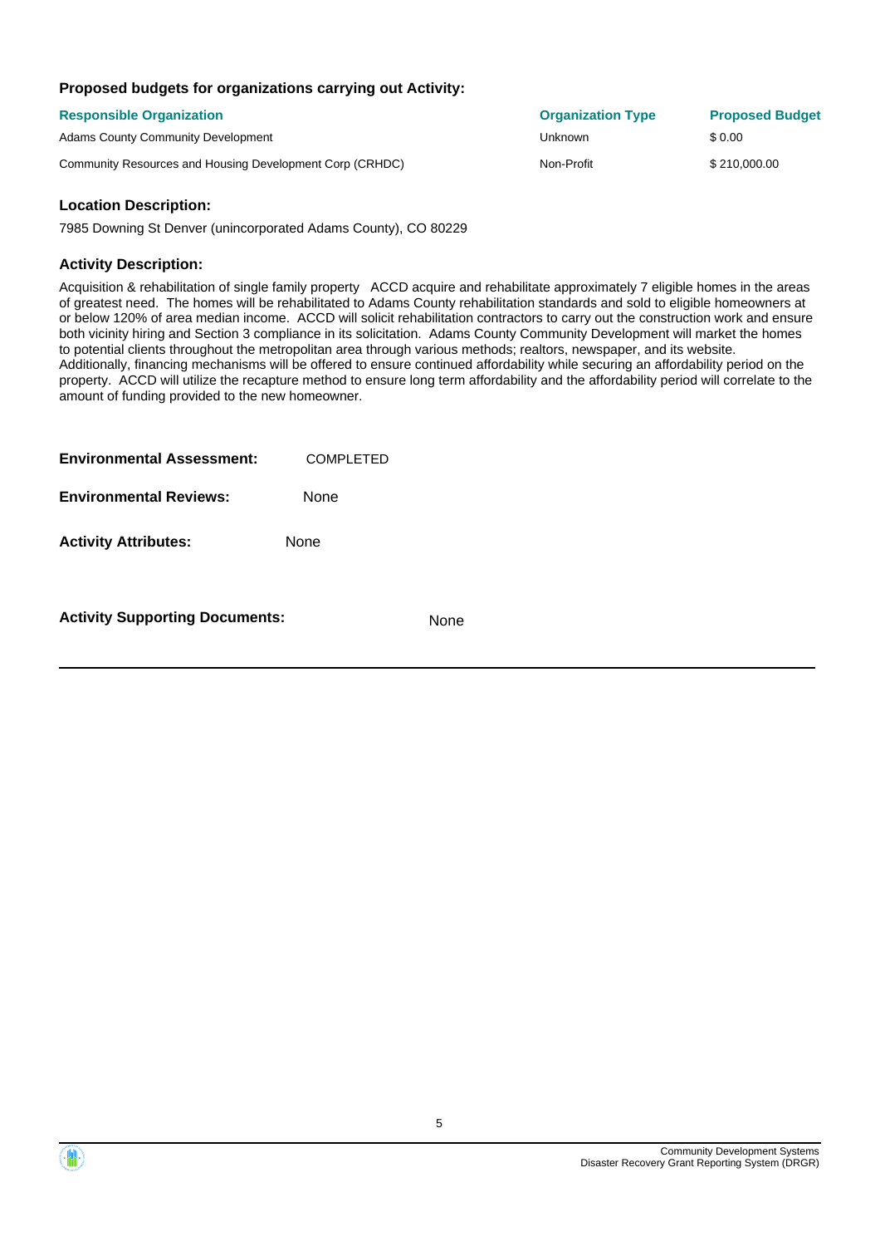### **Proposed budgets for organizations carrying out Activity:**

| <b>Responsible Organization</b>                          | <b>Organization Type</b> | <b>Proposed Budget</b> |
|----------------------------------------------------------|--------------------------|------------------------|
| <b>Adams County Community Development</b>                | Unknown                  | \$ 0.00                |
| Community Resources and Housing Development Corp (CRHDC) | Non-Profit               | \$210,000,00           |

### **Location Description:**

7985 Downing St Denver (unincorporated Adams County), CO 80229

### **Activity Description:**

Acquisition & rehabilitation of single family property ACCD acquire and rehabilitate approximately 7 eligible homes in the areas of greatest need. The homes will be rehabilitated to Adams County rehabilitation standards and sold to eligible homeowners at or below 120% of area median income. ACCD will solicit rehabilitation contractors to carry out the construction work and ensure both vicinity hiring and Section 3 compliance in its solicitation. Adams County Community Development will market the homes to potential clients throughout the metropolitan area through various methods; realtors, newspaper, and its website. Additionally, financing mechanisms will be offered to ensure continued affordability while securing an affordability period on the property. ACCD will utilize the recapture method to ensure long term affordability and the affordability period will correlate to the amount of funding provided to the new homeowner.

| <b>Environmental Assessment:</b> | COMPLETED |  |
|----------------------------------|-----------|--|
| <b>Environmental Reviews:</b>    | None      |  |
| <b>Activity Attributes:</b>      | None      |  |
|                                  |           |  |

**Activity Supporting Documents:** None

5

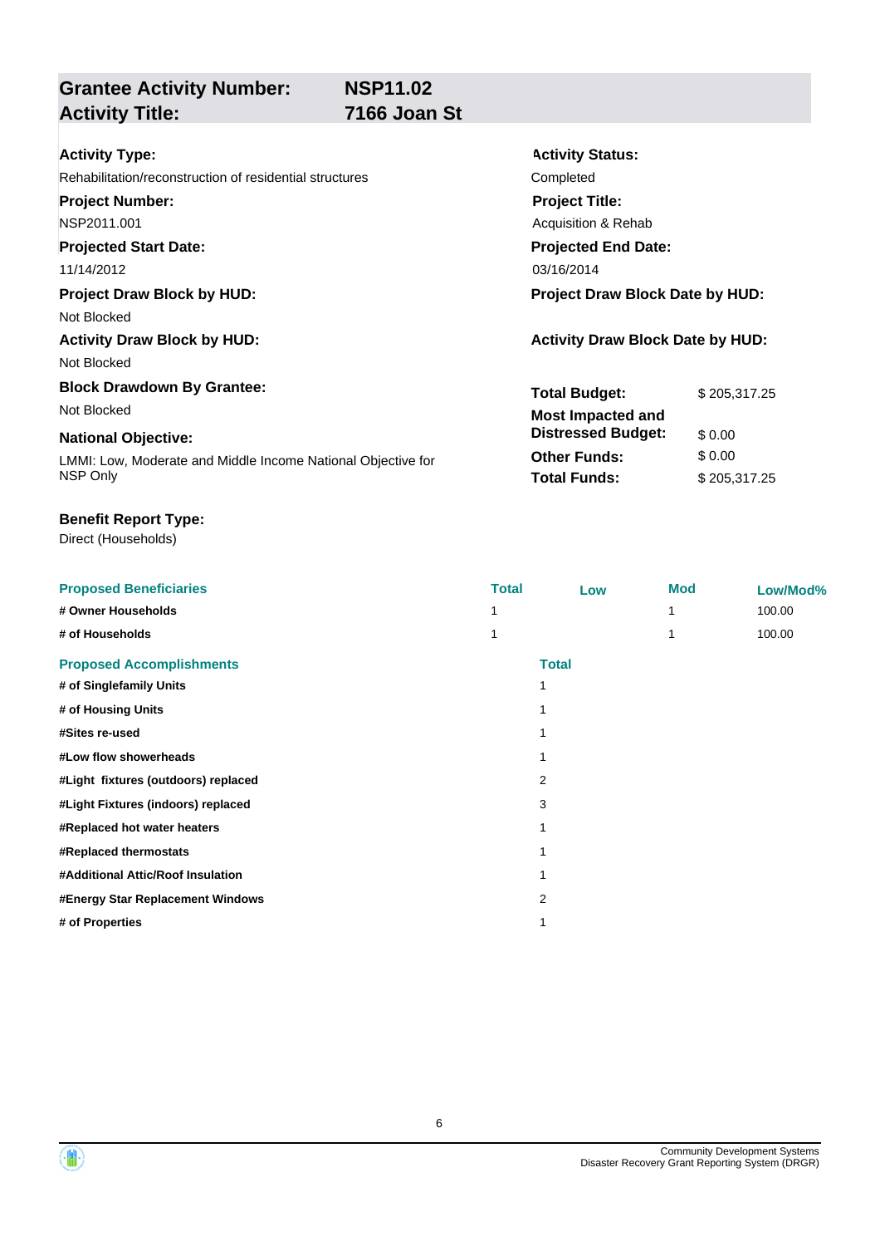**Grantee Activity Number:**

## **Activity Title: 7166 Joan St**

**Activity Status:**

**Project Title:** Acquisition & Rehab

**Projected End Date:**

**Total Budget:** \$ 205,317.25

**Other Funds:** \$ 0.00 **Total Funds:** \$ 205,317.25

**Distressed Budget:** \$ 0.00

| <b>Activity Type:</b> |  |
|-----------------------|--|
|-----------------------|--|

Rehabilitation/reconstruction of residential structures Completed

**Project Number:**

NSP2011.001

**Projected Start Date:**

11/14/2012 03/16/2014

**Project Draw Block by HUD: Project Draw Block Date by HUD:**

Not Blocked

**Activity Draw Block by HUD: Activity Draw Block Date by HUD:**

Not Blocked

**Block Drawdown By Grantee:** Not Blocked **Most Impacted and** 

### **National Objective:**

LMMI: Low, Moderate and Middle Income National Objective for NSP Only

### **Benefit Report Type:**

| <b>Proposed Beneficiaries</b>       | <b>Total</b> | Low          | <b>Mod</b> | Low/Mod% |
|-------------------------------------|--------------|--------------|------------|----------|
| # Owner Households                  |              |              |            | 100.00   |
| # of Households                     |              |              |            | 100.00   |
| <b>Proposed Accomplishments</b>     |              | <b>Total</b> |            |          |
| # of Singlefamily Units             | 1            |              |            |          |
| # of Housing Units                  |              |              |            |          |
| #Sites re-used                      |              |              |            |          |
| #Low flow showerheads               |              |              |            |          |
| #Light fixtures (outdoors) replaced | 2            |              |            |          |
| #Light Fixtures (indoors) replaced  | 3            |              |            |          |
| #Replaced hot water heaters         |              |              |            |          |
| #Replaced thermostats               |              |              |            |          |
| #Additional Attic/Roof Insulation   |              |              |            |          |
| #Energy Star Replacement Windows    | 2            |              |            |          |
| # of Properties                     |              |              |            |          |

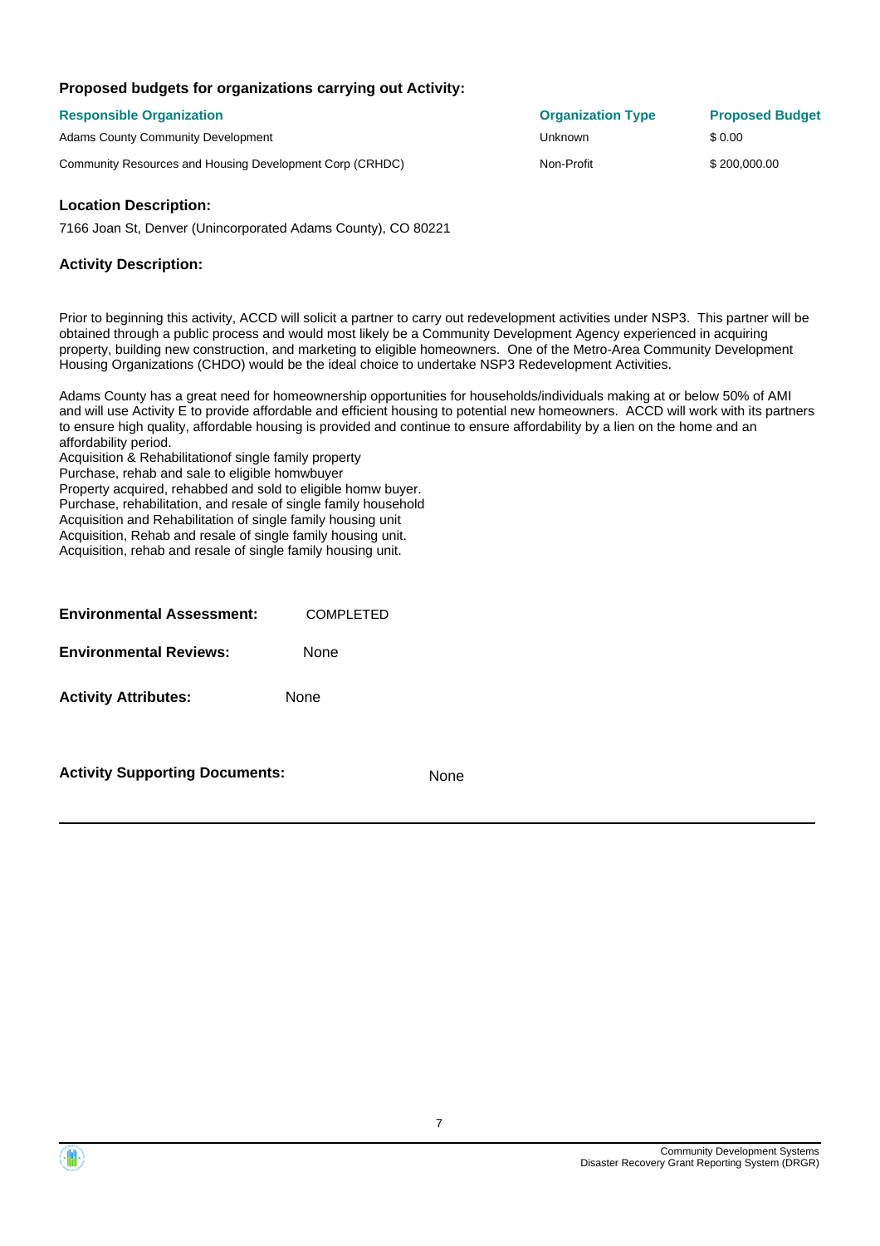### **Proposed budgets for organizations carrying out Activity:**

| <b>Responsible Organization</b>                          | <b>Organization Type</b> | <b>Proposed Budget</b> |
|----------------------------------------------------------|--------------------------|------------------------|
| <b>Adams County Community Development</b>                | Unknown                  | \$0.00                 |
| Community Resources and Housing Development Corp (CRHDC) | Non-Profit               | \$200,000,00           |

### **Location Description:**

7166 Joan St, Denver (Unincorporated Adams County), CO 80221

### **Activity Description:**

Prior to beginning this activity, ACCD will solicit a partner to carry out redevelopment activities under NSP3. This partner will be obtained through a public process and would most likely be a Community Development Agency experienced in acquiring property, building new construction, and marketing to eligible homeowners. One of the Metro-Area Community Development Housing Organizations (CHDO) would be the ideal choice to undertake NSP3 Redevelopment Activities.

Adams County has a great need for homeownership opportunities for households/individuals making at or below 50% of AMI and will use Activity E to provide affordable and efficient housing to potential new homeowners. ACCD will work with its partners to ensure high quality, affordable housing is provided and continue to ensure affordability by a lien on the home and an affordability period.

Acquisition & Rehabilitationof single family property Purchase, rehab and sale to eligible homwbuyer Property acquired, rehabbed and sold to eligible homw buyer. Purchase, rehabilitation, and resale of single family household Acquisition and Rehabilitation of single family housing unit Acquisition, Rehab and resale of single family housing unit. Acquisition, rehab and resale of single family housing unit.

| <b>Environmental Assessment:</b> | <b>COMPLETED</b> |
|----------------------------------|------------------|
| <b>Environmental Reviews:</b>    | None             |
| <b>Activity Attributes:</b>      | None             |
|                                  |                  |

**Activity Supporting Documents:** None

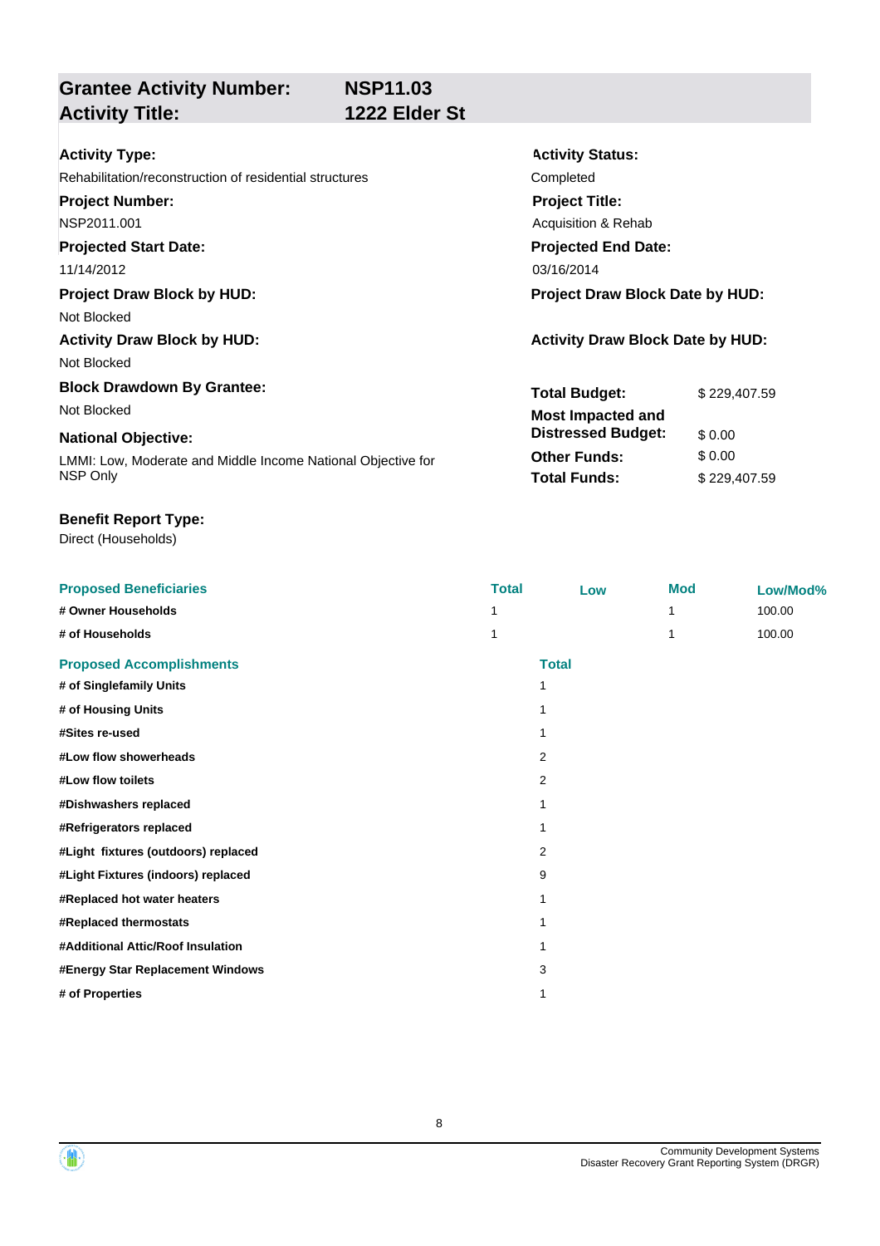**Activity Status:**

**Project Title:** Acquisition & Rehab

**Projected End Date:**

**Total Budget:** \$ 229,407.59

**Other Funds:** \$ 0.00 **Total Funds:** \$229,407.59

**Distressed Budget:** \$ 0.00

## **Grantee Activity Number: Activity Title: 1222 Elder St**

Rehabilitation/reconstruction of residential structures Completed

**Project Number:** NSP2011.001

## **Projected Start Date:**

11/14/2012 03/16/2014

### **Project Draw Block by HUD: Project Draw Block Date by HUD:**

Not Blocked

## Activity Draw Block by HUD: **Activity Draw Block Date by HUD:** Activity Draw Block Date by HUD:

Not Blocked

### **Block Drawdown By Grantee:** Not Blocked **Most Impacted and**

## **National Objective:**

LMMI: Low, Moderate and Middle Income National Objective for NSP Only

**# of Properties** 1

### **Benefit Report Type:**

| <b>Proposed Beneficiaries</b>       | <b>Total</b> | Low          | <b>Mod</b> | Low/Mod% |
|-------------------------------------|--------------|--------------|------------|----------|
| # Owner Households                  |              |              |            | 100.00   |
| # of Households                     |              |              |            | 100.00   |
| <b>Proposed Accomplishments</b>     |              | <b>Total</b> |            |          |
| # of Singlefamily Units             | 1            |              |            |          |
| # of Housing Units                  | 1            |              |            |          |
| #Sites re-used                      | 1            |              |            |          |
| #Low flow showerheads               |              | 2            |            |          |
| #Low flow toilets                   |              | 2            |            |          |
| #Dishwashers replaced               | 1            |              |            |          |
| #Refrigerators replaced             | 1            |              |            |          |
| #Light fixtures (outdoors) replaced |              | 2            |            |          |
| #Light Fixtures (indoors) replaced  |              | 9            |            |          |
| #Replaced hot water heaters         | 1            |              |            |          |
| #Replaced thermostats               | 1            |              |            |          |
| #Additional Attic/Roof Insulation   | 1            |              |            |          |
| #Energy Star Replacement Windows    |              | 3            |            |          |
|                                     |              |              |            |          |



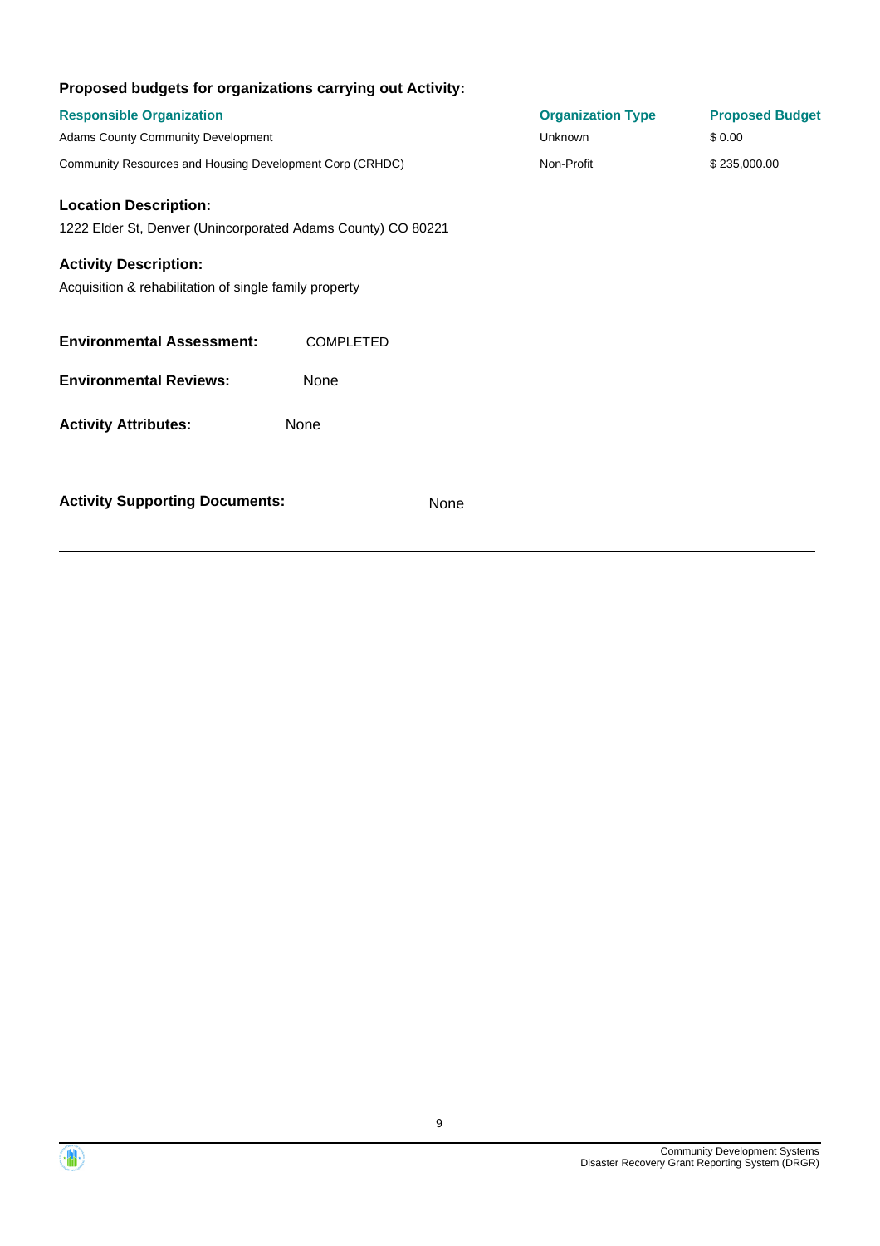| Proposed budgets for organizations carrying out Activity:    |                  |                          |                        |
|--------------------------------------------------------------|------------------|--------------------------|------------------------|
| <b>Responsible Organization</b>                              |                  | <b>Organization Type</b> | <b>Proposed Budget</b> |
| Adams County Community Development                           |                  | <b>Unknown</b>           | \$0.00                 |
| Community Resources and Housing Development Corp (CRHDC)     |                  | Non-Profit               | \$235,000.00           |
| <b>Location Description:</b>                                 |                  |                          |                        |
| 1222 Elder St, Denver (Unincorporated Adams County) CO 80221 |                  |                          |                        |
| <b>Activity Description:</b>                                 |                  |                          |                        |
| Acquisition & rehabilitation of single family property       |                  |                          |                        |
|                                                              |                  |                          |                        |
| <b>Environmental Assessment:</b>                             | <b>COMPLETED</b> |                          |                        |
| <b>Environmental Reviews:</b>                                | None             |                          |                        |
| <b>Activity Attributes:</b>                                  | None             |                          |                        |
| <b>Activity Supporting Documents:</b>                        | None             |                          |                        |
|                                                              |                  |                          |                        |

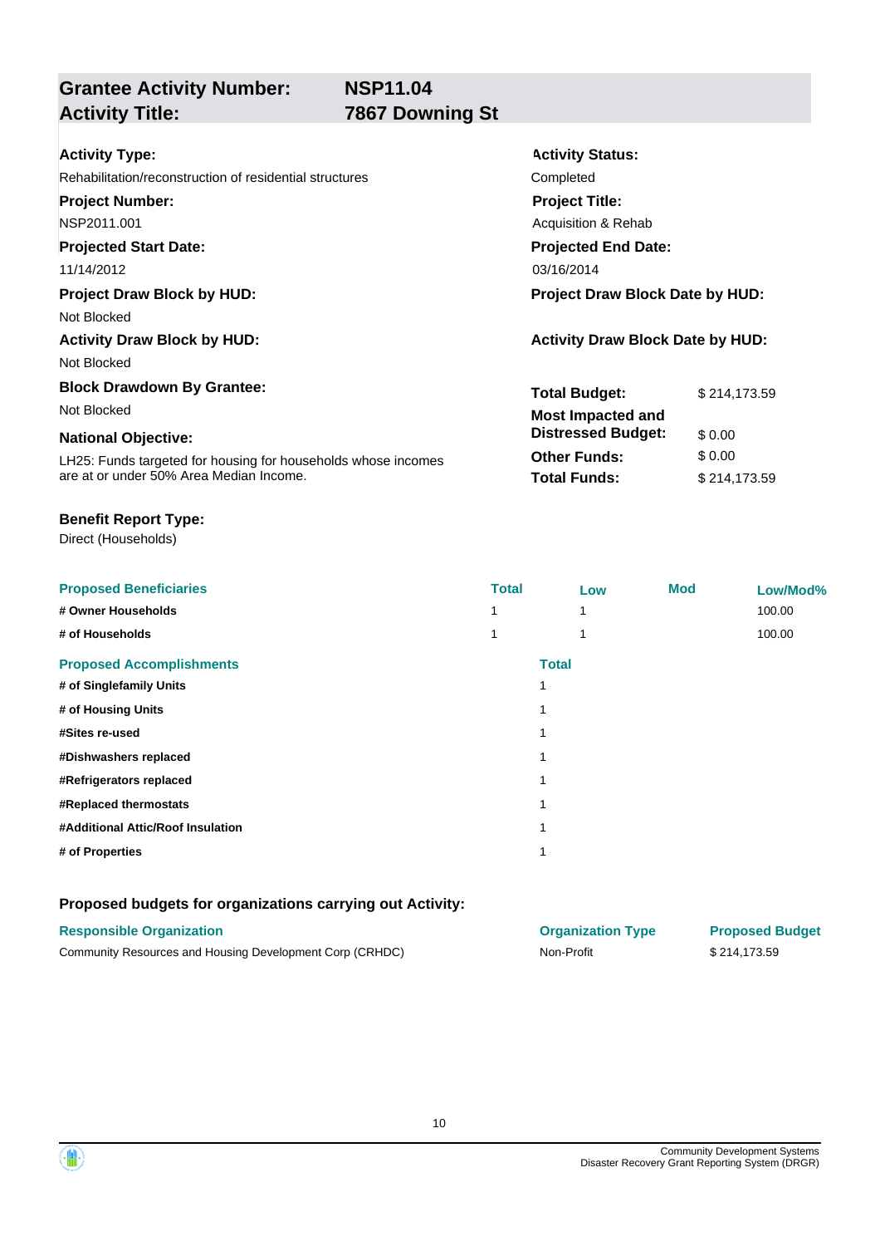## **Grantee Activity Number: Activity Title: 7867 Downing St**

| <b>Activity Type:</b>                                         | <b>Activity Status:</b>                 |              |  |
|---------------------------------------------------------------|-----------------------------------------|--------------|--|
| Rehabilitation/reconstruction of residential structures       | Completed                               |              |  |
| <b>Project Number:</b>                                        | <b>Project Title:</b>                   |              |  |
| NSP2011.001                                                   | Acquisition & Rehab                     |              |  |
| <b>Projected Start Date:</b>                                  | <b>Projected End Date:</b>              |              |  |
| 11/14/2012                                                    | 03/16/2014                              |              |  |
| <b>Project Draw Block by HUD:</b>                             | <b>Project Draw Block Date by HUD:</b>  |              |  |
| Not Blocked                                                   |                                         |              |  |
| <b>Activity Draw Block by HUD:</b>                            | <b>Activity Draw Block Date by HUD:</b> |              |  |
| Not Blocked                                                   |                                         |              |  |
| <b>Block Drawdown By Grantee:</b>                             | <b>Total Budget:</b>                    | \$214,173.59 |  |
| Not Blocked                                                   | <b>Most Impacted and</b>                |              |  |
| <b>National Objective:</b>                                    | <b>Distressed Budget:</b>               | \$0.00       |  |
| LH25: Funds targeted for housing for households whose incomes | <b>Other Funds:</b>                     | \$0.00       |  |
| are at or under 50% Area Median Income.                       | <b>Total Funds:</b>                     | \$214,173.59 |  |

### **Benefit Report Type:**

Direct (Households)

| <b>Proposed Beneficiaries</b>     | <b>Total</b> | Low          | <b>Mod</b> | Low/Mod% |
|-----------------------------------|--------------|--------------|------------|----------|
| # Owner Households                |              | 1            |            | 100.00   |
| # of Households                   |              | 1            |            | 100.00   |
| <b>Proposed Accomplishments</b>   |              | <b>Total</b> |            |          |
| # of Singlefamily Units           |              |              |            |          |
| # of Housing Units                |              |              |            |          |
| #Sites re-used                    |              |              |            |          |
| #Dishwashers replaced             |              |              |            |          |
| #Refrigerators replaced           |              |              |            |          |
| #Replaced thermostats             |              |              |            |          |
| #Additional Attic/Roof Insulation |              |              |            |          |
| # of Properties                   |              |              |            |          |

### **Proposed budgets for organizations carrying out Activity:**

### **Responsible Organization Organization Type Proposed Budget**

| Community Resources and Housing Development Corp (CRHDC)<br>Non-Profit | \$214,173.59 |  |
|------------------------------------------------------------------------|--------------|--|



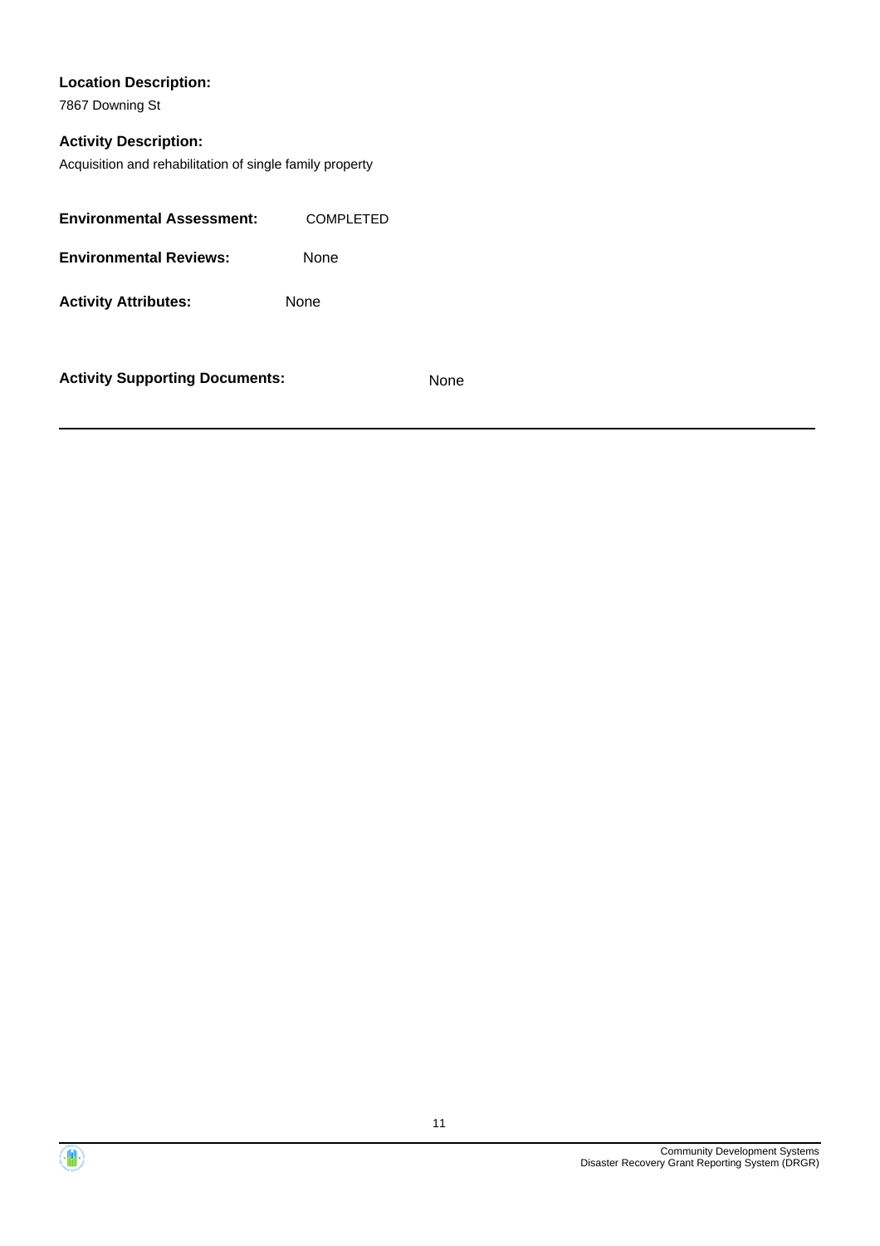### **Location Description:**

7867 Downing St

### **Activity Description:**

Acquisition and rehabilitation of single family property

| <b>Environmental Assessment:</b> | COMPLETED   |
|----------------------------------|-------------|
| <b>Environmental Reviews:</b>    | None        |
| <b>Activity Attributes:</b>      | <b>None</b> |
|                                  |             |

**Activity Supporting Documents:** None



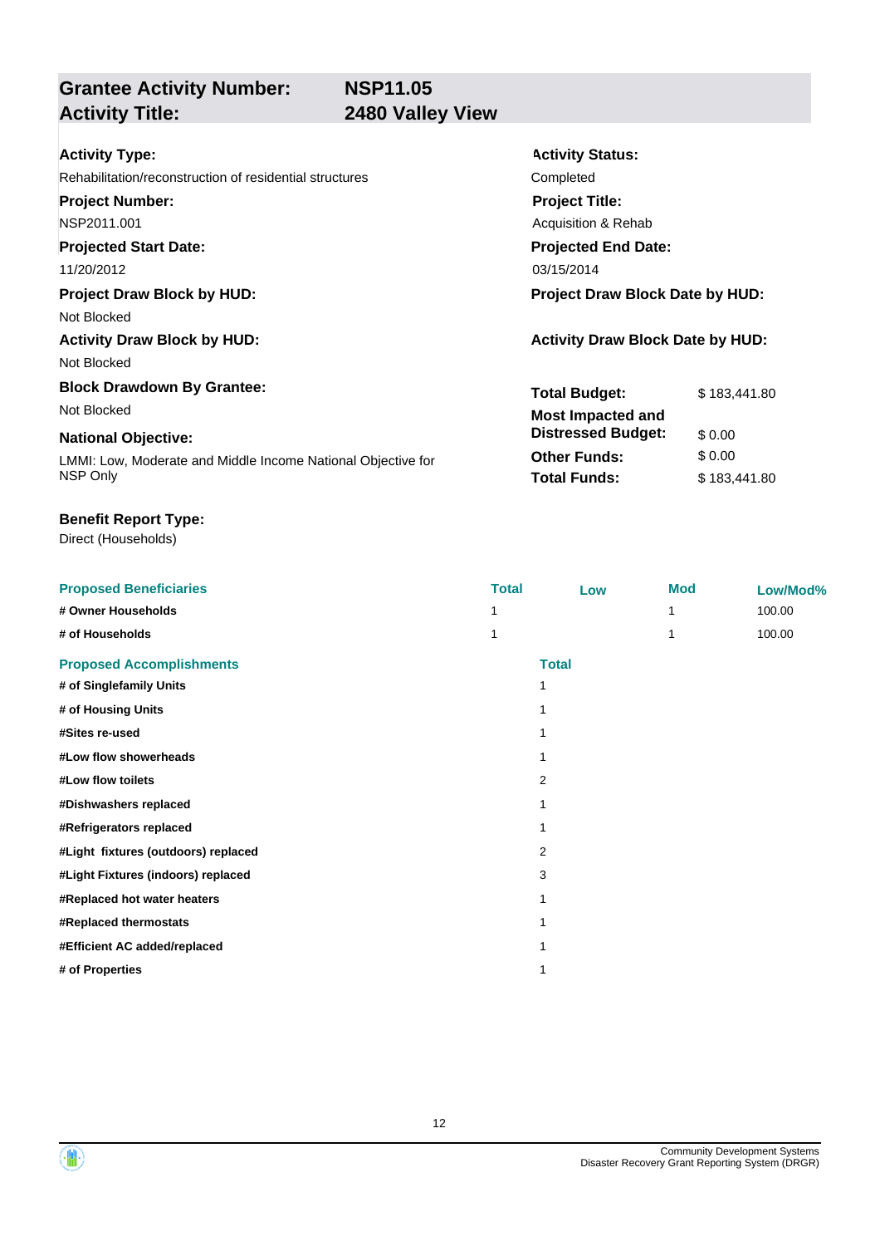**Grantee Activity Number:**

## **2480 Valley View**

| <b>Activity Type:</b>                                        | <b>Activity Status:</b>                 |              |  |
|--------------------------------------------------------------|-----------------------------------------|--------------|--|
| Rehabilitation/reconstruction of residential structures      | Completed                               |              |  |
| <b>Project Number:</b>                                       | <b>Project Title:</b>                   |              |  |
| NSP2011.001                                                  | Acquisition & Rehab                     |              |  |
| <b>Projected Start Date:</b>                                 | <b>Projected End Date:</b>              |              |  |
| 11/20/2012                                                   | 03/15/2014                              |              |  |
| <b>Project Draw Block by HUD:</b>                            | <b>Project Draw Block Date by HUD:</b>  |              |  |
| Not Blocked                                                  |                                         |              |  |
| <b>Activity Draw Block by HUD:</b>                           | <b>Activity Draw Block Date by HUD:</b> |              |  |
| Not Blocked                                                  |                                         |              |  |
| <b>Block Drawdown By Grantee:</b>                            | <b>Total Budget:</b>                    | \$183,441.80 |  |
| Not Blocked                                                  | <b>Most Impacted and</b>                |              |  |
| <b>National Objective:</b>                                   | <b>Distressed Budget:</b>               | \$0.00       |  |
| LMMI: Low, Moderate and Middle Income National Objective for | <b>Other Funds:</b>                     | \$0.00       |  |
| NSP Only                                                     | <b>Total Funds:</b>                     | \$183,441.80 |  |
|                                                              |                                         |              |  |

### **Benefit Report Type:**

| <b>Proposed Beneficiaries</b>       | <b>Total</b> | Low          | <b>Mod</b> | Low/Mod% |
|-------------------------------------|--------------|--------------|------------|----------|
| # Owner Households                  |              |              |            | 100.00   |
| # of Households                     |              |              |            | 100.00   |
| <b>Proposed Accomplishments</b>     |              | <b>Total</b> |            |          |
| # of Singlefamily Units             |              | 1            |            |          |
| # of Housing Units                  |              | 1            |            |          |
| #Sites re-used                      |              |              |            |          |
| #Low flow showerheads               | 1            |              |            |          |
| #Low flow toilets                   |              | 2            |            |          |
| #Dishwashers replaced               |              |              |            |          |
| #Refrigerators replaced             |              | 1            |            |          |
| #Light fixtures (outdoors) replaced |              | 2            |            |          |
| #Light Fixtures (indoors) replaced  |              | 3            |            |          |
| #Replaced hot water heaters         | 1            |              |            |          |
| #Replaced thermostats               | 1            |              |            |          |
| #Efficient AC added/replaced        |              |              |            |          |
| # of Properties                     |              | 1            |            |          |

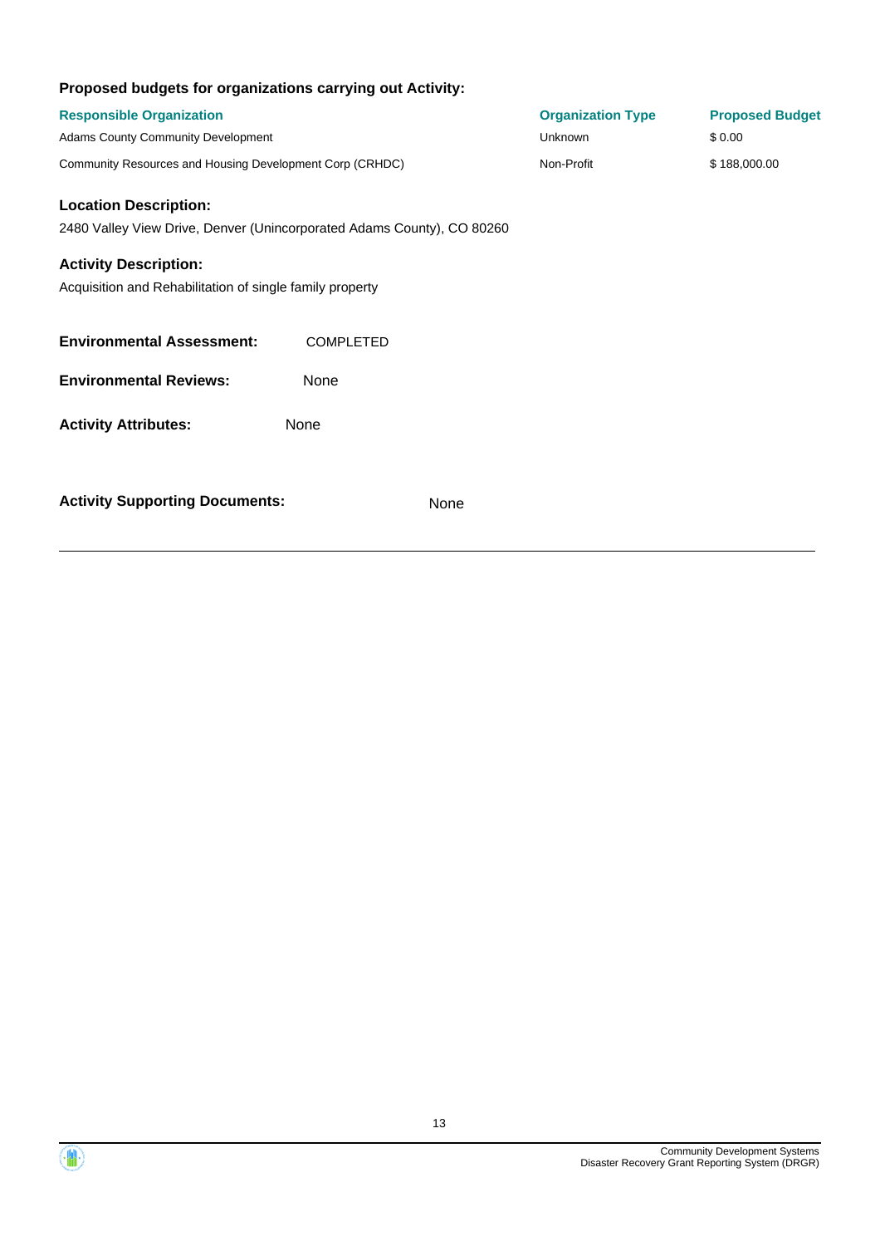| <b>Responsible Organization</b><br>Adams County Community Development                                                    |                                                                        | <b>Organization Type</b><br><b>Unknown</b> | <b>Proposed Budget</b><br>\$0.00 |
|--------------------------------------------------------------------------------------------------------------------------|------------------------------------------------------------------------|--------------------------------------------|----------------------------------|
| Community Resources and Housing Development Corp (CRHDC)                                                                 |                                                                        | Non-Profit                                 | \$188,000.00                     |
| <b>Location Description:</b><br><b>Activity Description:</b><br>Acquisition and Rehabilitation of single family property | 2480 Valley View Drive, Denver (Unincorporated Adams County), CO 80260 |                                            |                                  |
| <b>Environmental Assessment:</b>                                                                                         | <b>COMPLETED</b>                                                       |                                            |                                  |
| <b>Environmental Reviews:</b>                                                                                            | None                                                                   |                                            |                                  |
| <b>Activity Attributes:</b>                                                                                              | None                                                                   |                                            |                                  |
| <b>Activity Supporting Documents:</b>                                                                                    | None                                                                   |                                            |                                  |

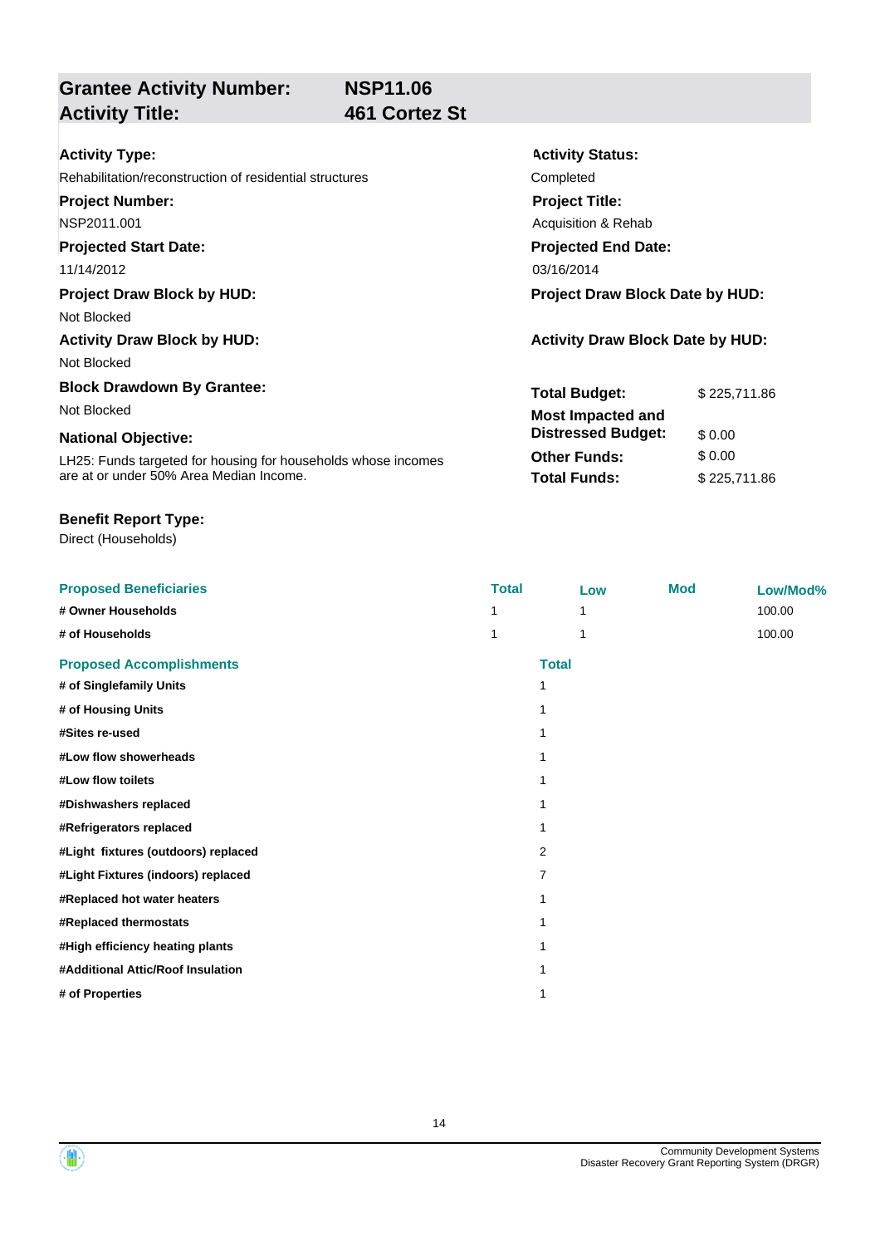**Activity Status:**

**Project Title:** Acquisition & Rehab

**Projected End Date:**

**Total Budget:** \$ 225,711.86

**Other Funds:** \$ 0.00 **Total Funds:** \$ 225,711.86

**Distressed Budget:** \$ 0.00

## **Activity Title: 461 Cortez St**

| <b>Activity Type:</b> |  |
|-----------------------|--|

Rehabilitation/reconstruction of residential structures Completed

**Grantee Activity Number:**

**Project Number:**

NSP2011.001

### **Projected Start Date:**

11/14/2012 03/16/2014

### **Project Draw Block by HUD: Project Draw Block Date by HUD:**

Not Blocked

### **Activity Draw Block by HUD: Activity Draw Block Date by HUD:**

Not Blocked

### **Block Drawdown By Grantee:**

Not Blocked **Most Impacted and** 

### **National Objective:**

LH25: Funds targeted for housing for households whose incomes are at or under 50% Area Median Income.

### **Benefit Report Type:**

| <b>Proposed Beneficiaries</b>       | <b>Total</b> | Low          | <b>Mod</b> | Low/Mod% |
|-------------------------------------|--------------|--------------|------------|----------|
| # Owner Households                  |              |              |            | 100.00   |
| # of Households                     |              |              |            | 100.00   |
| <b>Proposed Accomplishments</b>     |              | <b>Total</b> |            |          |
| # of Singlefamily Units             |              | 1            |            |          |
| # of Housing Units                  |              |              |            |          |
| #Sites re-used                      |              |              |            |          |
| #Low flow showerheads               |              |              |            |          |
| #Low flow toilets                   |              |              |            |          |
| #Dishwashers replaced               |              |              |            |          |
| #Refrigerators replaced             |              |              |            |          |
| #Light fixtures (outdoors) replaced |              | 2            |            |          |
| #Light Fixtures (indoors) replaced  |              | 7            |            |          |
| #Replaced hot water heaters         |              |              |            |          |
| #Replaced thermostats               |              |              |            |          |
| #High efficiency heating plants     |              |              |            |          |
| #Additional Attic/Roof Insulation   |              |              |            |          |
| # of Properties                     |              |              |            |          |



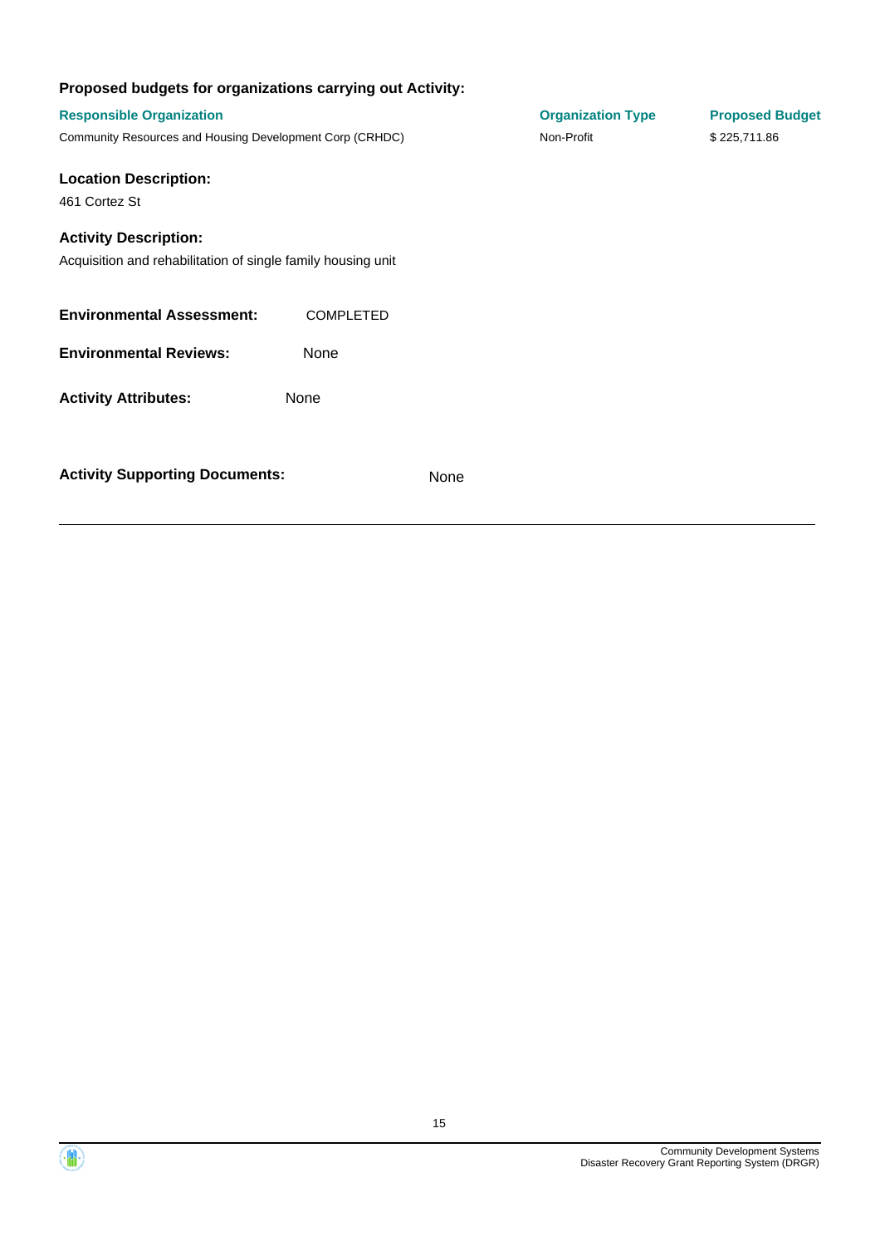| Proposed budgets for organizations carrying out Activity:                                    |                  |      |                          |                        |
|----------------------------------------------------------------------------------------------|------------------|------|--------------------------|------------------------|
| <b>Responsible Organization</b>                                                              |                  |      | <b>Organization Type</b> | <b>Proposed Budget</b> |
| Community Resources and Housing Development Corp (CRHDC)                                     |                  |      | Non-Profit               | \$225,711.86           |
| <b>Location Description:</b>                                                                 |                  |      |                          |                        |
| 461 Cortez St                                                                                |                  |      |                          |                        |
| <b>Activity Description:</b><br>Acquisition and rehabilitation of single family housing unit |                  |      |                          |                        |
| <b>Environmental Assessment:</b>                                                             | <b>COMPLETED</b> |      |                          |                        |
| <b>Environmental Reviews:</b>                                                                | None             |      |                          |                        |
| <b>Activity Attributes:</b>                                                                  | None             |      |                          |                        |
| <b>Activity Supporting Documents:</b>                                                        |                  | None |                          |                        |

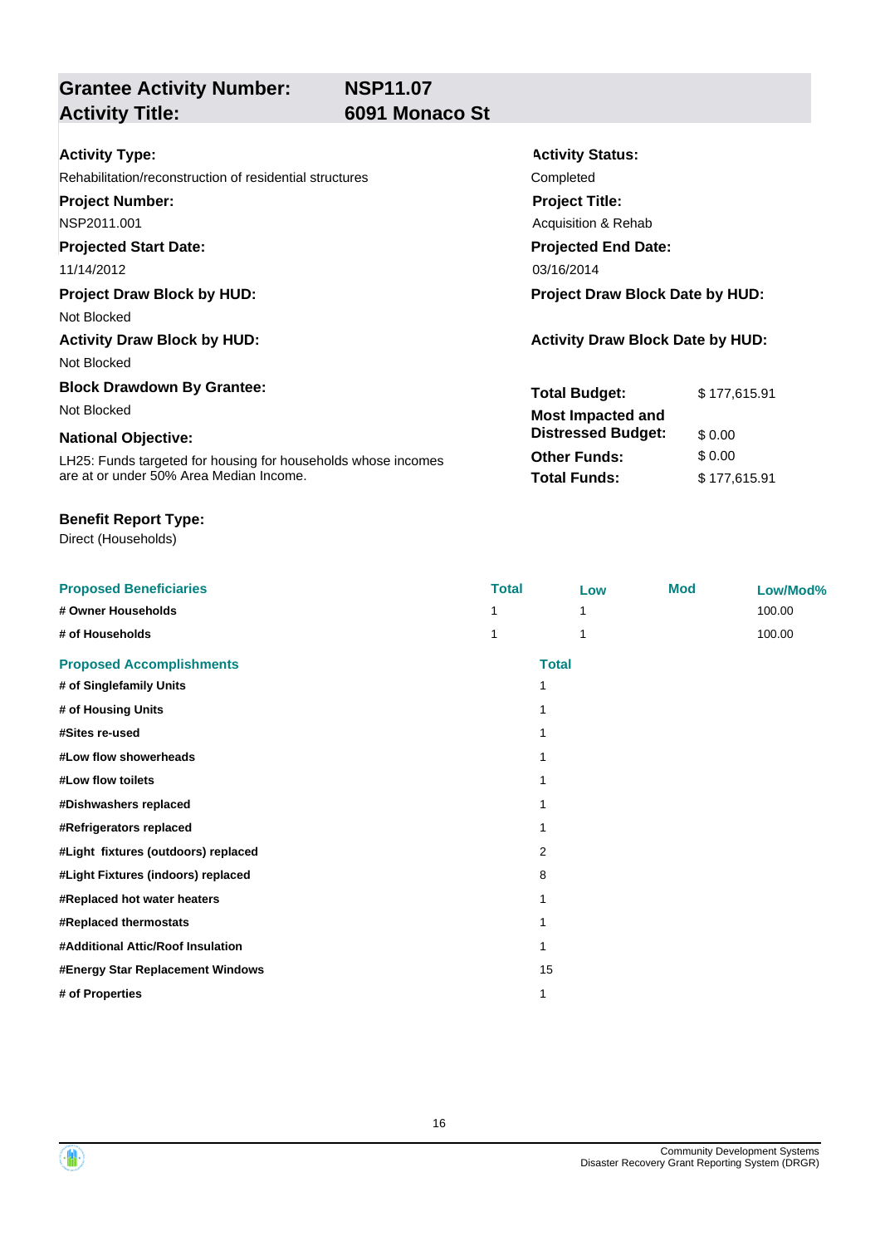## **Grantee Activity Number: Activity Title: 6091 Monaco St**

**Activity Status:**

**Project Title:** Acquisition & Rehab

**Projected End Date:**

**Total Budget:** \$ 177,615.91

**Other Funds:** \$ 0.00 **Total Funds:** \$ 177,615.91

**Distressed Budget:** \$ 0.00

| Activity Type: |  |
|----------------|--|
|----------------|--|

Rehabilitation/reconstruction of residential structures Completed

**Project Number:**

NSP2011.001

### **Projected Start Date:**

11/14/2012 03/16/2014

### **Project Draw Block by HUD: Project Draw Block Date by HUD:**

Not Blocked

### **Activity Draw Block by HUD: Activity Draw Block Date by HUD:**

Not Blocked

### **Block Drawdown By Grantee:**

Not Blocked **Most Impacted and** 

### **National Objective:**

LH25: Funds targeted for housing for households whose incomes are at or under 50% Area Median Income.

### **Benefit Report Type:**

| <b>Proposed Beneficiaries</b>       | <b>Total</b> | Low          | <b>Mod</b> | Low/Mod% |
|-------------------------------------|--------------|--------------|------------|----------|
| # Owner Households                  |              |              |            | 100.00   |
| # of Households                     |              |              |            | 100.00   |
| <b>Proposed Accomplishments</b>     |              | <b>Total</b> |            |          |
| # of Singlefamily Units             |              | 1            |            |          |
| # of Housing Units                  |              |              |            |          |
| #Sites re-used                      |              |              |            |          |
| #Low flow showerheads               |              |              |            |          |
| #Low flow toilets                   |              | 1            |            |          |
| #Dishwashers replaced               |              |              |            |          |
| #Refrigerators replaced             |              |              |            |          |
| #Light fixtures (outdoors) replaced |              | 2            |            |          |
| #Light Fixtures (indoors) replaced  |              | 8            |            |          |
| #Replaced hot water heaters         |              |              |            |          |
| #Replaced thermostats               |              | 1            |            |          |
| #Additional Attic/Roof Insulation   |              |              |            |          |
| #Energy Star Replacement Windows    |              | 15           |            |          |
| # of Properties                     |              | 1            |            |          |

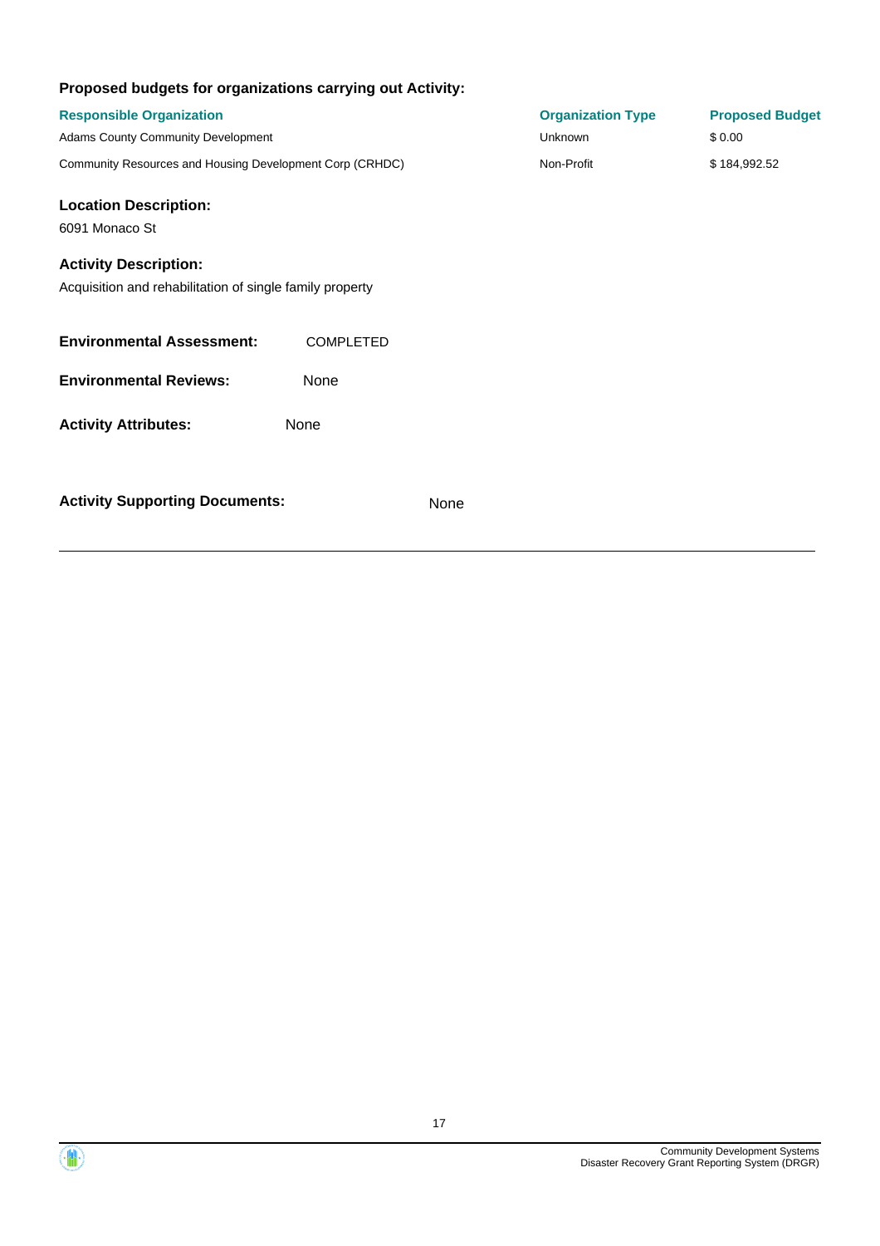| Proposed budgets for organizations carrying out Activity:                                |                  |                          |                        |
|------------------------------------------------------------------------------------------|------------------|--------------------------|------------------------|
| <b>Responsible Organization</b>                                                          |                  | <b>Organization Type</b> | <b>Proposed Budget</b> |
| Adams County Community Development                                                       |                  | <b>Unknown</b>           | \$0.00                 |
| Community Resources and Housing Development Corp (CRHDC)                                 |                  | Non-Profit               | \$184,992.52           |
| <b>Location Description:</b>                                                             |                  |                          |                        |
| 6091 Monaco St                                                                           |                  |                          |                        |
| <b>Activity Description:</b><br>Acquisition and rehabilitation of single family property |                  |                          |                        |
| <b>Environmental Assessment:</b>                                                         | <b>COMPLETED</b> |                          |                        |
| <b>Environmental Reviews:</b>                                                            | None             |                          |                        |
| <b>Activity Attributes:</b>                                                              | None             |                          |                        |
| <b>Activity Supporting Documents:</b>                                                    | None             |                          |                        |

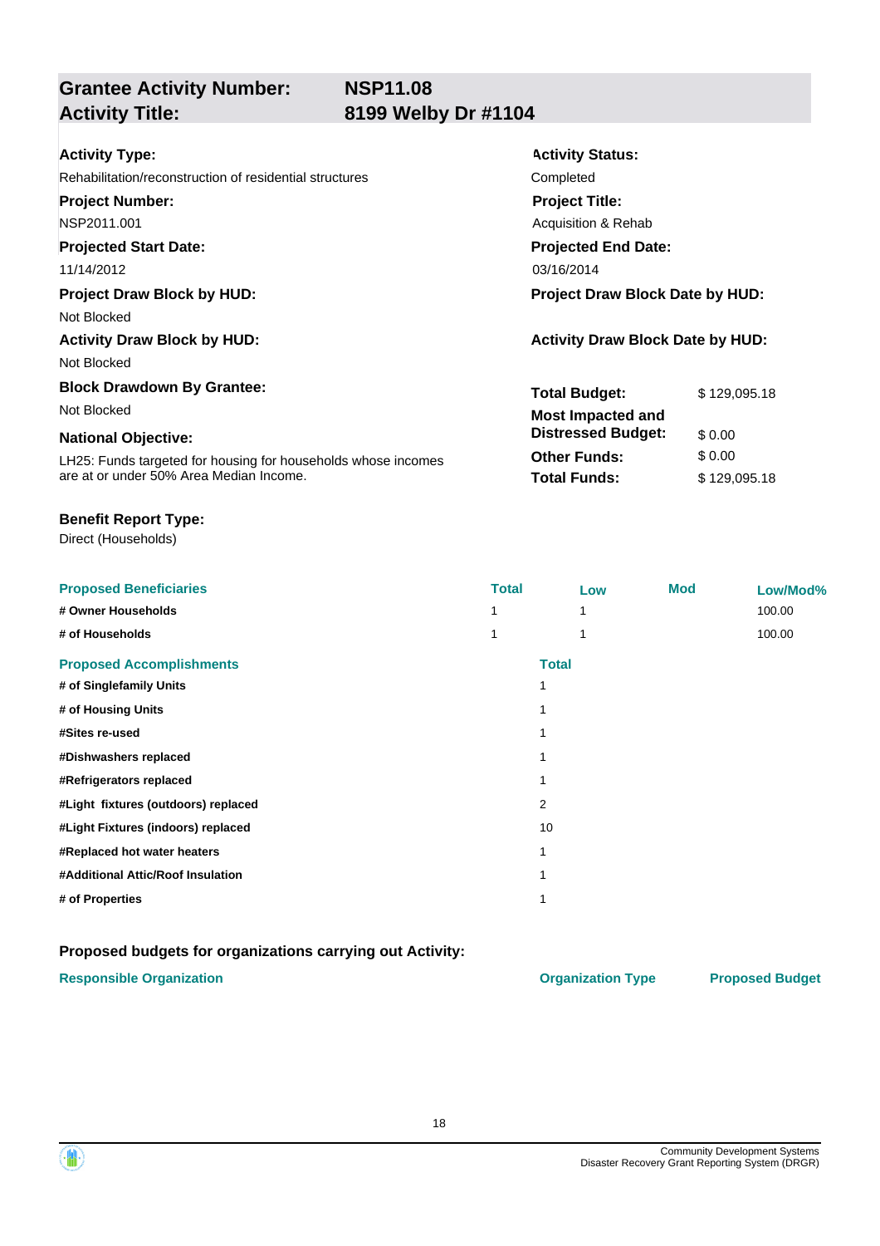## **Grantee Activity Number: Activity Title: 8199 Welby Dr #1104**

| <b>Activity Type:</b>                                         | <b>Activity Status:</b>                 |              |  |
|---------------------------------------------------------------|-----------------------------------------|--------------|--|
| Rehabilitation/reconstruction of residential structures       | Completed                               |              |  |
| <b>Project Number:</b>                                        | <b>Project Title:</b>                   |              |  |
| NSP2011.001                                                   | Acquisition & Rehab                     |              |  |
| <b>Projected Start Date:</b>                                  | <b>Projected End Date:</b>              |              |  |
| 11/14/2012                                                    | 03/16/2014                              |              |  |
| <b>Project Draw Block by HUD:</b>                             | <b>Project Draw Block Date by HUD:</b>  |              |  |
| Not Blocked                                                   |                                         |              |  |
| <b>Activity Draw Block by HUD:</b>                            | <b>Activity Draw Block Date by HUD:</b> |              |  |
| Not Blocked                                                   |                                         |              |  |
| <b>Block Drawdown By Grantee:</b>                             | <b>Total Budget:</b>                    | \$129,095.18 |  |
| Not Blocked                                                   | <b>Most Impacted and</b>                |              |  |
| <b>National Objective:</b>                                    | <b>Distressed Budget:</b>               | \$0.00       |  |
| LH25: Funds targeted for housing for households whose incomes | <b>Other Funds:</b>                     | \$0.00       |  |
| are at or under 50% Area Median Income.                       | <b>Total Funds:</b>                     | \$129,095.18 |  |

### **Benefit Report Type:**

Direct (Households)

| <b>Proposed Beneficiaries</b>       | <b>Total</b> | Low          | <b>Mod</b> | Low/Mod% |
|-------------------------------------|--------------|--------------|------------|----------|
| # Owner Households                  |              | 1            |            | 100.00   |
| # of Households                     |              |              |            | 100.00   |
| <b>Proposed Accomplishments</b>     |              | <b>Total</b> |            |          |
| # of Singlefamily Units             |              |              |            |          |
| # of Housing Units                  |              |              |            |          |
| #Sites re-used                      |              |              |            |          |
| #Dishwashers replaced               |              |              |            |          |
| #Refrigerators replaced             |              |              |            |          |
| #Light fixtures (outdoors) replaced |              | 2            |            |          |
| #Light Fixtures (indoors) replaced  |              | 10           |            |          |
| #Replaced hot water heaters         |              |              |            |          |
| #Additional Attic/Roof Insulation   |              |              |            |          |
| # of Properties                     |              |              |            |          |

### **Proposed budgets for organizations carrying out Activity:**

### **Responsible Organization COVID-10 COVID-10 Organization Type Proposed Budget**

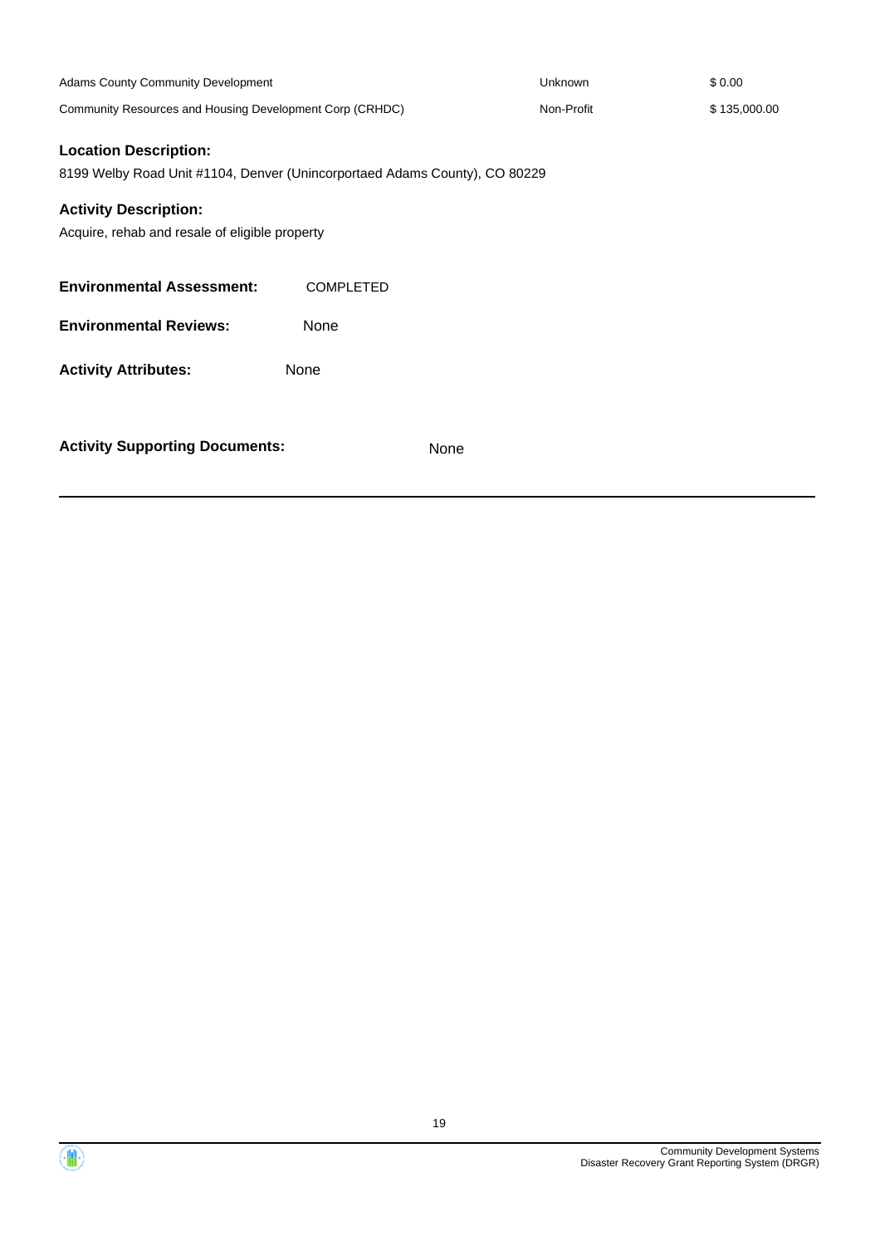| Adams County Community Development                                                                         |                  |      | Unknown    | \$0.00       |
|------------------------------------------------------------------------------------------------------------|------------------|------|------------|--------------|
| Community Resources and Housing Development Corp (CRHDC)                                                   |                  |      | Non-Profit | \$135,000.00 |
| <b>Location Description:</b><br>8199 Welby Road Unit #1104, Denver (Unincorportaed Adams County), CO 80229 |                  |      |            |              |
| <b>Activity Description:</b>                                                                               |                  |      |            |              |
| Acquire, rehab and resale of eligible property                                                             |                  |      |            |              |
| <b>Environmental Assessment:</b>                                                                           | <b>COMPLETED</b> |      |            |              |
| <b>Environmental Reviews:</b>                                                                              | None             |      |            |              |
| <b>Activity Attributes:</b>                                                                                | None             |      |            |              |
| <b>Activity Supporting Documents:</b>                                                                      |                  | None |            |              |

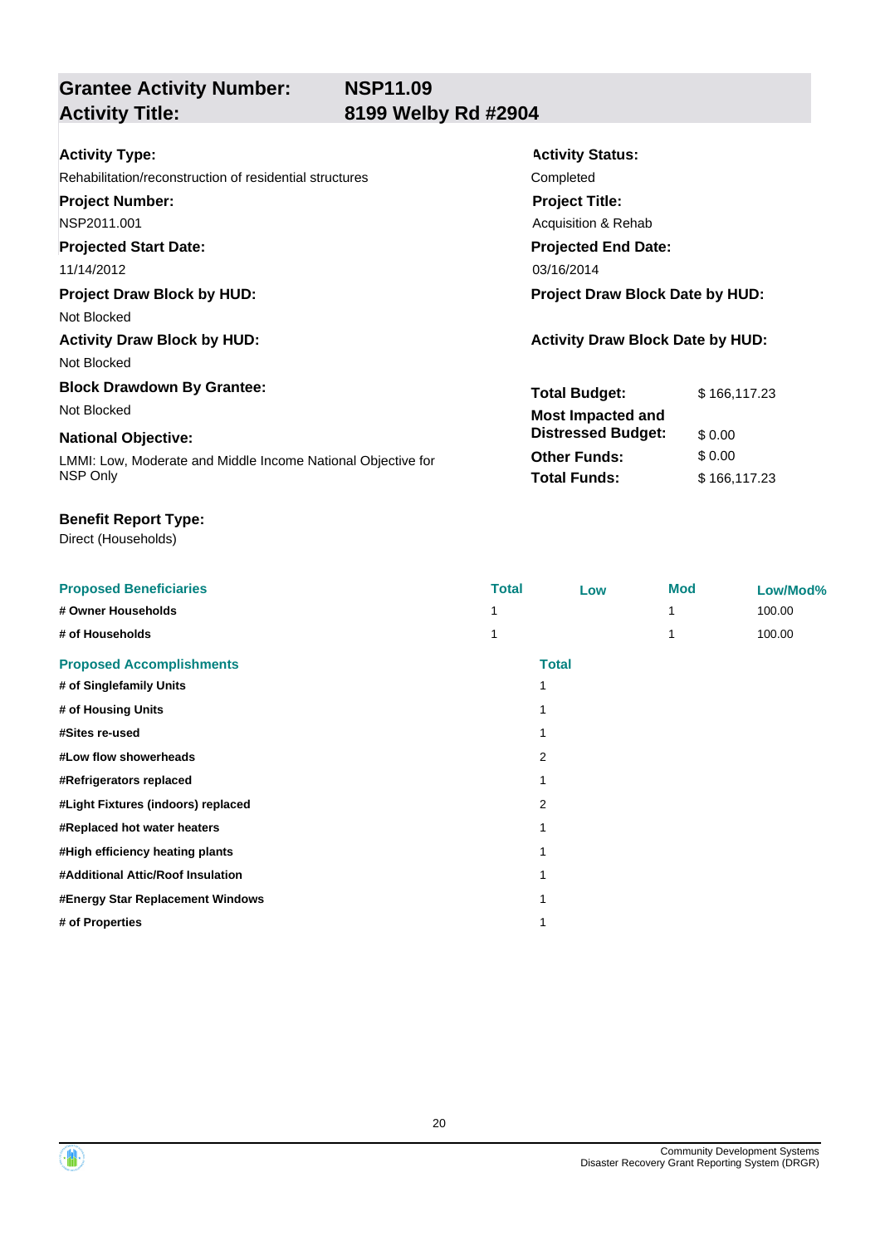# **Grantee Activity Number:**

## **Activity Title: 8199 Welby Rd #2904**

| <b>Activity Type:</b>                                        | <b>Activity Status:</b>                 |  |  |
|--------------------------------------------------------------|-----------------------------------------|--|--|
| Rehabilitation/reconstruction of residential structures      | Completed                               |  |  |
| <b>Project Number:</b>                                       | <b>Project Title:</b>                   |  |  |
| NSP2011.001                                                  | Acquisition & Rehab                     |  |  |
| <b>Projected Start Date:</b>                                 | <b>Projected End Date:</b>              |  |  |
| 11/14/2012                                                   | 03/16/2014                              |  |  |
| <b>Project Draw Block by HUD:</b>                            | <b>Project Draw Block Date by HUD:</b>  |  |  |
| Not Blocked                                                  |                                         |  |  |
| <b>Activity Draw Block by HUD:</b>                           | <b>Activity Draw Block Date by HUD:</b> |  |  |
| Not Blocked                                                  |                                         |  |  |
| <b>Block Drawdown By Grantee:</b>                            | <b>Total Budget:</b><br>\$166,117.23    |  |  |
| Not Blocked                                                  | <b>Most Impacted and</b>                |  |  |
| <b>National Objective:</b>                                   | <b>Distressed Budget:</b><br>\$0.00     |  |  |
| LMMI: Low, Moderate and Middle Income National Objective for | <b>Other Funds:</b><br>\$0.00           |  |  |
| NSP Only                                                     | <b>Total Funds:</b><br>\$166,117.23     |  |  |

### **Benefit Report Type:**

| <b>Proposed Beneficiaries</b>      | <b>Total</b> | Low          | <b>Mod</b> | Low/Mod% |
|------------------------------------|--------------|--------------|------------|----------|
| # Owner Households                 |              |              |            | 100.00   |
| # of Households                    |              |              |            | 100.00   |
| <b>Proposed Accomplishments</b>    |              | <b>Total</b> |            |          |
| # of Singlefamily Units            | 1            |              |            |          |
| # of Housing Units                 |              |              |            |          |
| #Sites re-used                     |              |              |            |          |
| #Low flow showerheads              |              | 2            |            |          |
| #Refrigerators replaced            |              |              |            |          |
| #Light Fixtures (indoors) replaced |              | 2            |            |          |
| #Replaced hot water heaters        |              |              |            |          |
| #High efficiency heating plants    |              |              |            |          |
| #Additional Attic/Roof Insulation  |              |              |            |          |
| #Energy Star Replacement Windows   |              |              |            |          |
| # of Properties                    |              |              |            |          |



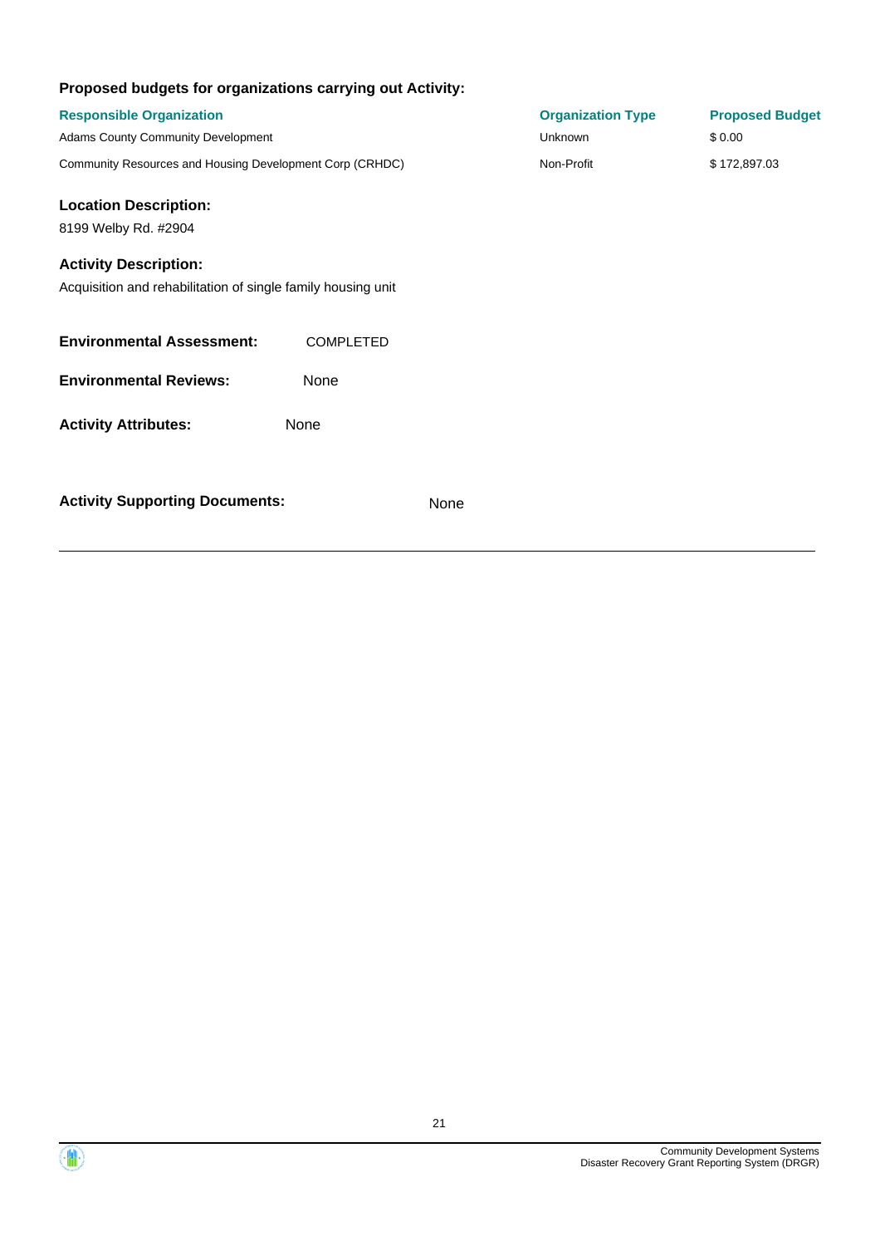| Proposed budgets for organizations carrying out Activity:                                    |                  |                          |                        |
|----------------------------------------------------------------------------------------------|------------------|--------------------------|------------------------|
| <b>Responsible Organization</b>                                                              |                  | <b>Organization Type</b> | <b>Proposed Budget</b> |
| Adams County Community Development                                                           |                  | <b>Unknown</b>           | \$0.00                 |
| Community Resources and Housing Development Corp (CRHDC)                                     |                  | Non-Profit               | \$172,897.03           |
| <b>Location Description:</b>                                                                 |                  |                          |                        |
| 8199 Welby Rd. #2904                                                                         |                  |                          |                        |
| <b>Activity Description:</b><br>Acquisition and rehabilitation of single family housing unit |                  |                          |                        |
| <b>Environmental Assessment:</b>                                                             | <b>COMPLETED</b> |                          |                        |
| <b>Environmental Reviews:</b>                                                                | None             |                          |                        |
| <b>Activity Attributes:</b>                                                                  | None             |                          |                        |
| <b>Activity Supporting Documents:</b>                                                        |                  | None                     |                        |

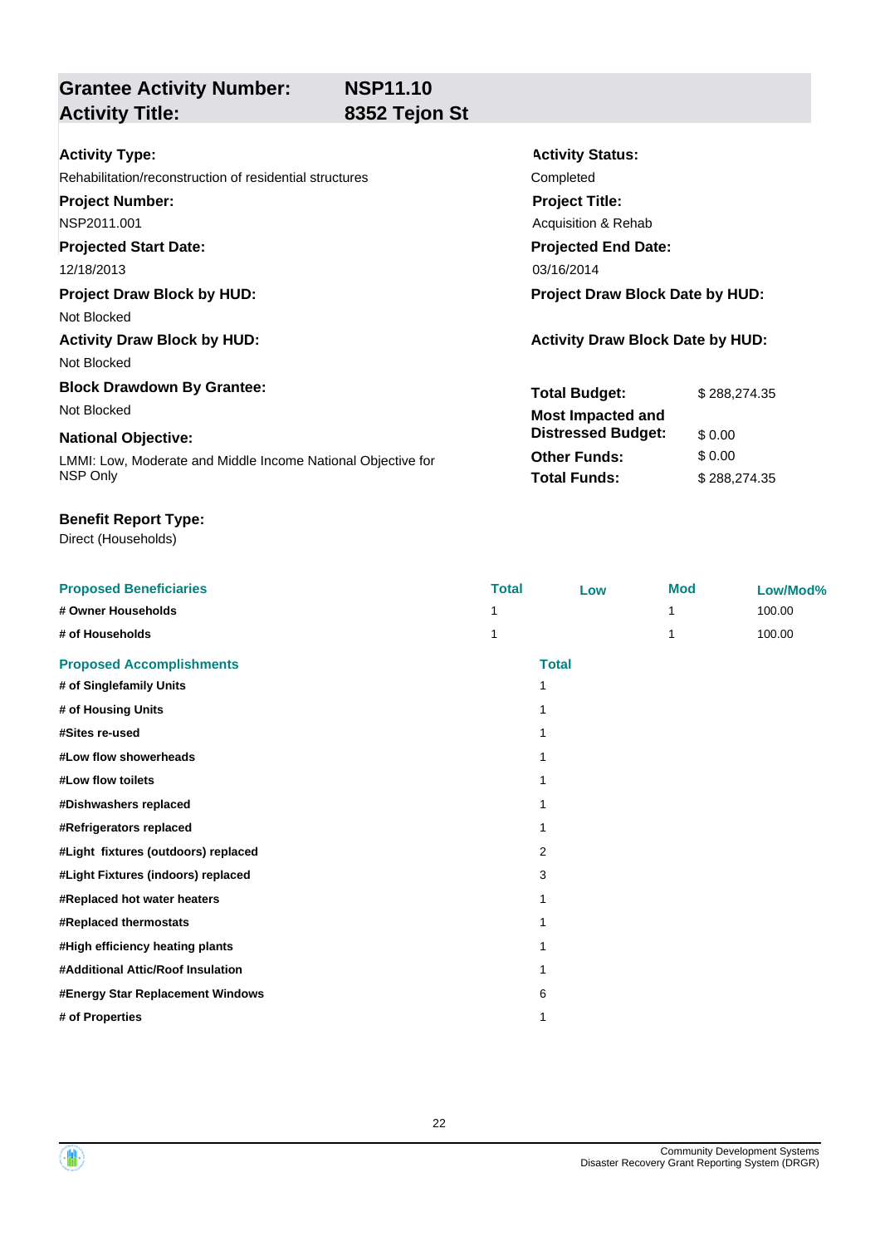**Grantee Activity Number: Activity Title: 8352 Tejon St**

**Activity Status:**

**Project Title:** Acquisition & Rehab

**Projected End Date:**

**Total Budget:** \$ 288,274.35

**Other Funds:** \$ 0.00 **Total Funds:** \$288,274.35

**Distressed Budget:** \$ 0.00

| <b>Activity Type:</b> |  |
|-----------------------|--|
|-----------------------|--|

Rehabilitation/reconstruction of residential structures Completed

**Project Number:**

NSP2011.001

**Projected Start Date:**

12/18/2013 03/16/2014

**Project Draw Block by HUD: Project Draw Block Date by HUD:**

Not Blocked

**Activity Draw Block by HUD: Activity Draw Block Date by HUD:**

Not Blocked

**Block Drawdown By Grantee:** Not Blocked **Most Impacted and** 

### **National Objective:**

LMMI: Low, Moderate and Middle Income National Objective for NSP Only

### **Benefit Report Type:**

| <b>Proposed Beneficiaries</b>       | <b>Total</b> | Low          | <b>Mod</b> | Low/Mod% |
|-------------------------------------|--------------|--------------|------------|----------|
| # Owner Households                  |              |              | 1          | 100.00   |
| # of Households                     |              |              | 1          | 100.00   |
| <b>Proposed Accomplishments</b>     |              | <b>Total</b> |            |          |
| # of Singlefamily Units             | 1            |              |            |          |
| # of Housing Units                  |              |              |            |          |
| #Sites re-used                      |              |              |            |          |
| #Low flow showerheads               |              |              |            |          |
| #Low flow toilets                   |              |              |            |          |
| #Dishwashers replaced               |              |              |            |          |
| #Refrigerators replaced             |              |              |            |          |
| #Light fixtures (outdoors) replaced | 2            |              |            |          |
| #Light Fixtures (indoors) replaced  | 3            |              |            |          |
| #Replaced hot water heaters         |              |              |            |          |
| #Replaced thermostats               |              |              |            |          |
| #High efficiency heating plants     |              |              |            |          |
| #Additional Attic/Roof Insulation   |              |              |            |          |
| #Energy Star Replacement Windows    | 6            |              |            |          |
| # of Properties                     |              |              |            |          |

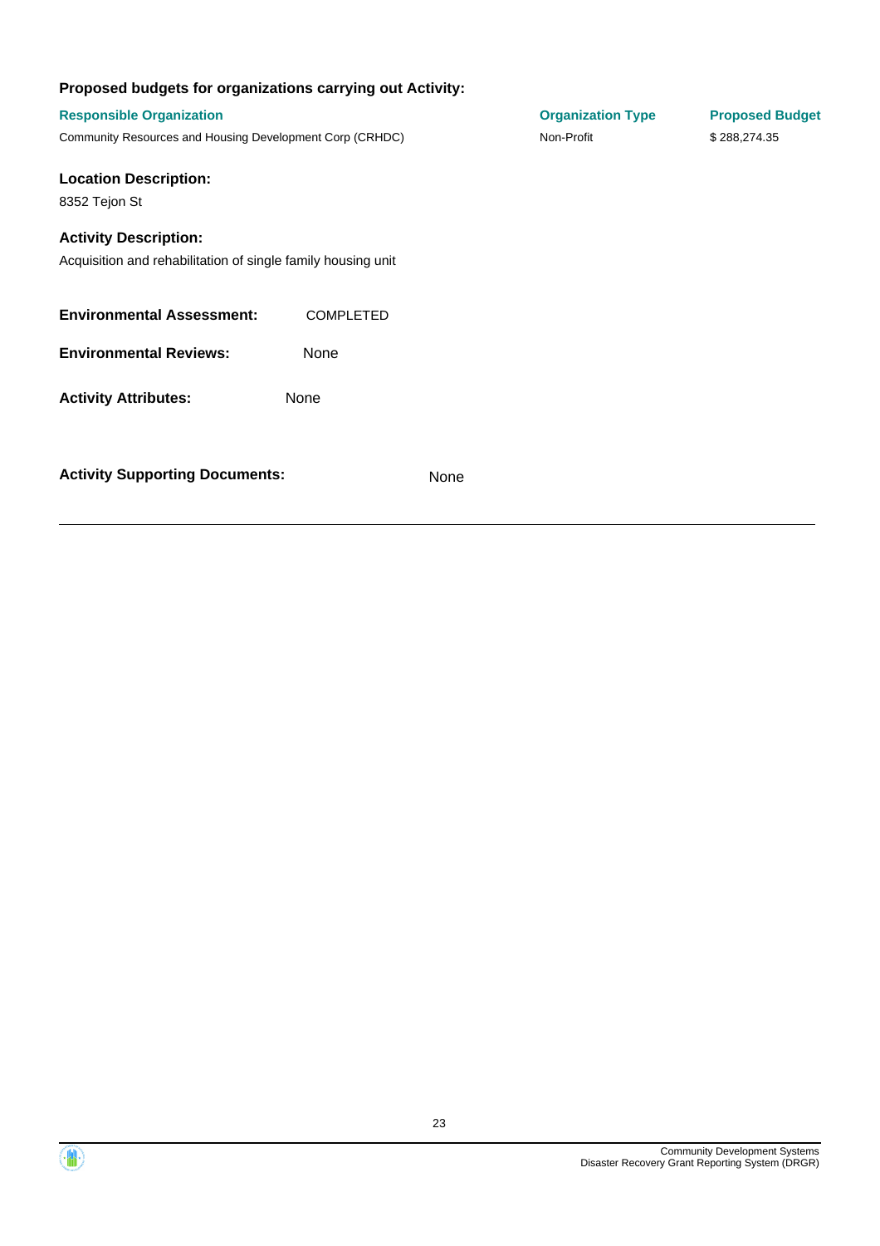| Proposed budgets for organizations carrying out Activity:                                    |                  |      |                          |                        |
|----------------------------------------------------------------------------------------------|------------------|------|--------------------------|------------------------|
| <b>Responsible Organization</b>                                                              |                  |      | <b>Organization Type</b> | <b>Proposed Budget</b> |
| Community Resources and Housing Development Corp (CRHDC)                                     |                  |      | Non-Profit               | \$288,274.35           |
| <b>Location Description:</b><br>8352 Tejon St                                                |                  |      |                          |                        |
| <b>Activity Description:</b><br>Acquisition and rehabilitation of single family housing unit |                  |      |                          |                        |
| <b>Environmental Assessment:</b>                                                             | <b>COMPLETED</b> |      |                          |                        |
| <b>Environmental Reviews:</b>                                                                | None             |      |                          |                        |
| <b>Activity Attributes:</b>                                                                  | None             |      |                          |                        |
| <b>Activity Supporting Documents:</b>                                                        |                  | None |                          |                        |

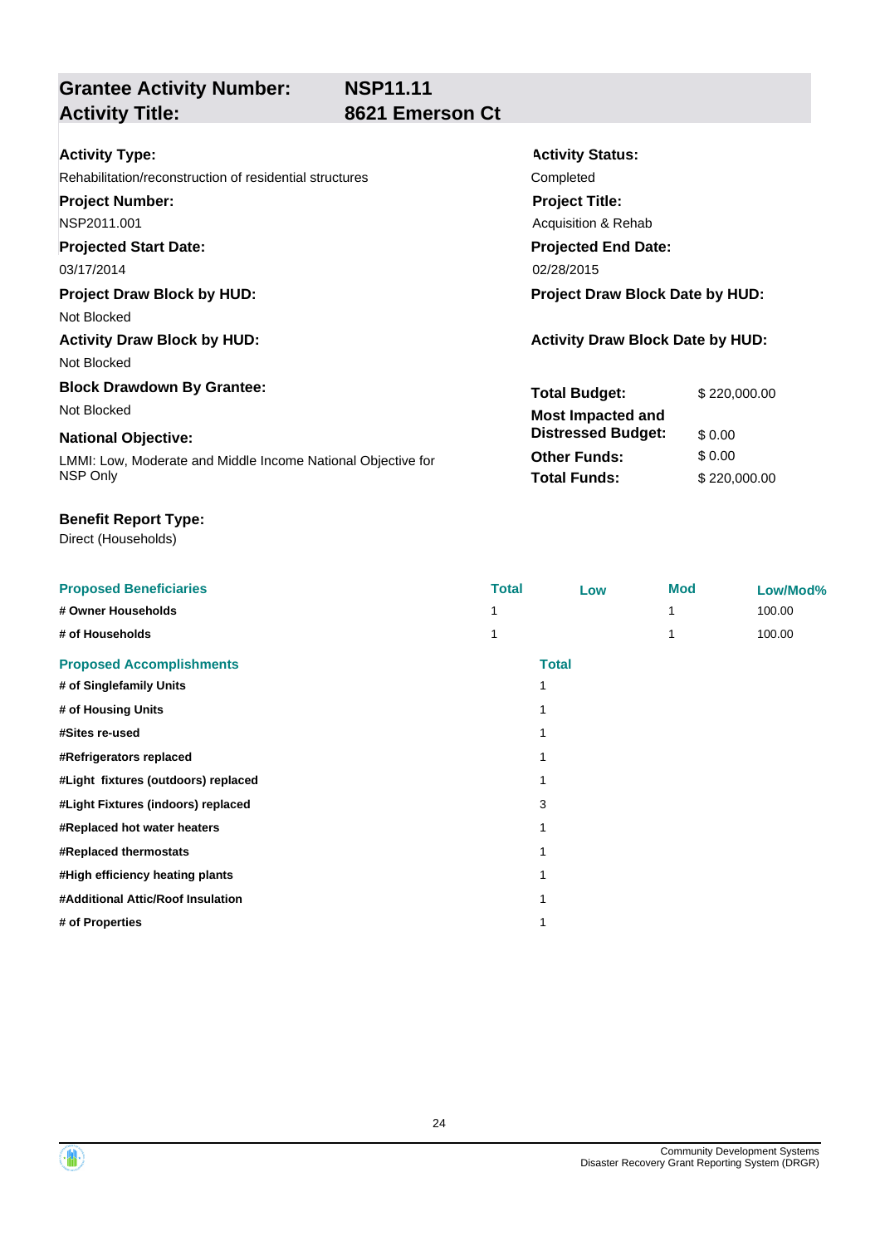## **Grantee Activity Number: Activity Title: 8621 Emerson Ct**

**Activity Status:**

**Project Title:** Acquisition & Rehab

**Projected End Date:**

**Total Budget:** \$ 220,000.00

**Other Funds:** \$ 0.00 **Total Funds:** \$220,000.00

**Distressed Budget:** \$ 0.00

| Activity Type: |  |
|----------------|--|
|----------------|--|

Rehabilitation/reconstruction of residential structures Completed

**Project Number:**

NSP2011.001

### **Projected Start Date:**

03/17/2014 02/28/2015

### **Project Draw Block by HUD: Project Draw Block Date by HUD:**

Not Blocked

## Activity Draw Block by HUD: **Activity Draw Block Date by HUD:** Activity Draw Block Date by HUD:

Not Blocked

### **Block Drawdown By Grantee:** Not Blocked **Most Impacted and**

### **National Objective:**

LMMI: Low, Moderate and Middle Income National Objective for NSP Only

### **Benefit Report Type:**

| <b>Proposed Beneficiaries</b>       | <b>Total</b> | Low          | <b>Mod</b> | Low/Mod% |
|-------------------------------------|--------------|--------------|------------|----------|
| # Owner Households                  |              |              |            | 100.00   |
| # of Households                     |              |              |            | 100.00   |
| <b>Proposed Accomplishments</b>     |              | <b>Total</b> |            |          |
| # of Singlefamily Units             |              |              |            |          |
| # of Housing Units                  |              |              |            |          |
| #Sites re-used                      |              |              |            |          |
| #Refrigerators replaced             |              |              |            |          |
| #Light fixtures (outdoors) replaced |              |              |            |          |
| #Light Fixtures (indoors) replaced  | 3            |              |            |          |
| #Replaced hot water heaters         |              |              |            |          |
| #Replaced thermostats               |              |              |            |          |
| #High efficiency heating plants     |              |              |            |          |
| #Additional Attic/Roof Insulation   |              |              |            |          |
| # of Properties                     |              |              |            |          |

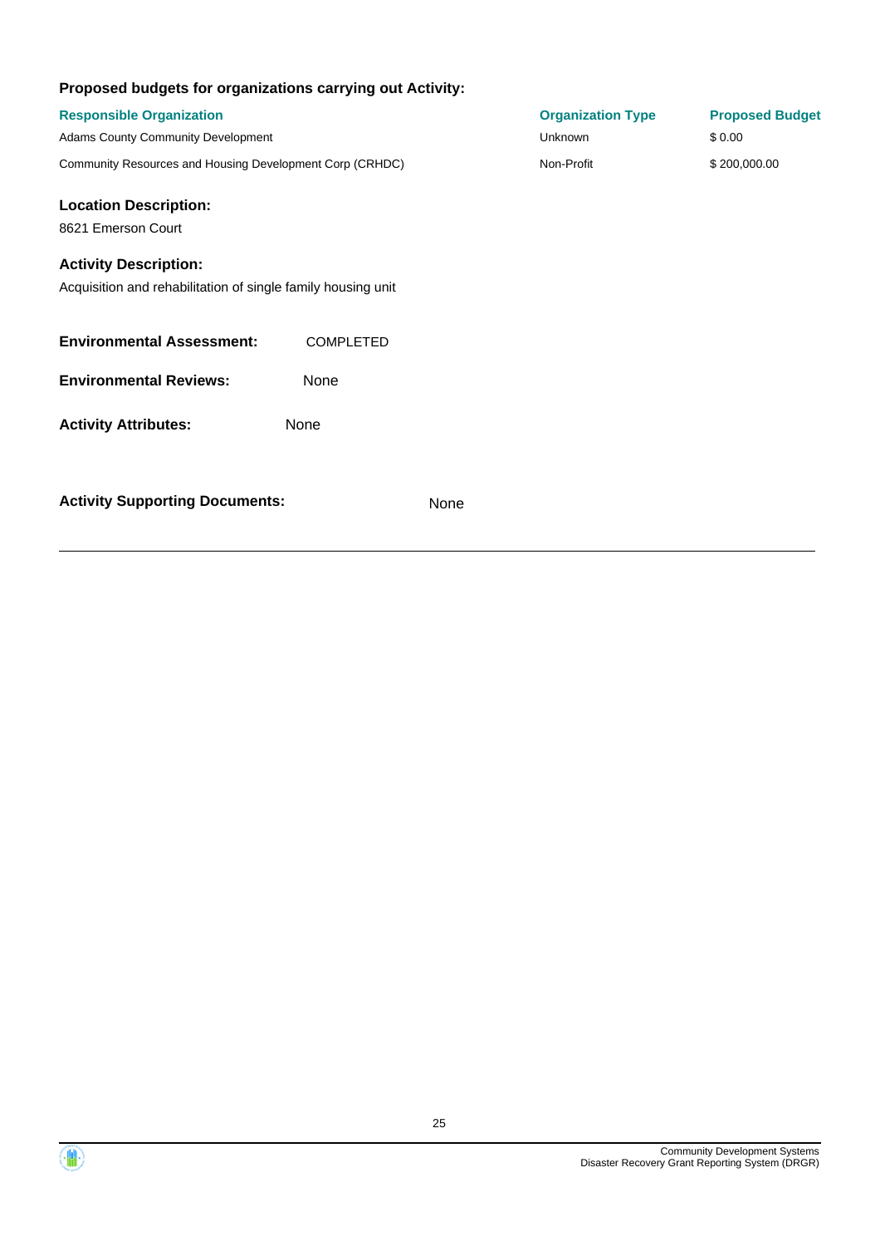| Proposed budgets for organizations carrying out Activity:                                                                                          |                  |                                            |                                  |
|----------------------------------------------------------------------------------------------------------------------------------------------------|------------------|--------------------------------------------|----------------------------------|
| <b>Responsible Organization</b><br>Adams County Community Development                                                                              |                  | <b>Organization Type</b><br><b>Unknown</b> | <b>Proposed Budget</b><br>\$0.00 |
| Community Resources and Housing Development Corp (CRHDC)                                                                                           |                  | Non-Profit                                 | \$200,000.00                     |
| <b>Location Description:</b><br>8621 Emerson Court<br><b>Activity Description:</b><br>Acquisition and rehabilitation of single family housing unit |                  |                                            |                                  |
| <b>Environmental Assessment:</b>                                                                                                                   | <b>COMPLETED</b> |                                            |                                  |
| <b>Environmental Reviews:</b>                                                                                                                      | None             |                                            |                                  |
| <b>Activity Attributes:</b>                                                                                                                        | None             |                                            |                                  |
| <b>Activity Supporting Documents:</b>                                                                                                              |                  | None                                       |                                  |

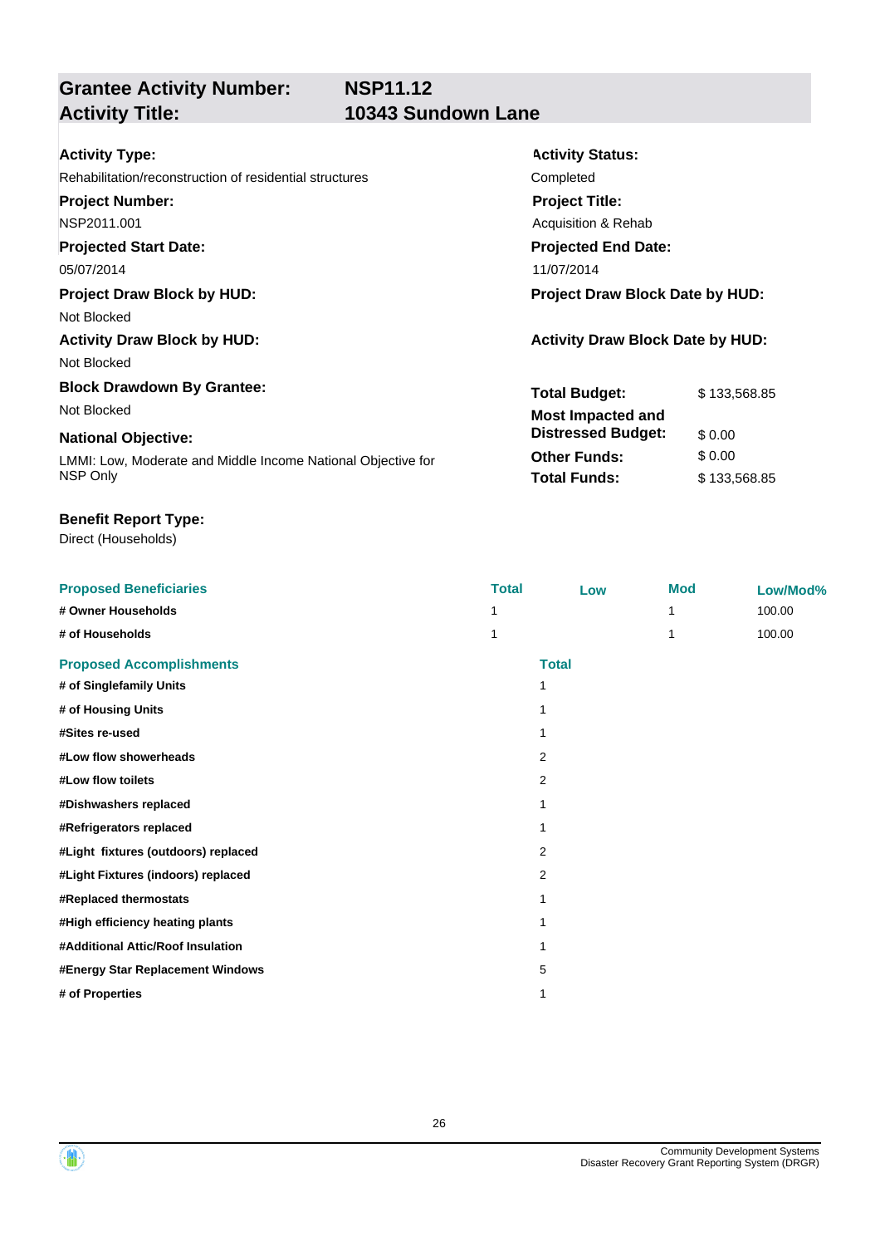## **Grantee Activity Number: Activity Title: 10343 Sundown Lane**

**Activity Status:**

**Project Title:** Acquisition & Rehab

**Projected End Date:**

**Total Budget:** \$ 133,568.85

**Other Funds:** \$ 0.00 **Total Funds:** \$ 133,568.85

**Distressed Budget:** \$ 0.00

## Rehabilitation/reconstruction of residential structures Completed

**Project Number:**

## NSP2011.001

**Projected Start Date:**

### 05/07/2014 11/07/2014

### **Project Draw Block by HUD: Project Draw Block Date by HUD:**

Not Blocked

## Activity Draw Block by HUD: **Activity Draw Block Date by HUD:** Activity Draw Block Date by HUD:

Not Blocked

## **Block Drawdown By Grantee:**

Not Blocked **Most Impacted and** 

### **National Objective:**

LMMI: Low, Moderate and Middle Income National Objective for NSP Only

### **Benefit Report Type:**

| <b>Proposed Beneficiaries</b>       | <b>Total</b> | Low          | <b>Mod</b> | Low/Mod% |
|-------------------------------------|--------------|--------------|------------|----------|
| # Owner Households                  |              |              | 1          | 100.00   |
| # of Households                     | 1            |              | 1          | 100.00   |
| <b>Proposed Accomplishments</b>     |              | <b>Total</b> |            |          |
| # of Singlefamily Units             | 1            |              |            |          |
| # of Housing Units                  |              |              |            |          |
| #Sites re-used                      | 1            |              |            |          |
| #Low flow showerheads               |              | 2            |            |          |
| #Low flow toilets                   |              | 2            |            |          |
| #Dishwashers replaced               |              |              |            |          |
| #Refrigerators replaced             |              |              |            |          |
| #Light fixtures (outdoors) replaced |              | 2            |            |          |
| #Light Fixtures (indoors) replaced  |              | 2            |            |          |
| #Replaced thermostats               | 1            |              |            |          |
| #High efficiency heating plants     |              |              |            |          |
| #Additional Attic/Roof Insulation   | 1            |              |            |          |
| #Energy Star Replacement Windows    |              | 5            |            |          |
| # of Properties                     | 1            |              |            |          |



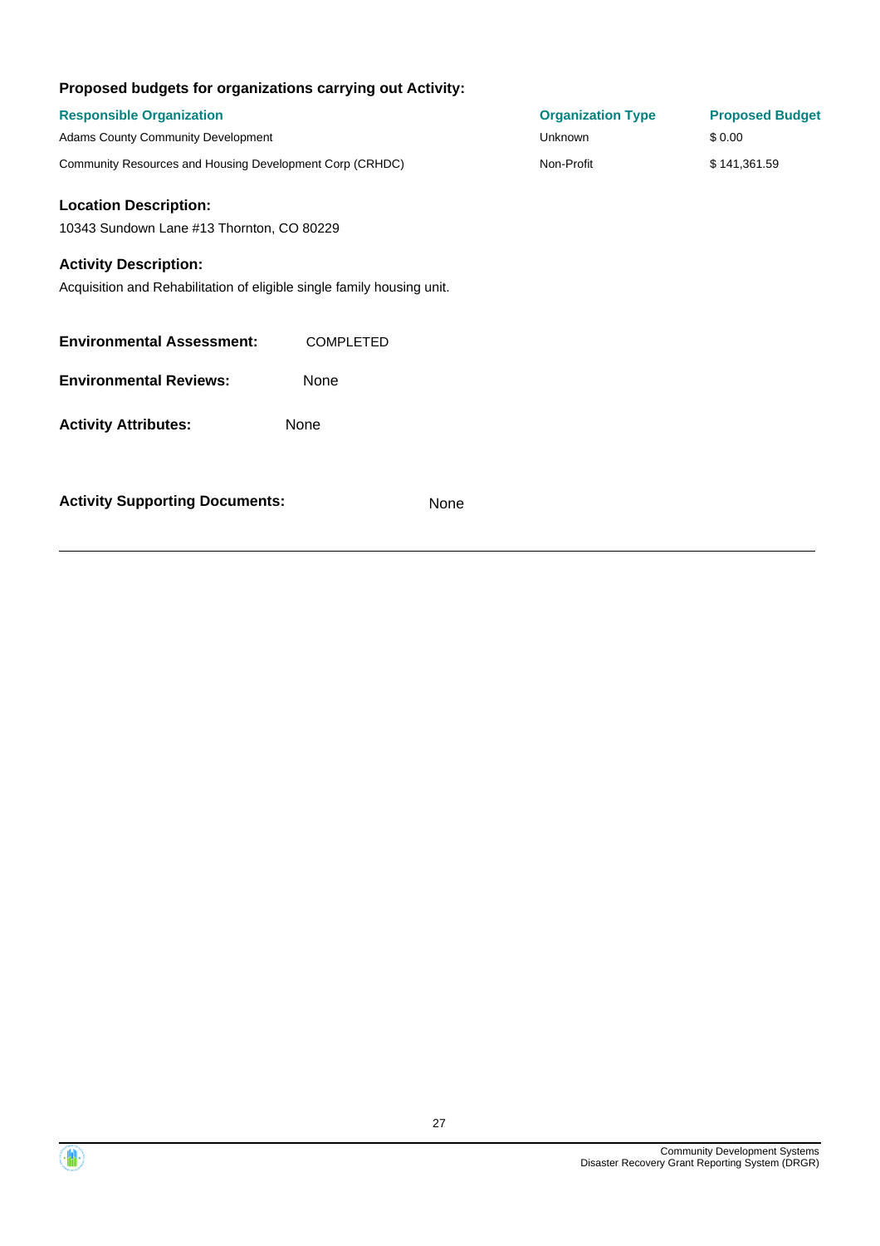| Proposed budgets for organizations carrying out Activity:              |                  |                          |                        |
|------------------------------------------------------------------------|------------------|--------------------------|------------------------|
| <b>Responsible Organization</b>                                        |                  | <b>Organization Type</b> | <b>Proposed Budget</b> |
| <b>Adams County Community Development</b>                              |                  | Unknown                  | \$0.00                 |
| Community Resources and Housing Development Corp (CRHDC)               |                  | Non-Profit               | \$141,361.59           |
| <b>Location Description:</b>                                           |                  |                          |                        |
| 10343 Sundown Lane #13 Thornton, CO 80229                              |                  |                          |                        |
| <b>Activity Description:</b>                                           |                  |                          |                        |
| Acquisition and Rehabilitation of eligible single family housing unit. |                  |                          |                        |
| <b>Environmental Assessment:</b>                                       | <b>COMPLETED</b> |                          |                        |
| <b>Environmental Reviews:</b>                                          | None             |                          |                        |
| <b>Activity Attributes:</b>                                            | None             |                          |                        |
| <b>Activity Supporting Documents:</b>                                  | None             |                          |                        |

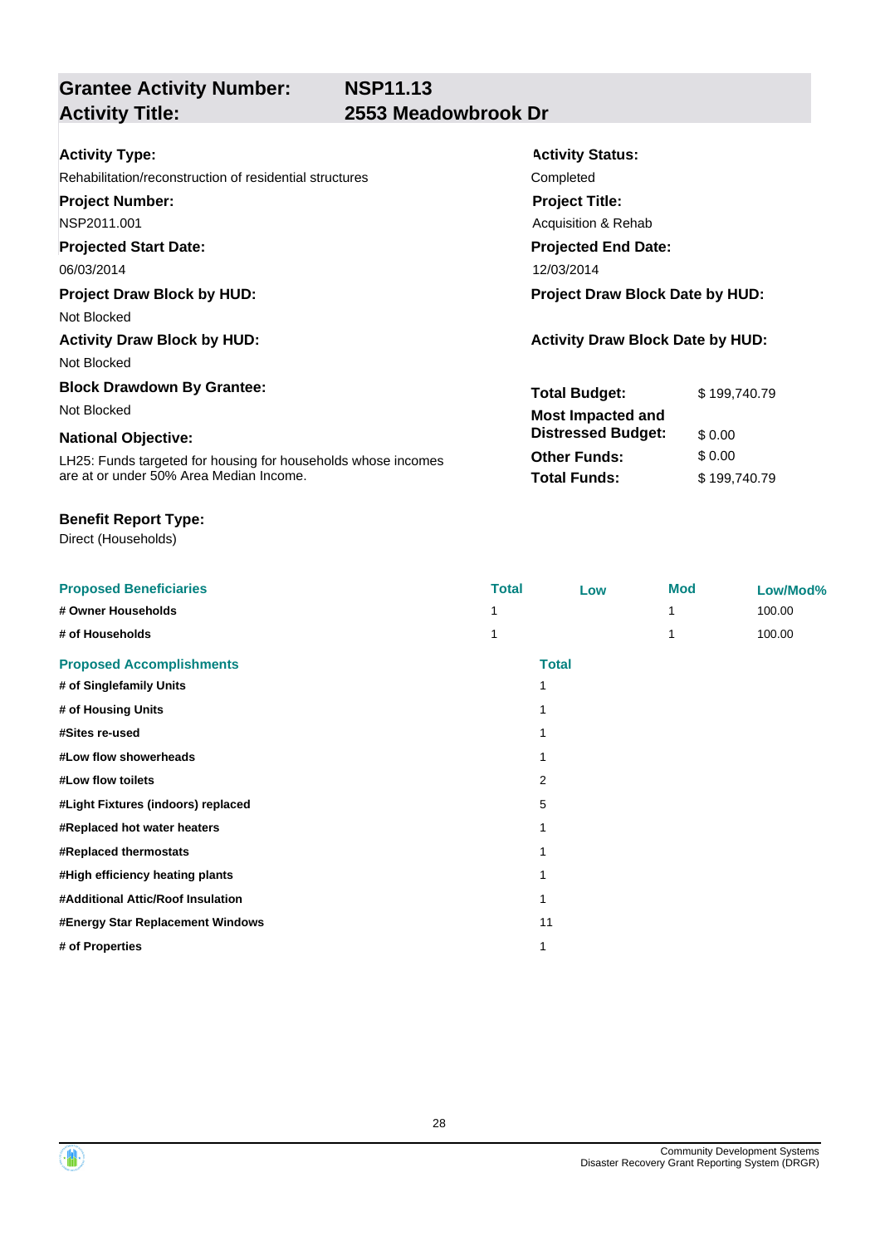**Grantee Activity Number:**

## **Activity Title: 2553 Meadowbrook Dr**

| <b>Project Draw Block Date by HUD:</b>  |
|-----------------------------------------|
|                                         |
| <b>Activity Draw Block Date by HUD:</b> |
|                                         |
| \$199,740.79                            |
|                                         |
|                                         |
|                                         |
| \$199,740.79                            |
|                                         |

### **Benefit Report Type:**

| <b>Proposed Beneficiaries</b>      | <b>Total</b> | Low          | <b>Mod</b> | Low/Mod% |
|------------------------------------|--------------|--------------|------------|----------|
| # Owner Households                 |              |              |            | 100.00   |
| # of Households                    |              |              |            | 100.00   |
| <b>Proposed Accomplishments</b>    |              | <b>Total</b> |            |          |
| # of Singlefamily Units            | 1            |              |            |          |
| # of Housing Units                 |              |              |            |          |
| #Sites re-used                     | 1            |              |            |          |
| #Low flow showerheads              | 1            |              |            |          |
| #Low flow toilets                  | 2            |              |            |          |
| #Light Fixtures (indoors) replaced | 5            |              |            |          |
| #Replaced hot water heaters        | 1            |              |            |          |
| #Replaced thermostats              | 1            |              |            |          |
| #High efficiency heating plants    | 1            |              |            |          |
| #Additional Attic/Roof Insulation  | 1            |              |            |          |
| #Energy Star Replacement Windows   | 11           |              |            |          |
| # of Properties                    | 1            |              |            |          |



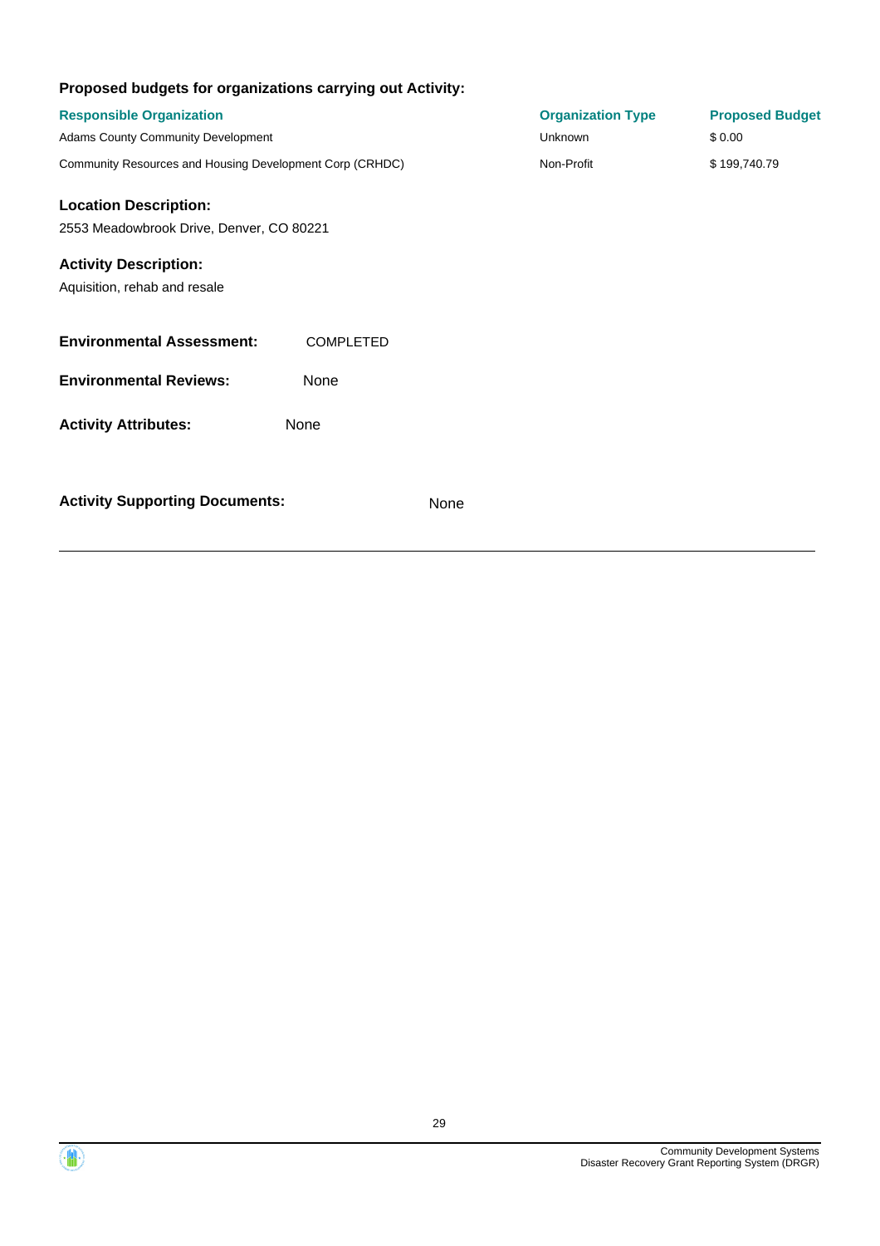| Proposed budgets for organizations carrying out Activity:    |                  |      |                          |                        |
|--------------------------------------------------------------|------------------|------|--------------------------|------------------------|
| <b>Responsible Organization</b>                              |                  |      | <b>Organization Type</b> | <b>Proposed Budget</b> |
| <b>Adams County Community Development</b>                    |                  |      | <b>Unknown</b>           | \$0.00                 |
| Community Resources and Housing Development Corp (CRHDC)     |                  |      | Non-Profit               | \$199,740.79           |
| <b>Location Description:</b>                                 |                  |      |                          |                        |
| 2553 Meadowbrook Drive, Denver, CO 80221                     |                  |      |                          |                        |
| <b>Activity Description:</b><br>Aquisition, rehab and resale |                  |      |                          |                        |
| <b>Environmental Assessment:</b>                             | <b>COMPLETED</b> |      |                          |                        |
| <b>Environmental Reviews:</b>                                | None             |      |                          |                        |
| <b>Activity Attributes:</b>                                  | None             |      |                          |                        |
| <b>Activity Supporting Documents:</b>                        |                  | None |                          |                        |

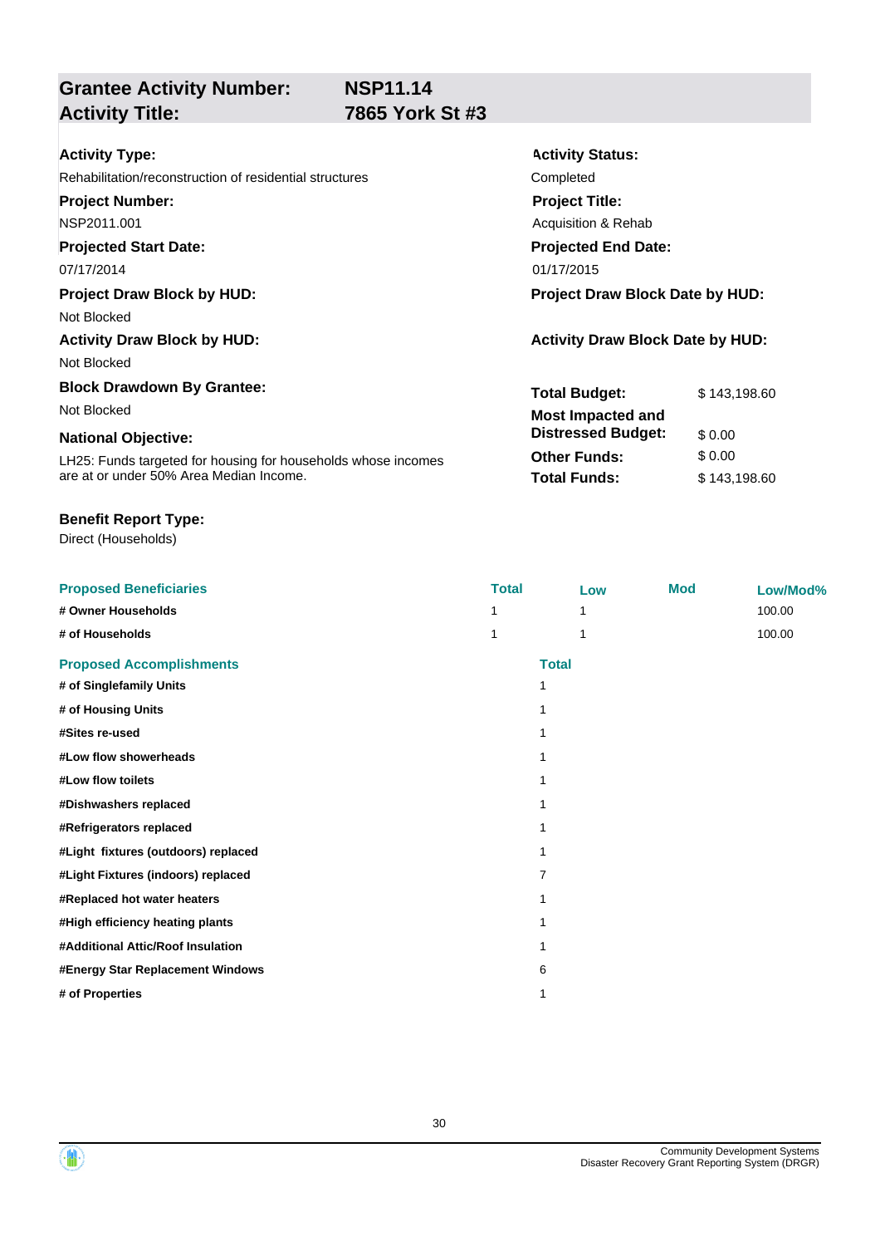### **Grantee Activity Number: Activity Title: 7865 York St #3**

|  | . <del>.</del>        |  |
|--|-----------------------|--|
|  | <b>7865 York St #</b> |  |

**Activity Status:**

**Project Title:** Acquisition & Rehab

**Projected End Date:**

**Total Budget:** \$143,198.60

**Other Funds:** \$ 0.00 **Total Funds:** \$ 143,198.60

**Distressed Budget:** \$ 0.00

| Activity Type: |  |
|----------------|--|
|----------------|--|

### Rehabilitation/reconstruction of residential structures Completed

**Project Number:**

NSP2011.001

### **Projected Start Date:**

07/17/2014 01/17/2015

### **Project Draw Block by HUD: Project Draw Block Date by HUD:**

Not Blocked

### Activity Draw Block by HUD: **Activity Draw Block Date by HUD:** Activity Draw Block Date by HUD:

Not Blocked

### **Block Drawdown By Grantee:**

Not Blocked **Most Impacted and** 

### **National Objective:**

LH25: Funds targeted for housing for households whose incomes are at or under 50% Area Median Income.

**# of Properties** 1

### **Benefit Report Type:**

Direct (Households)

**Proposed Beneficiaries Total Low Mod Low/Mod% # Owner Households** 1 1 1 1 100.00 **# of Households** 1 1 100.00 **Proposed Accomplishments Total # of Singlefamily Units** 1 **# of Housing Units** 1 **#Sites re-used** 1 **#Low flow showerheads** 1 **#Low flow toilets** 1 **#Dishwashers replaced** 1 **#Refrigerators replaced** 1 **#Light fixtures (outdoors) replaced** 1 **#Light Fixtures (indoors) replaced** 7 **#Replaced hot water heaters** 1 **#High efficiency heating plants** 1 **#Additional Attic/Roof Insulation** 1 **#Energy Star Replacement Windows** 6



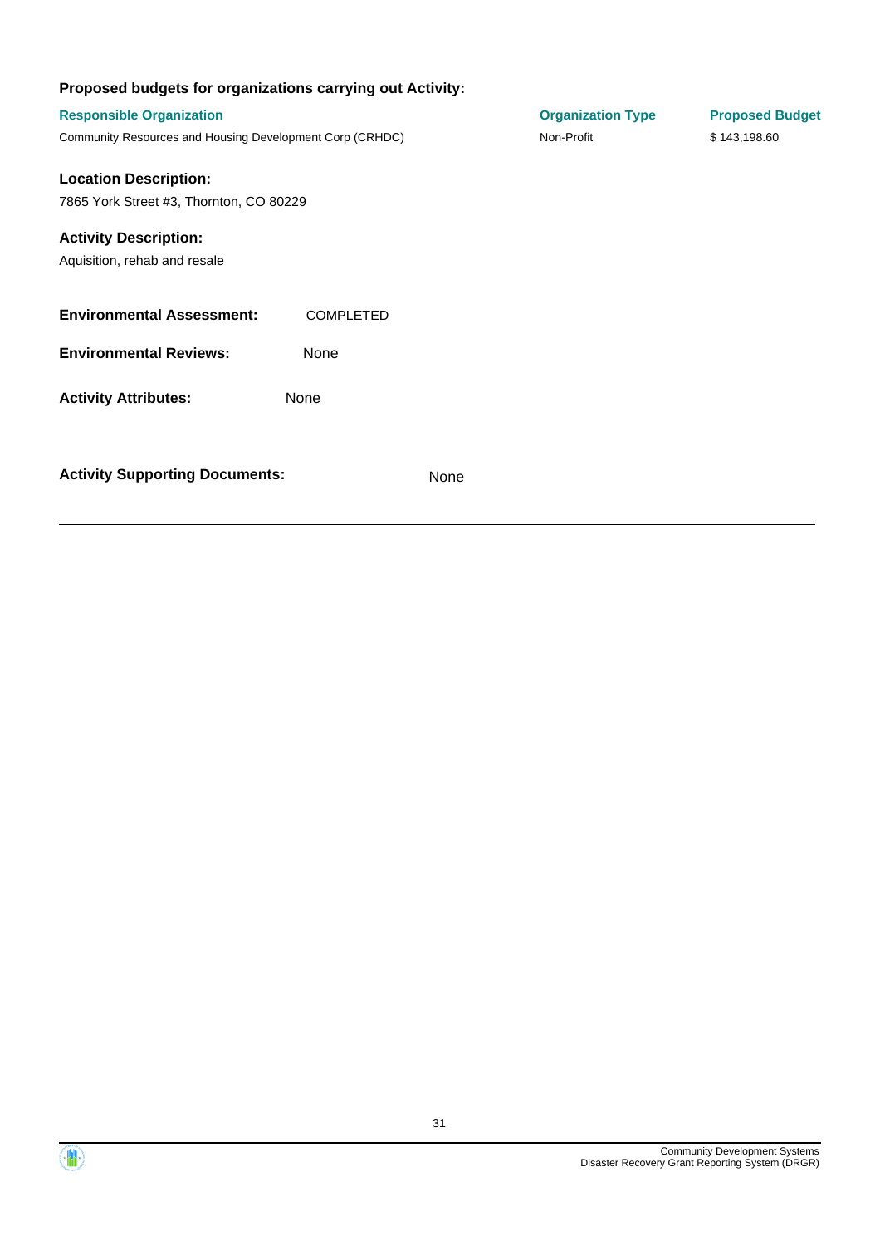| Proposed budgets for organizations carrying out Activity: |                  |      |                          |                        |
|-----------------------------------------------------------|------------------|------|--------------------------|------------------------|
| <b>Responsible Organization</b>                           |                  |      | <b>Organization Type</b> | <b>Proposed Budget</b> |
| Community Resources and Housing Development Corp (CRHDC)  |                  |      | Non-Profit               | \$143,198.60           |
| <b>Location Description:</b>                              |                  |      |                          |                        |
| 7865 York Street #3, Thornton, CO 80229                   |                  |      |                          |                        |
| <b>Activity Description:</b>                              |                  |      |                          |                        |
| Aquisition, rehab and resale                              |                  |      |                          |                        |
| <b>Environmental Assessment:</b>                          | <b>COMPLETED</b> |      |                          |                        |
| <b>Environmental Reviews:</b>                             | None             |      |                          |                        |
| <b>Activity Attributes:</b>                               | None             |      |                          |                        |
|                                                           |                  |      |                          |                        |
| <b>Activity Supporting Documents:</b>                     |                  | None |                          |                        |

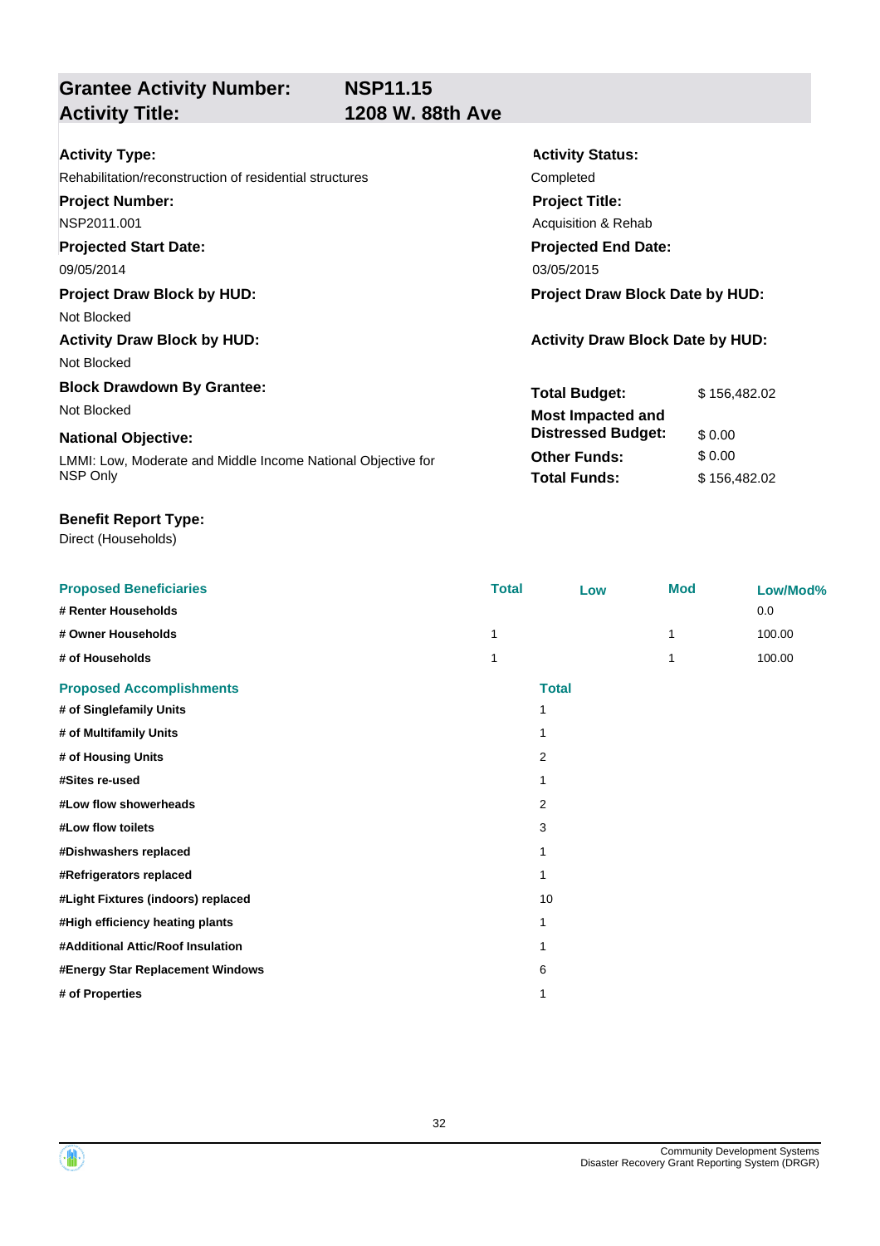**Grantee Activity Number: Activity Title: 1208 W. 88th Ave**

**Activity Status:**

**Project Title:** Acquisition & Rehab

**Projected End Date:**

**Total Budget:** \$ 156,482.02

**Other Funds:** \$ 0.00 **Total Funds:** \$ 156,482.02

**Distressed Budget:** \$ 0.00

| <b>Activity Type:</b> |  |
|-----------------------|--|
|-----------------------|--|

## Rehabilitation/reconstruction of residential structures Completed

**Project Number:**

NSP2011.001

### **Projected Start Date:**

09/05/2014 03/05/2015

### **Project Draw Block by HUD: Project Draw Block Date by HUD:**

Not Blocked

## **Activity Draw Block by HUD: Activity Draw Block Date by HUD:**

Not Blocked

## **Block Drawdown By Grantee:**

Not Blocked **Most Impacted and** 

### **National Objective:**

LMMI: Low, Moderate and Middle Income National Objective for NSP Only

### **Benefit Report Type:**

| <b>Proposed Beneficiaries</b>      | <b>Total</b>   | Low          | <b>Mod</b> | Low/Mod% |
|------------------------------------|----------------|--------------|------------|----------|
| # Renter Households                |                |              |            | 0.0      |
| # Owner Households                 | 1              |              |            | 100.00   |
| # of Households                    |                |              |            | 100.00   |
| <b>Proposed Accomplishments</b>    |                | <b>Total</b> |            |          |
| # of Singlefamily Units            | 1              |              |            |          |
| # of Multifamily Units             | 1              |              |            |          |
| # of Housing Units                 | $\overline{2}$ |              |            |          |
| #Sites re-used                     | 1              |              |            |          |
| #Low flow showerheads              | 2              |              |            |          |
| #Low flow toilets                  | 3              |              |            |          |
| #Dishwashers replaced              | 1              |              |            |          |
| #Refrigerators replaced            | 1              |              |            |          |
| #Light Fixtures (indoors) replaced | 10             |              |            |          |
| #High efficiency heating plants    | 1              |              |            |          |
| #Additional Attic/Roof Insulation  | 1              |              |            |          |
| #Energy Star Replacement Windows   | 6              |              |            |          |
| # of Properties                    | 1              |              |            |          |

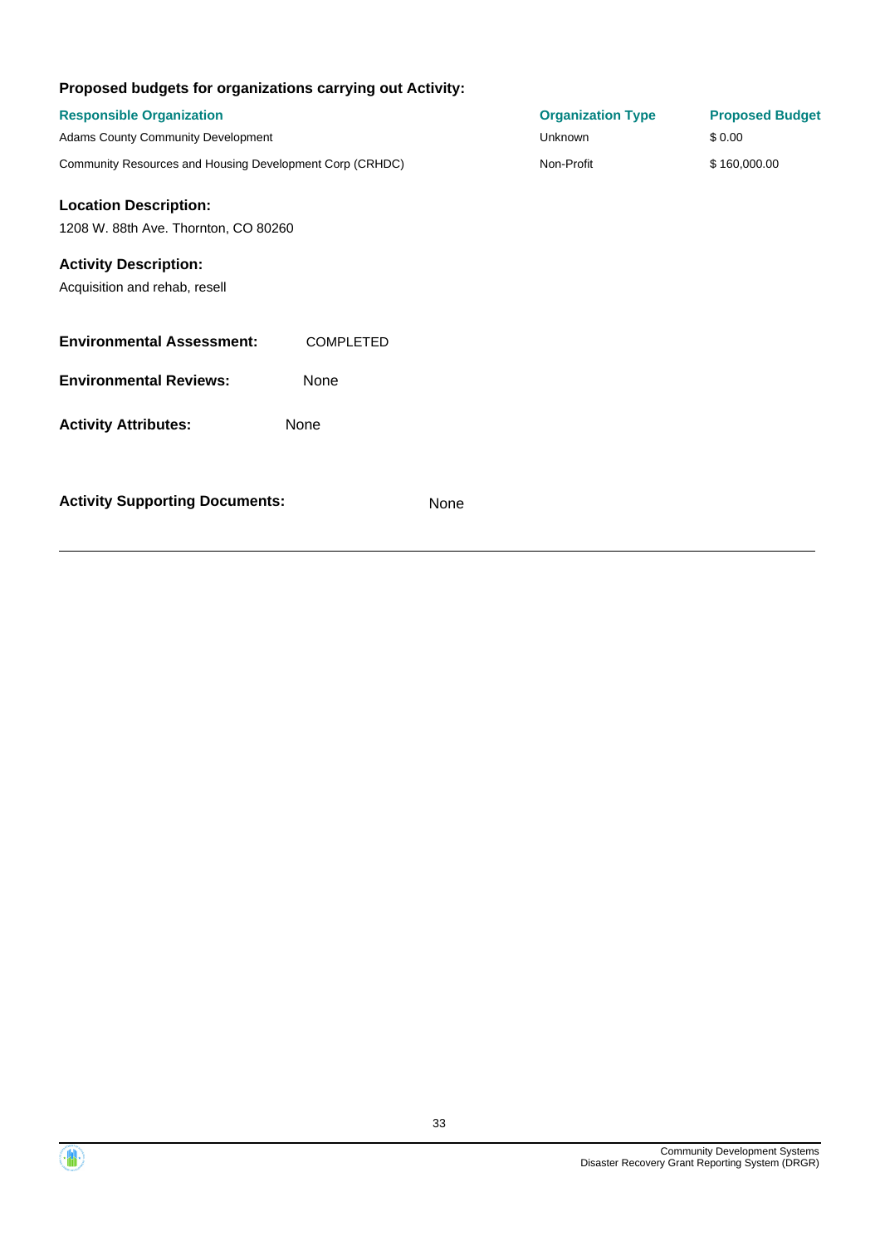| Proposed budgets for organizations carrying out Activity:     |                  |                          |                        |
|---------------------------------------------------------------|------------------|--------------------------|------------------------|
| <b>Responsible Organization</b>                               |                  | <b>Organization Type</b> | <b>Proposed Budget</b> |
| <b>Adams County Community Development</b>                     |                  | Unknown                  | \$0.00                 |
| Community Resources and Housing Development Corp (CRHDC)      |                  | Non-Profit               | \$160,000.00           |
| <b>Location Description:</b>                                  |                  |                          |                        |
| 1208 W. 88th Ave. Thornton, CO 80260                          |                  |                          |                        |
| <b>Activity Description:</b><br>Acquisition and rehab, resell |                  |                          |                        |
| <b>Environmental Assessment:</b>                              | <b>COMPLETED</b> |                          |                        |
| <b>Environmental Reviews:</b>                                 | None             |                          |                        |
| <b>Activity Attributes:</b>                                   | None             |                          |                        |
| <b>Activity Supporting Documents:</b>                         | None             |                          |                        |

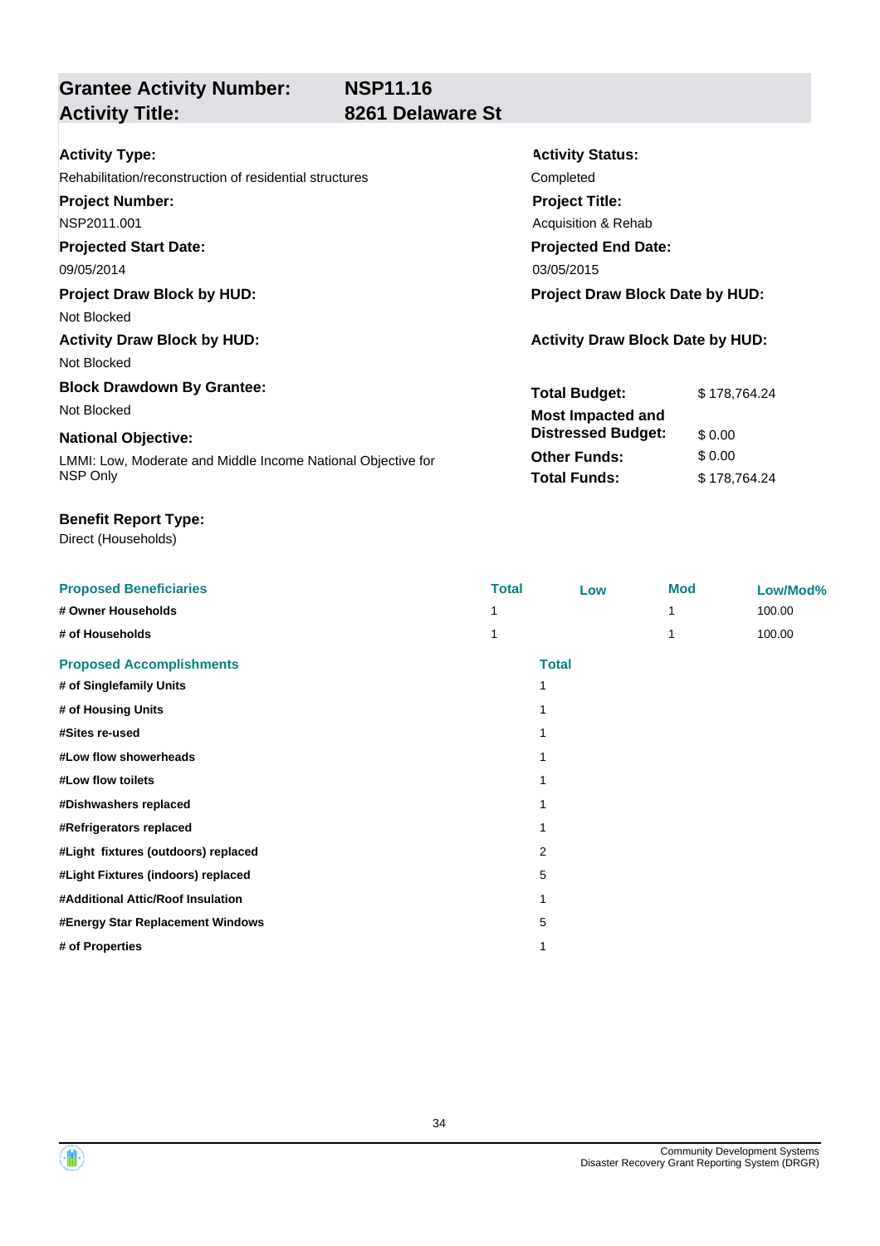## **Grantee Activity Number: Activity Title: 8261 Delaware St**

**Activity Status:**

**Project Title:** Acquisition & Rehab

**Projected End Date:**

**Total Budget:** \$ 178,764.24

**Other Funds:** \$ 0.00 **Total Funds:** \$178,764.24

**Distressed Budget:** \$ 0.00

| <b>Activity S</b> |
|-------------------|
| Completed         |
| <b>Project T</b>  |
| Acquisition       |
|                   |

### **Projected Start Date:**

09/05/2014 03/05/2015

### **Project Draw Block by HUD: Project Draw Block Date by HUD:**

Not Blocked

## Activity Draw Block by HUD: **Activity Draw Block Date by HUD:** Activity Draw Block Date by HUD:

Not Blocked

## **Block Drawdown By Grantee:**

Not Blocked **Most Impacted and** 

### **National Objective:**

LMMI: Low, Moderate and Middle Income National Objective for NSP Only

### **Benefit Report Type:**

| <b>Proposed Beneficiaries</b>       | <b>Total</b> | Low          | <b>Mod</b> | Low/Mod% |
|-------------------------------------|--------------|--------------|------------|----------|
| # Owner Households                  |              |              |            | 100.00   |
| # of Households                     | 1            |              |            | 100.00   |
| <b>Proposed Accomplishments</b>     |              | <b>Total</b> |            |          |
| # of Singlefamily Units             |              |              |            |          |
| # of Housing Units                  |              |              |            |          |
| #Sites re-used                      |              |              |            |          |
| #Low flow showerheads               |              |              |            |          |
| #Low flow toilets                   |              |              |            |          |
| #Dishwashers replaced               |              |              |            |          |
| #Refrigerators replaced             |              |              |            |          |
| #Light fixtures (outdoors) replaced |              | 2            |            |          |
| #Light Fixtures (indoors) replaced  |              | 5            |            |          |
| #Additional Attic/Roof Insulation   |              |              |            |          |
| #Energy Star Replacement Windows    |              | 5            |            |          |
| # of Properties                     |              |              |            |          |



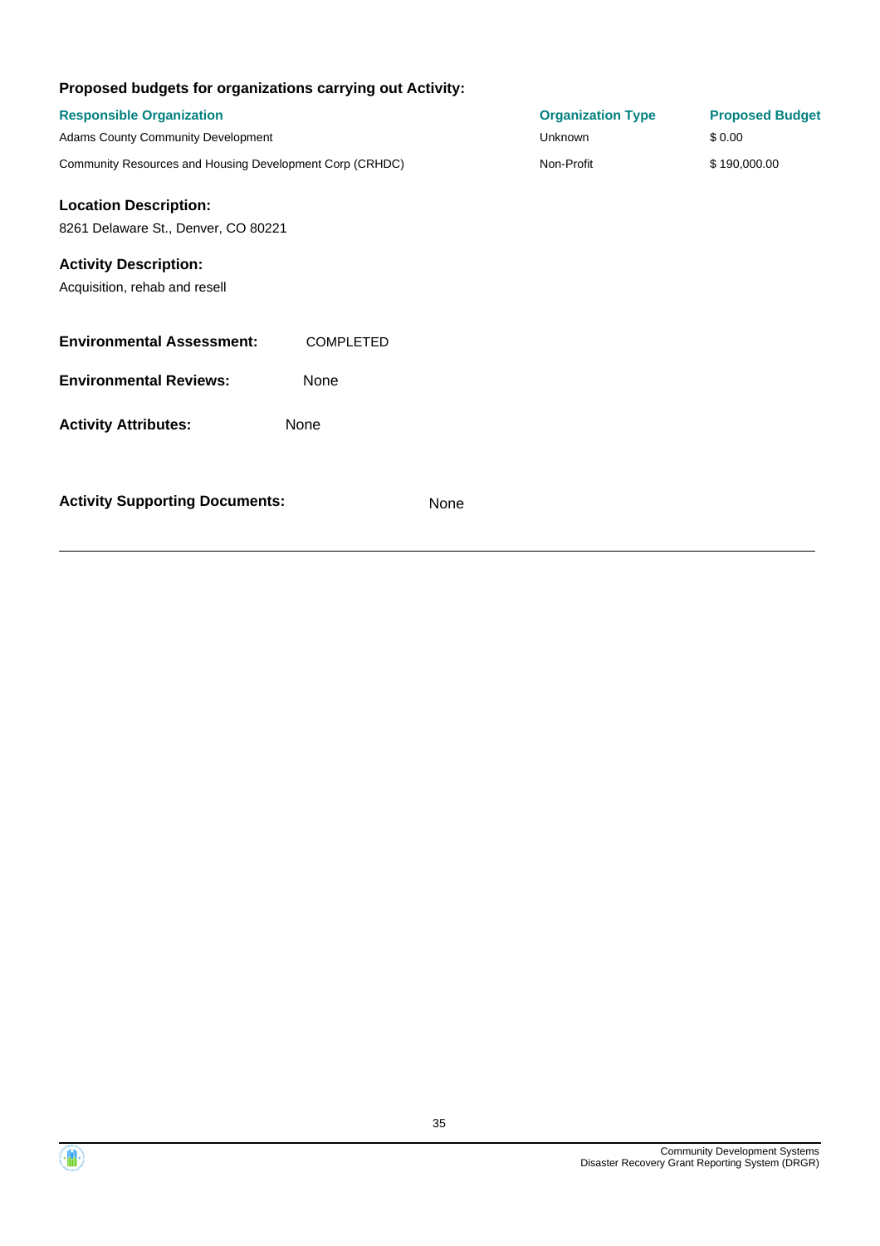| Proposed budgets for organizations carrying out Activity:     |                  |      |                          |                        |
|---------------------------------------------------------------|------------------|------|--------------------------|------------------------|
| <b>Responsible Organization</b>                               |                  |      | <b>Organization Type</b> | <b>Proposed Budget</b> |
| Adams County Community Development                            |                  |      | Unknown                  | \$0.00                 |
| Community Resources and Housing Development Corp (CRHDC)      |                  |      | Non-Profit               | \$190,000.00           |
| <b>Location Description:</b>                                  |                  |      |                          |                        |
| 8261 Delaware St., Denver, CO 80221                           |                  |      |                          |                        |
| <b>Activity Description:</b><br>Acquisition, rehab and resell |                  |      |                          |                        |
| <b>Environmental Assessment:</b>                              | <b>COMPLETED</b> |      |                          |                        |
| <b>Environmental Reviews:</b>                                 | None             |      |                          |                        |
| <b>Activity Attributes:</b>                                   | None             |      |                          |                        |
| <b>Activity Supporting Documents:</b>                         |                  | None |                          |                        |

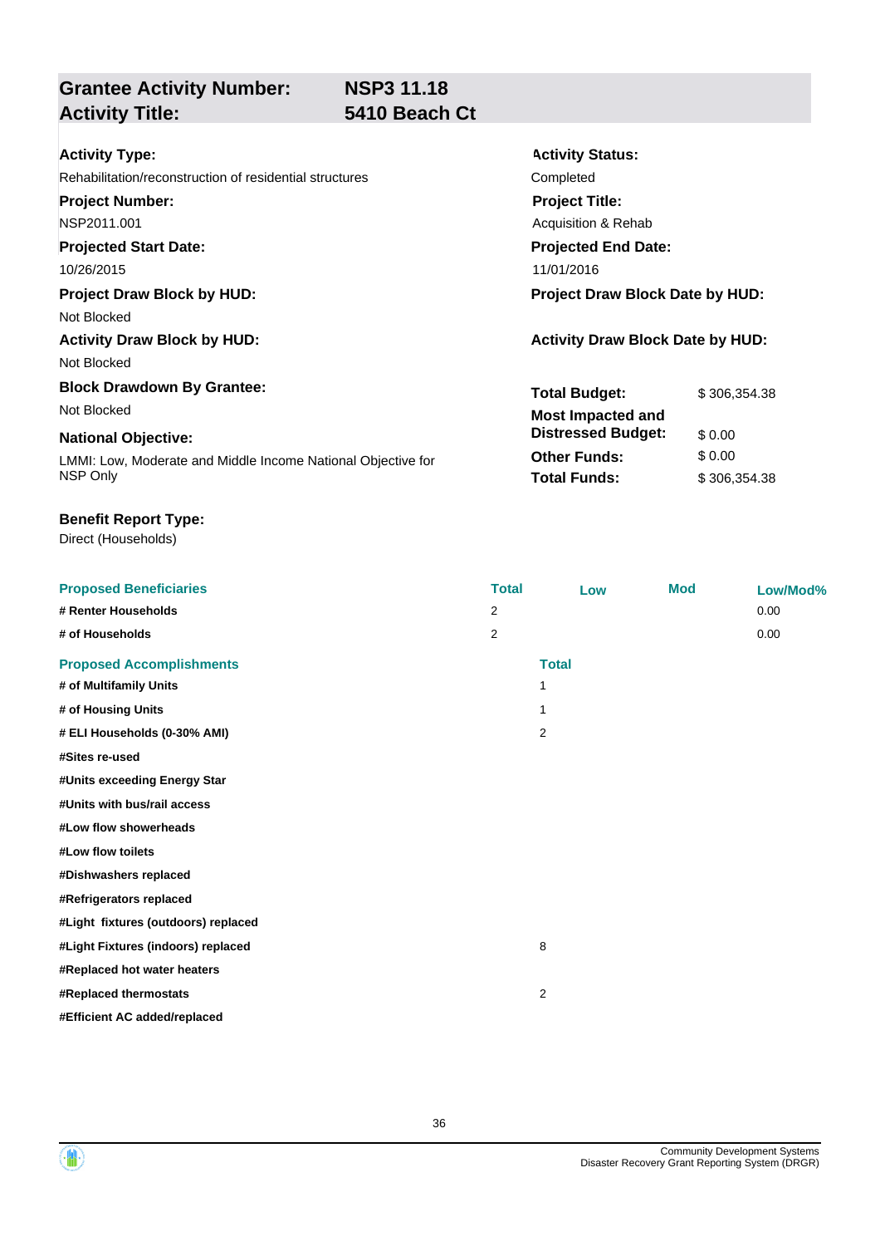**NSP3 11.18**

**Grantee Activity Number: Activity Title: 5410 Beach Ct**

**Activity Status:**

**Project Title:** Acquisition & Rehab

**Projected End Date:**

**Total Budget:** \$ 306,354.38

**Other Funds:** \$ 0.00 **Total Funds:** \$306,354.38

**Distressed Budget:** \$ 0.00

| <b>Activity Type:</b> |  |
|-----------------------|--|
|-----------------------|--|

Rehabilitation/reconstruction of residential structures Completed

**Project Number:**

NSP2011.001

**Projected Start Date:**

10/26/2015 11/01/2016

**Project Draw Block by HUD: Project Draw Block Date by HUD:**

Not Blocked

Activity Draw Block by HUD: **Activity Draw Block Date by HUD:** Activity Draw Block Date by HUD:

Not Blocked

**Block Drawdown By Grantee:** Not Blocked **Most Impacted and** 

### **National Objective:**

LMMI: Low, Moderate and Middle Income National Objective for NSP Only

### **Benefit Report Type:**

Direct (Households)

**Proposed Beneficiaries Total Low Mod Low/Mod% # Renter Households** 2 0.00 **# of Households** 2 0.00 **Proposed Accomplishments Total # of Multifamily Units** 1 **# of Housing Units** 1 **# ELI Households (0-30% AMI)** 2 **#Sites re-used #Units exceeding Energy Star #Units with bus/rail access #Low flow showerheads #Low flow toilets #Dishwashers replaced #Refrigerators replaced #Light fixtures (outdoors) replaced #Light Fixtures (indoors) replaced** 8 **#Replaced hot water heaters #Replaced thermostats** 2 **#Efficient AC added/replaced**



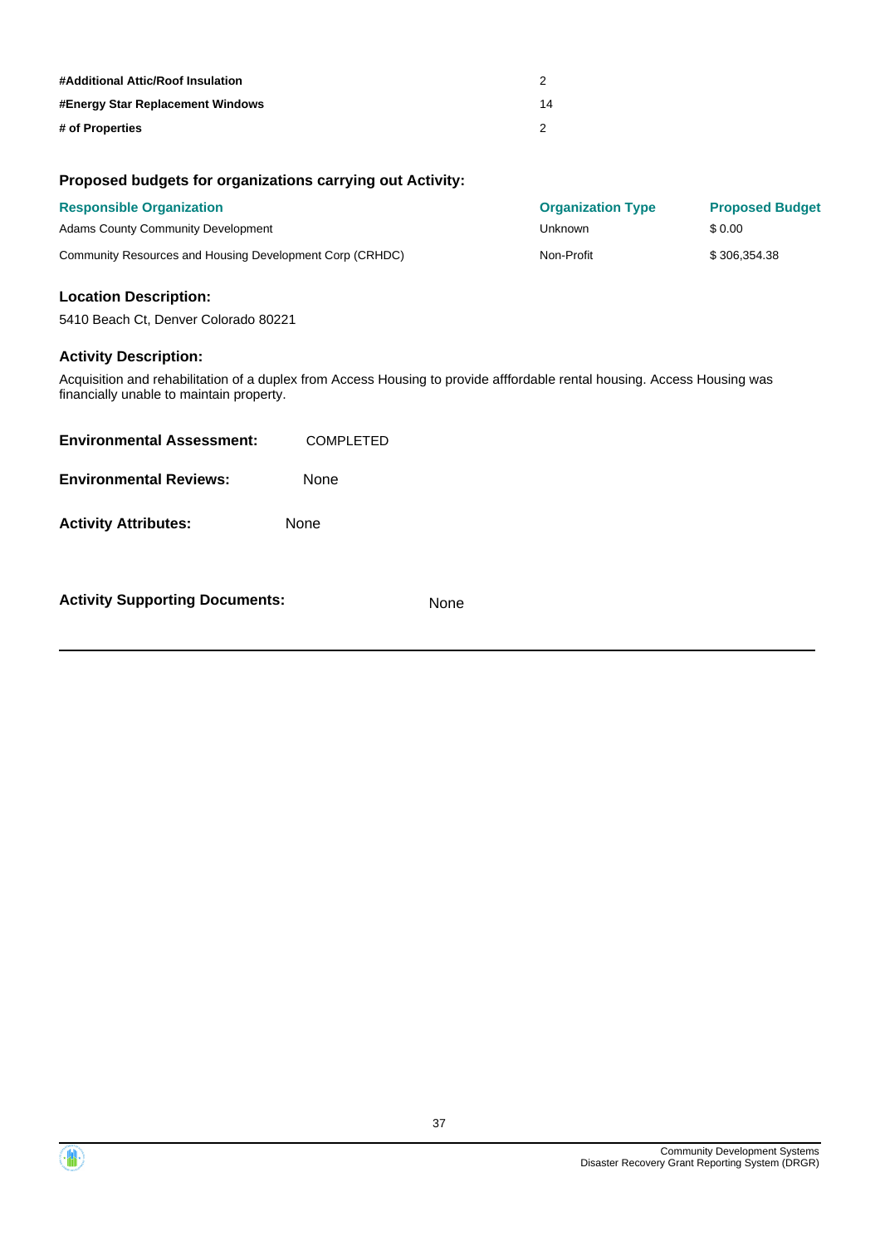| #Additional Attic/Roof Insulation |    |
|-----------------------------------|----|
| #Energy Star Replacement Windows  | 14 |
| # of Properties                   |    |

### **Proposed budgets for organizations carrying out Activity:**

| <b>Responsible Organization</b>                          | <b>Organization Type</b> | <b>Proposed Budget</b> |
|----------------------------------------------------------|--------------------------|------------------------|
| <b>Adams County Community Development</b>                | Unknown                  | \$ 0.00                |
| Community Resources and Housing Development Corp (CRHDC) | Non-Profit               | \$306.354.38           |

### **Location Description:**

5410 Beach Ct, Denver Colorado 80221

### **Activity Description:**

Acquisition and rehabilitation of a duplex from Access Housing to provide afffordable rental housing. Access Housing was financially unable to maintain property.

| <b>Activity Supporting Documents:</b> |                  | None |  |
|---------------------------------------|------------------|------|--|
| <b>Activity Attributes:</b>           | None             |      |  |
| <b>Environmental Reviews:</b>         | None             |      |  |
| <b>Environmental Assessment:</b>      | <b>COMPLETED</b> |      |  |



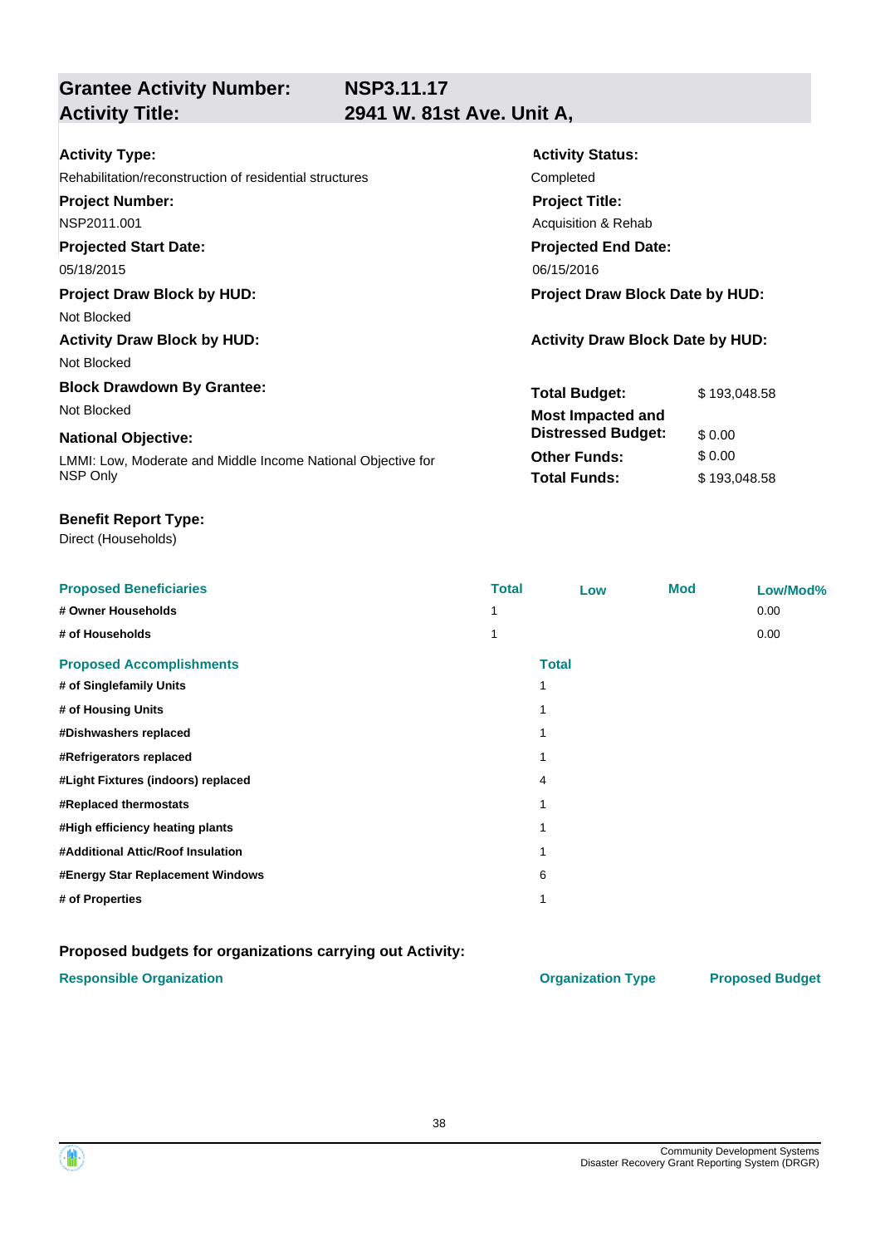**NSP3.11.17**

**Grantee Activity Number: Activity Title: 2941 W. 81st Ave. Unit A,**

| <b>Activity Type:</b>                                        | <b>Activity Status:</b>                 |  |  |
|--------------------------------------------------------------|-----------------------------------------|--|--|
| Rehabilitation/reconstruction of residential structures      | Completed                               |  |  |
| <b>Project Number:</b>                                       | <b>Project Title:</b>                   |  |  |
| NSP2011.001                                                  | Acquisition & Rehab                     |  |  |
| <b>Projected Start Date:</b>                                 | <b>Projected End Date:</b>              |  |  |
| 05/18/2015                                                   | 06/15/2016                              |  |  |
| <b>Project Draw Block by HUD:</b>                            | <b>Project Draw Block Date by HUD:</b>  |  |  |
| Not Blocked                                                  |                                         |  |  |
| <b>Activity Draw Block by HUD:</b>                           | <b>Activity Draw Block Date by HUD:</b> |  |  |
| Not Blocked                                                  |                                         |  |  |
| <b>Block Drawdown By Grantee:</b>                            | <b>Total Budget:</b><br>\$193,048.58    |  |  |
| Not Blocked                                                  | <b>Most Impacted and</b>                |  |  |
| <b>National Objective:</b>                                   | <b>Distressed Budget:</b><br>\$0.00     |  |  |
| LMMI: Low, Moderate and Middle Income National Objective for | <b>Other Funds:</b><br>\$0.00           |  |  |
| NSP Only                                                     | <b>Total Funds:</b><br>\$193,048.58     |  |  |

### **Benefit Report Type:**

Direct (Households)

| <b>Proposed Beneficiaries</b>      | <b>Total</b> | Low          | <b>Mod</b> | Low/Mod% |
|------------------------------------|--------------|--------------|------------|----------|
| # Owner Households                 |              |              |            | 0.00     |
| # of Households                    |              |              |            | 0.00     |
| <b>Proposed Accomplishments</b>    |              | <b>Total</b> |            |          |
| # of Singlefamily Units            |              |              |            |          |
| # of Housing Units                 |              |              |            |          |
| #Dishwashers replaced              |              |              |            |          |
| #Refrigerators replaced            |              |              |            |          |
| #Light Fixtures (indoors) replaced | 4            |              |            |          |
| #Replaced thermostats              |              |              |            |          |
| #High efficiency heating plants    |              |              |            |          |
| #Additional Attic/Roof Insulation  |              |              |            |          |
| #Energy Star Replacement Windows   | 6            |              |            |          |
| # of Properties                    |              |              |            |          |

### **Proposed budgets for organizations carrying out Activity:**

### **Responsible Organization COVID-10 COVID-10 Organization Type Proposed Budget**

38

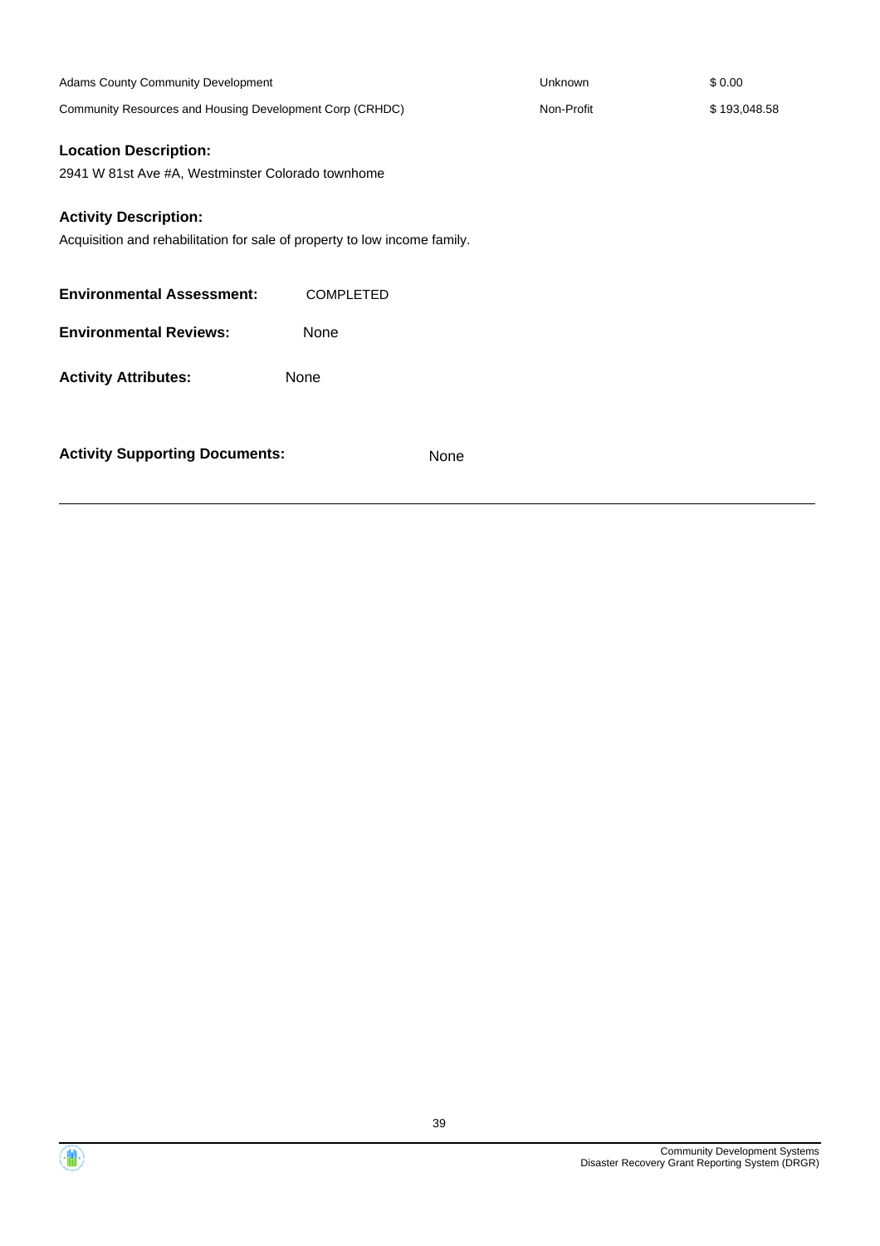| Adams County Community Development                                                                                |                  | Unknown    | \$0.00       |
|-------------------------------------------------------------------------------------------------------------------|------------------|------------|--------------|
| Community Resources and Housing Development Corp (CRHDC)                                                          |                  | Non-Profit | \$193,048.58 |
| <b>Location Description:</b><br>2941 W 81st Ave #A, Westminster Colorado townhome<br><b>Activity Description:</b> |                  |            |              |
| Acquisition and rehabilitation for sale of property to low income family.                                         |                  |            |              |
| <b>Environmental Assessment:</b>                                                                                  | <b>COMPLETED</b> |            |              |
| <b>Environmental Reviews:</b>                                                                                     | None             |            |              |
| <b>Activity Attributes:</b>                                                                                       | None             |            |              |
| <b>Activity Supporting Documents:</b>                                                                             | None             |            |              |

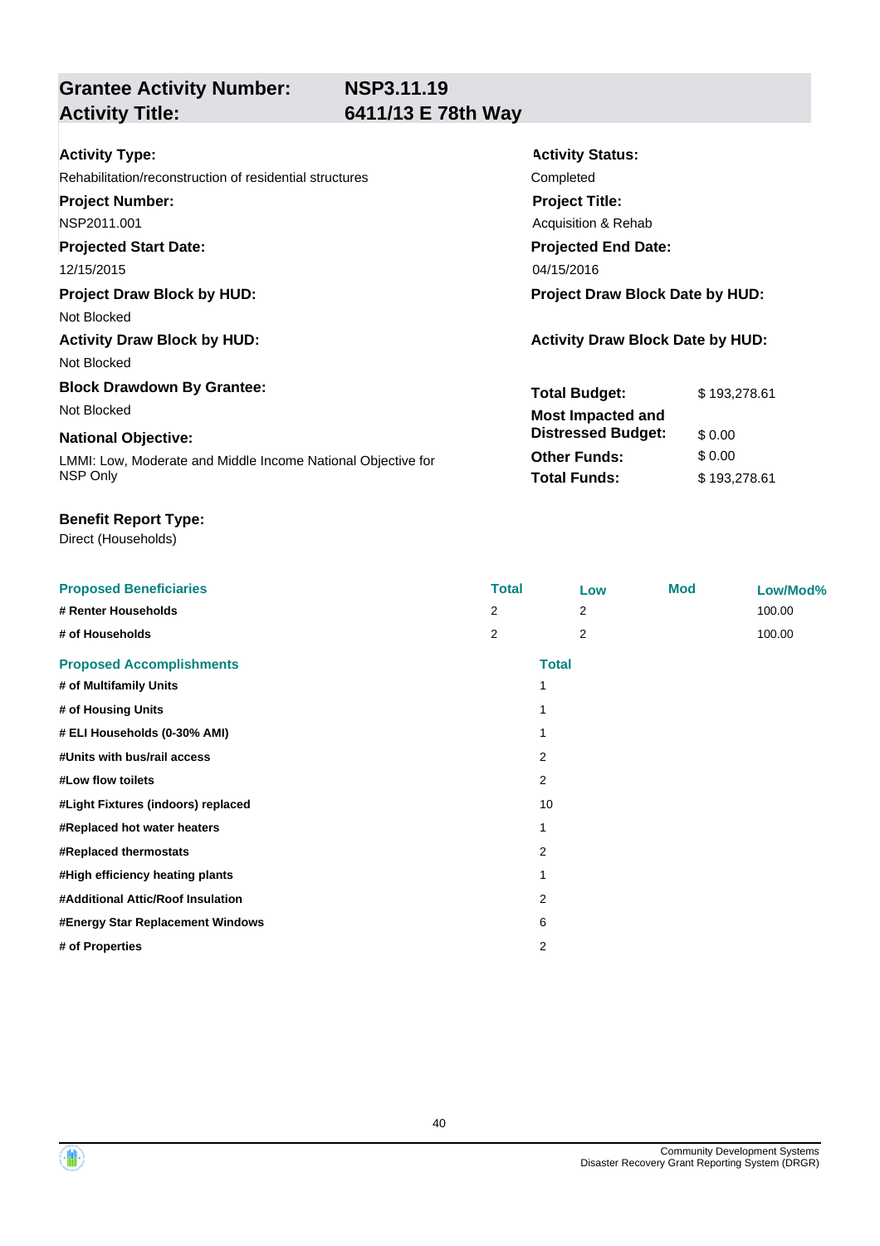**NSP3.11.19**

**Grantee Activity Number: Activity Title: 6411/13 E 78th Way**

| <b>Activity Type:</b>                                              | <b>Activity Status:</b>                 |              |
|--------------------------------------------------------------------|-----------------------------------------|--------------|
| Rehabilitation/reconstruction of residential structures            | Completed                               |              |
| <b>Project Number:</b>                                             | <b>Project Title:</b>                   |              |
| NSP2011.001                                                        | Acquisition & Rehab                     |              |
| <b>Projected Start Date:</b>                                       | <b>Projected End Date:</b>              |              |
| 12/15/2015                                                         | 04/15/2016                              |              |
| <b>Project Draw Block by HUD:</b>                                  | Project Draw Block Date by HUD:         |              |
| Not Blocked                                                        |                                         |              |
| <b>Activity Draw Block by HUD:</b>                                 | <b>Activity Draw Block Date by HUD:</b> |              |
| Not Blocked                                                        |                                         |              |
| <b>Block Drawdown By Grantee:</b>                                  | <b>Total Budget:</b>                    | \$193,278.61 |
| Not Blocked                                                        | <b>Most Impacted and</b>                |              |
| <b>National Objective:</b>                                         | <b>Distressed Budget:</b>               | \$0.00       |
| <u>LMML: Low Moderate and Middle Income National Objective for</u> | <b>Other Funds:</b>                     | \$0.00       |

LMMI: Low, Moderate and Middle Income National Objective for NSP Only

### **Benefit Report Type:**

Direct (Households)

**Proposed Beneficiaries Total Low Mod Low/Mod% # Renter Households** 2 2 100.00 **# of Households** 2 2 100.00 **Proposed Accomplishments Total # of Multifamily Units** 1 **# of Housing Units** 1 **# ELI Households (0-30% AMI)** 1 **#Units with bus/rail access** 2 **#Low flow toilets** 2 **#Light Fixtures (indoors) replaced** 10 **#Replaced hot water heaters** 1 **#Replaced thermostats** 2 **#High efficiency heating plants** 1 **#Additional Attic/Roof Insulation** 2 **#Energy Star Replacement Windows** 6 **# of Properties** 2

**Total Funds:** \$193,278.61

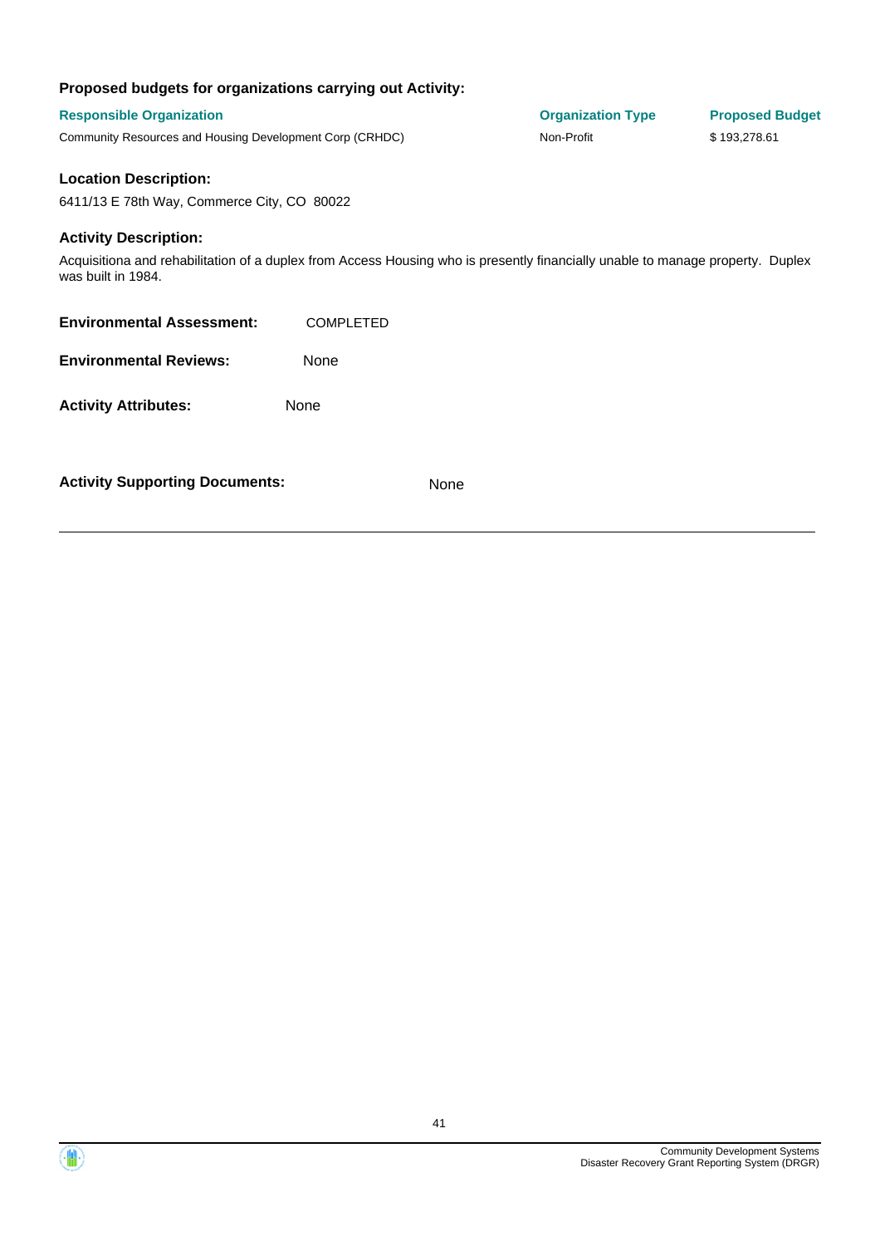### **Proposed budgets for organizations carrying out Activity:**

**Activity Supporting Documents:** None

| <b>Responsible Organization</b><br>Community Resources and Housing Development Corp (CRHDC) |                                                                                                                                | <b>Organization Type</b><br>Non-Profit | <b>Proposed Budget</b><br>\$193,278.61 |
|---------------------------------------------------------------------------------------------|--------------------------------------------------------------------------------------------------------------------------------|----------------------------------------|----------------------------------------|
| <b>Location Description:</b>                                                                |                                                                                                                                |                                        |                                        |
| 6411/13 E 78th Way, Commerce City, CO 80022                                                 |                                                                                                                                |                                        |                                        |
| <b>Activity Description:</b><br>was built in 1984.                                          | Acquisitiona and rehabilitation of a duplex from Access Housing who is presently financially unable to manage property. Duplex |                                        |                                        |
| <b>Environmental Assessment:</b>                                                            | <b>COMPLETED</b>                                                                                                               |                                        |                                        |
| <b>Environmental Reviews:</b>                                                               | None                                                                                                                           |                                        |                                        |
| <b>Activity Attributes:</b>                                                                 | None                                                                                                                           |                                        |                                        |
|                                                                                             |                                                                                                                                |                                        |                                        |



(他)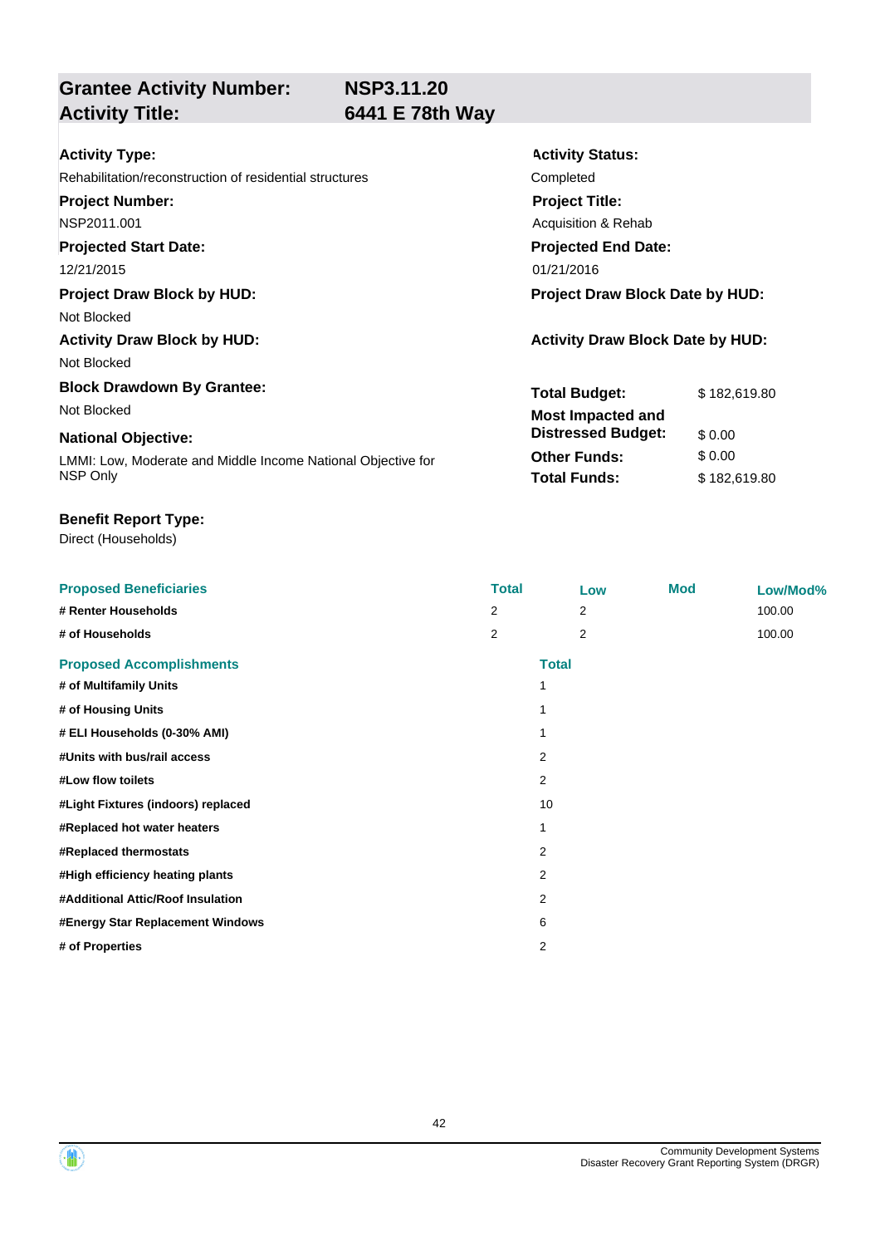**NSP3.11.20**

**Grantee Activity Number:**

Direct (Households)

## **Activity Title: 6441 E 78th Way**

| <b>Activity Type:</b>                                        | <b>Activity Status:</b>                 |              |  |
|--------------------------------------------------------------|-----------------------------------------|--------------|--|
| Rehabilitation/reconstruction of residential structures      | Completed                               |              |  |
| <b>Project Number:</b>                                       | <b>Project Title:</b>                   |              |  |
| NSP2011.001                                                  | Acquisition & Rehab                     |              |  |
| <b>Projected Start Date:</b>                                 | <b>Projected End Date:</b>              |              |  |
| 12/21/2015                                                   | 01/21/2016                              |              |  |
| <b>Project Draw Block by HUD:</b>                            | Project Draw Block Date by HUD:         |              |  |
| Not Blocked                                                  |                                         |              |  |
| <b>Activity Draw Block by HUD:</b>                           | <b>Activity Draw Block Date by HUD:</b> |              |  |
| Not Blocked                                                  |                                         |              |  |
| <b>Block Drawdown By Grantee:</b>                            | <b>Total Budget:</b>                    | \$182,619.80 |  |
| Not Blocked                                                  | <b>Most Impacted and</b>                |              |  |
| <b>National Objective:</b>                                   | <b>Distressed Budget:</b>               | \$0.00       |  |
| LMMI: Low, Moderate and Middle Income National Objective for | <b>Other Funds:</b>                     | \$0.00       |  |
| NSP Only                                                     | <b>Total Funds:</b>                     | \$182,619.80 |  |

| <b>Proposed Beneficiaries</b>      | <b>Total</b>   |                | Low          | <b>Mod</b> | Low/Mod% |
|------------------------------------|----------------|----------------|--------------|------------|----------|
| # Renter Households                | 2              |                | 2            |            | 100.00   |
| # of Households                    | $\overline{2}$ |                | 2            |            | 100.00   |
| <b>Proposed Accomplishments</b>    |                |                | <b>Total</b> |            |          |
| # of Multifamily Units             |                | 1              |              |            |          |
| # of Housing Units                 |                | 1              |              |            |          |
| # ELI Households (0-30% AMI)       |                |                |              |            |          |
| #Units with bus/rail access        |                | $\overline{2}$ |              |            |          |
| #Low flow toilets                  |                | 2              |              |            |          |
| #Light Fixtures (indoors) replaced |                | 10             |              |            |          |
| #Replaced hot water heaters        |                | 1              |              |            |          |
| #Replaced thermostats              |                | 2              |              |            |          |
| #High efficiency heating plants    |                | $\overline{2}$ |              |            |          |
| #Additional Attic/Roof Insulation  |                | $\overline{2}$ |              |            |          |
| #Energy Star Replacement Windows   |                | 6              |              |            |          |
| # of Properties                    |                | 2              |              |            |          |



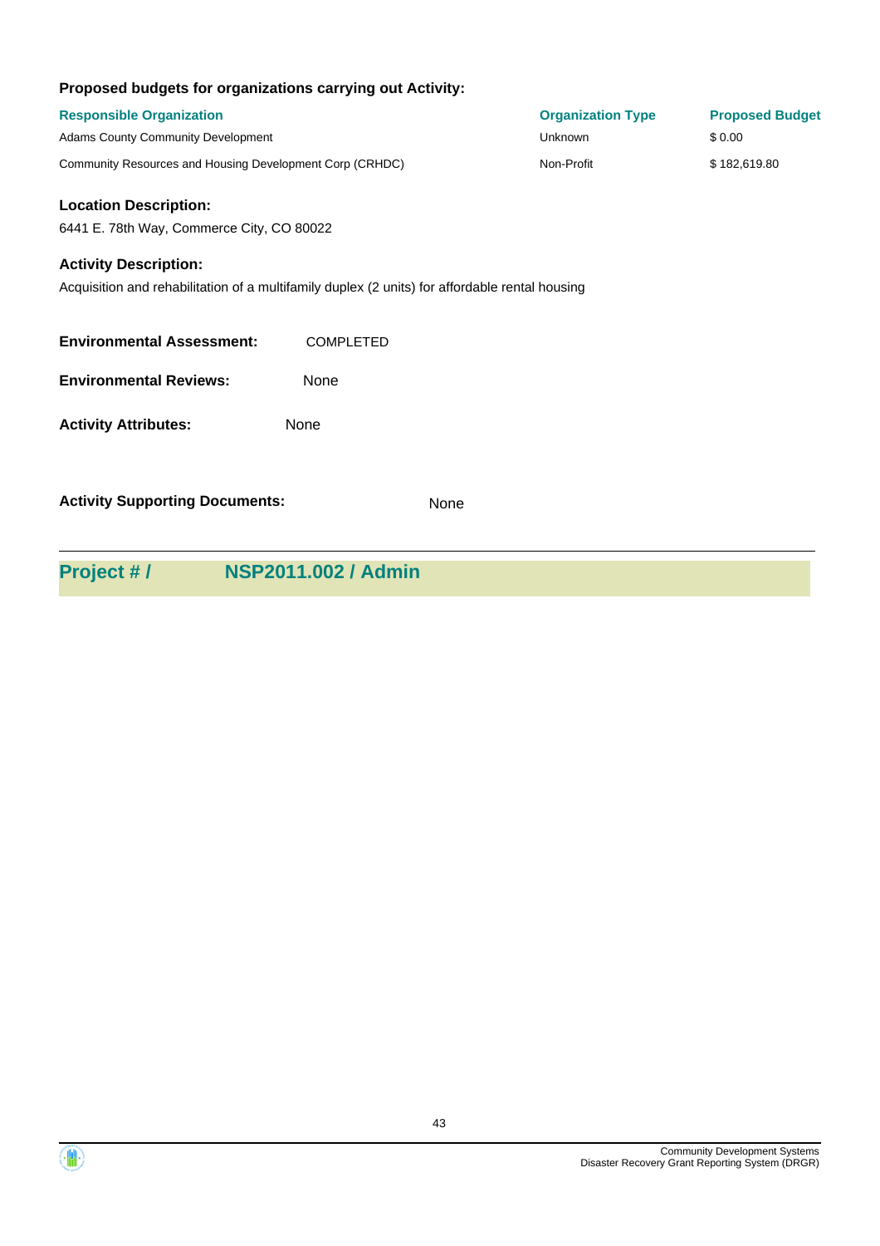|  | Proposed budgets for organizations carrying out Activity: |  |
|--|-----------------------------------------------------------|--|
|  |                                                           |  |

| <b>Responsible Organization</b><br><b>Adams County Community Development</b>                                                   |                            | <b>Organization Type</b><br><b>Unknown</b> | <b>Proposed Budget</b><br>\$0.00 |
|--------------------------------------------------------------------------------------------------------------------------------|----------------------------|--------------------------------------------|----------------------------------|
| Community Resources and Housing Development Corp (CRHDC)                                                                       |                            | Non-Profit                                 | \$182,619.80                     |
| <b>Location Description:</b><br>6441 E. 78th Way, Commerce City, CO 80022                                                      |                            |                                            |                                  |
| <b>Activity Description:</b><br>Acquisition and rehabilitation of a multifamily duplex (2 units) for affordable rental housing |                            |                                            |                                  |
| <b>Environmental Assessment:</b>                                                                                               | <b>COMPLETED</b>           |                                            |                                  |
| <b>Environmental Reviews:</b>                                                                                                  | None                       |                                            |                                  |
| <b>Activity Attributes:</b>                                                                                                    | None                       |                                            |                                  |
| <b>Activity Supporting Documents:</b>                                                                                          | None                       |                                            |                                  |
| Project #/                                                                                                                     | <b>NSP2011.002 / Admin</b> |                                            |                                  |



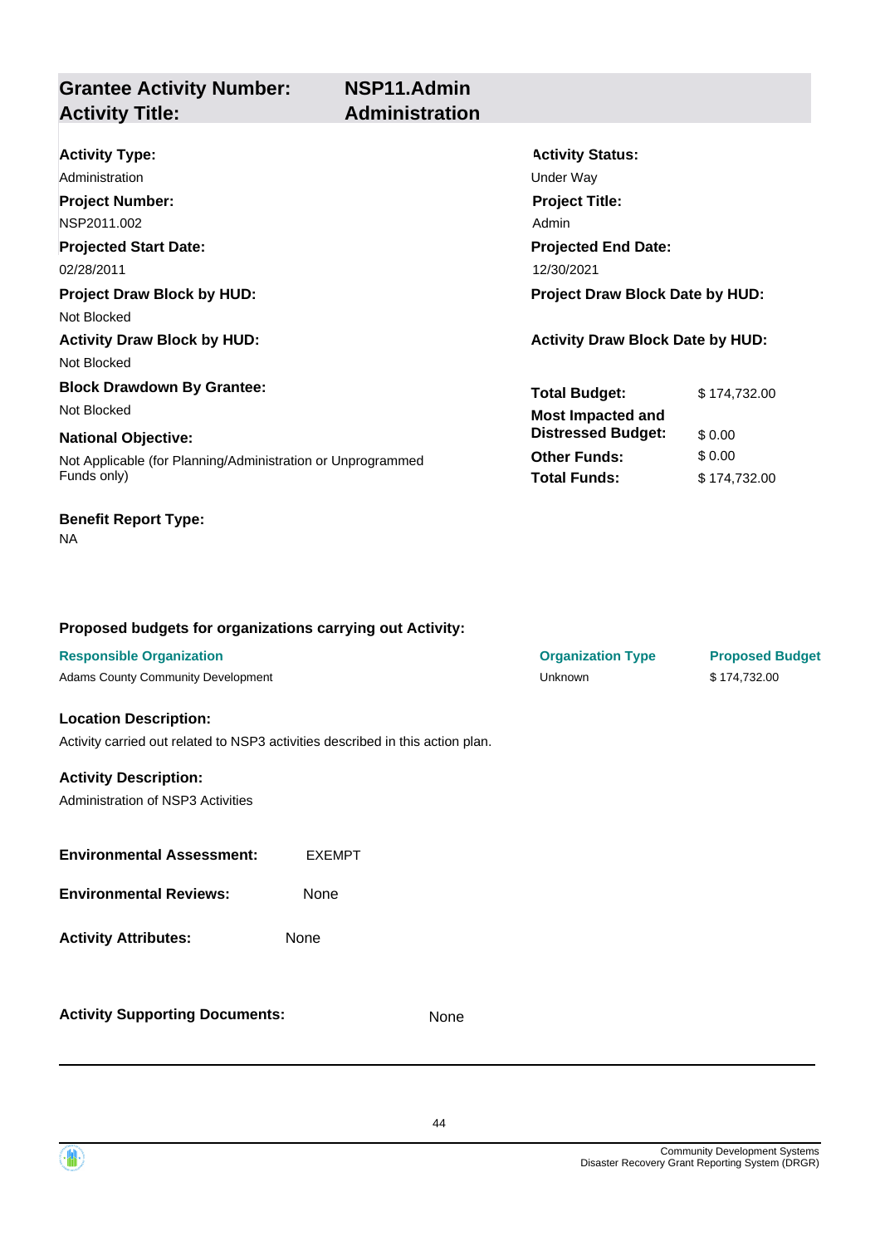**Grantee Activity Number: Activity Title: Administration**

# **NSP11.Admin**

| <b>Activity Type:</b>                                       | <b>Activity Status:</b>                 |              |  |
|-------------------------------------------------------------|-----------------------------------------|--------------|--|
| Administration                                              | Under Way                               |              |  |
| <b>Project Number:</b>                                      | <b>Project Title:</b>                   |              |  |
| NSP2011.002                                                 | Admin                                   |              |  |
| <b>Projected Start Date:</b>                                | <b>Projected End Date:</b>              |              |  |
| 02/28/2011                                                  | 12/30/2021                              |              |  |
| <b>Project Draw Block by HUD:</b>                           | Project Draw Block Date by HUD:         |              |  |
| Not Blocked                                                 |                                         |              |  |
| <b>Activity Draw Block by HUD:</b>                          | <b>Activity Draw Block Date by HUD:</b> |              |  |
| Not Blocked                                                 |                                         |              |  |
| <b>Block Drawdown By Grantee:</b>                           | <b>Total Budget:</b>                    | \$174,732.00 |  |
| Not Blocked                                                 | <b>Most Impacted and</b>                |              |  |
| <b>National Objective:</b>                                  | <b>Distressed Budget:</b>               | \$0.00       |  |
| Not Applicable (for Planning/Administration or Unprogrammed | <b>Other Funds:</b>                     | \$0.00       |  |
| Funds only)                                                 | <b>Total Funds:</b>                     | \$174,732.00 |  |

### **Benefit Report Type:**

NA

### **Proposed budgets for organizations carrying out Activity:**

| <b>Responsible Organization</b>                                                |               |      | <b>Organization Type</b> | <b>Proposed Budget</b> |
|--------------------------------------------------------------------------------|---------------|------|--------------------------|------------------------|
| Adams County Community Development                                             |               |      | Unknown                  | \$174,732.00           |
| <b>Location Description:</b>                                                   |               |      |                          |                        |
| Activity carried out related to NSP3 activities described in this action plan. |               |      |                          |                        |
| <b>Activity Description:</b>                                                   |               |      |                          |                        |
| Administration of NSP3 Activities                                              |               |      |                          |                        |
|                                                                                |               |      |                          |                        |
| <b>Environmental Assessment:</b>                                               | <b>EXEMPT</b> |      |                          |                        |
| <b>Environmental Reviews:</b>                                                  | <b>None</b>   |      |                          |                        |
| <b>Activity Attributes:</b>                                                    | None          |      |                          |                        |
|                                                                                |               |      |                          |                        |
|                                                                                |               |      |                          |                        |
| <b>Activity Supporting Documents:</b>                                          |               | None |                          |                        |
|                                                                                |               |      |                          |                        |

44



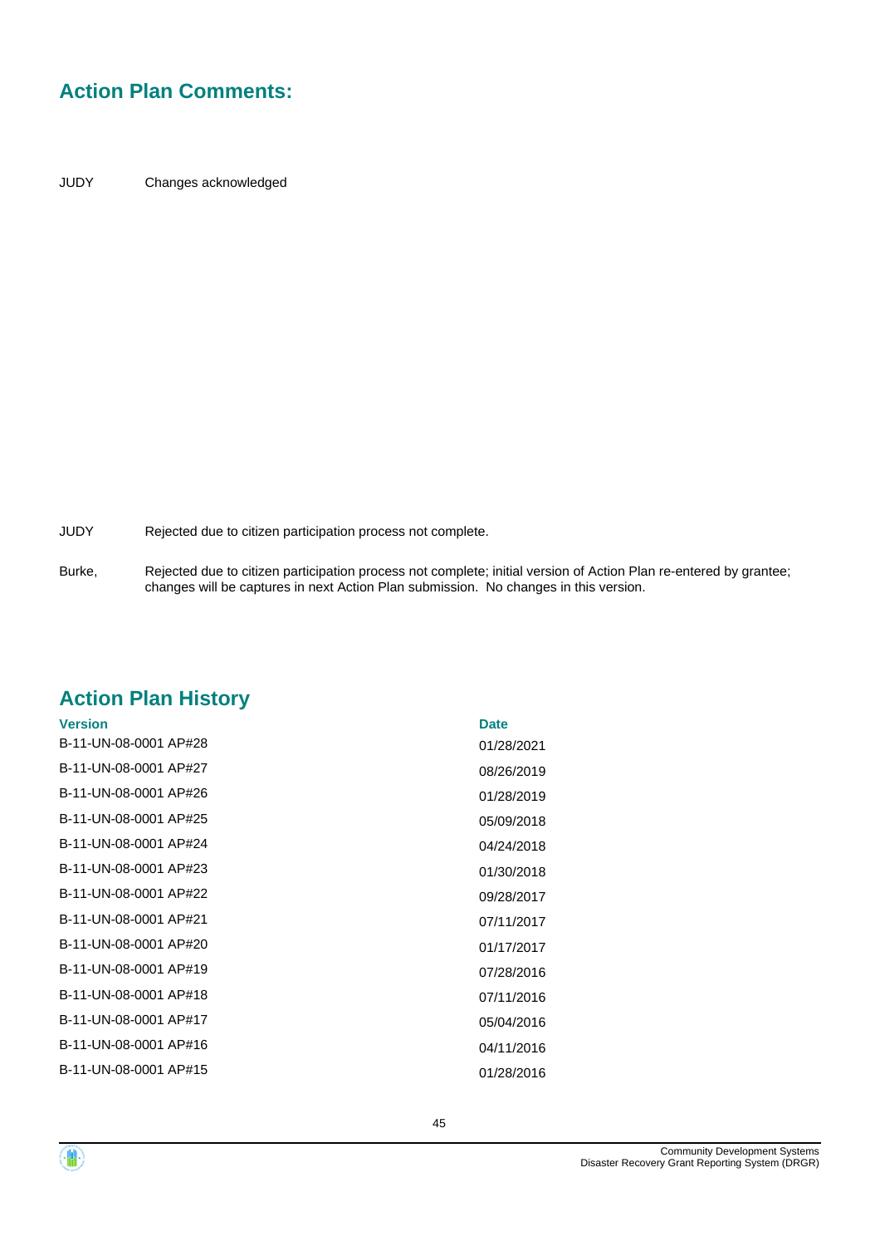## **Action Plan Comments:**

JUDY Changes acknowledged

JUDY Rejected due to citizen participation process not complete.

Rejected due to citizen participation process not complete; initial version of Action Plan re-entered by grantee; changes will be captures in next Action Plan submission. No changes in this version. Burke,

## **Action Plan History**

| <b>Version</b>        | <b>Date</b> |
|-----------------------|-------------|
| B-11-UN-08-0001 AP#28 | 01/28/2021  |
| B-11-UN-08-0001 AP#27 | 08/26/2019  |
| B-11-UN-08-0001 AP#26 | 01/28/2019  |
| B-11-UN-08-0001 AP#25 | 05/09/2018  |
| B-11-UN-08-0001 AP#24 | 04/24/2018  |
| B-11-UN-08-0001 AP#23 | 01/30/2018  |
| B-11-UN-08-0001 AP#22 | 09/28/2017  |
| B-11-UN-08-0001 AP#21 | 07/11/2017  |
| B-11-UN-08-0001 AP#20 | 01/17/2017  |
| B-11-UN-08-0001 AP#19 | 07/28/2016  |
| B-11-UN-08-0001 AP#18 | 07/11/2016  |
| B-11-UN-08-0001 AP#17 | 05/04/2016  |
| B-11-UN-08-0001 AP#16 | 04/11/2016  |
| B-11-UN-08-0001 AP#15 | 01/28/2016  |
|                       |             |